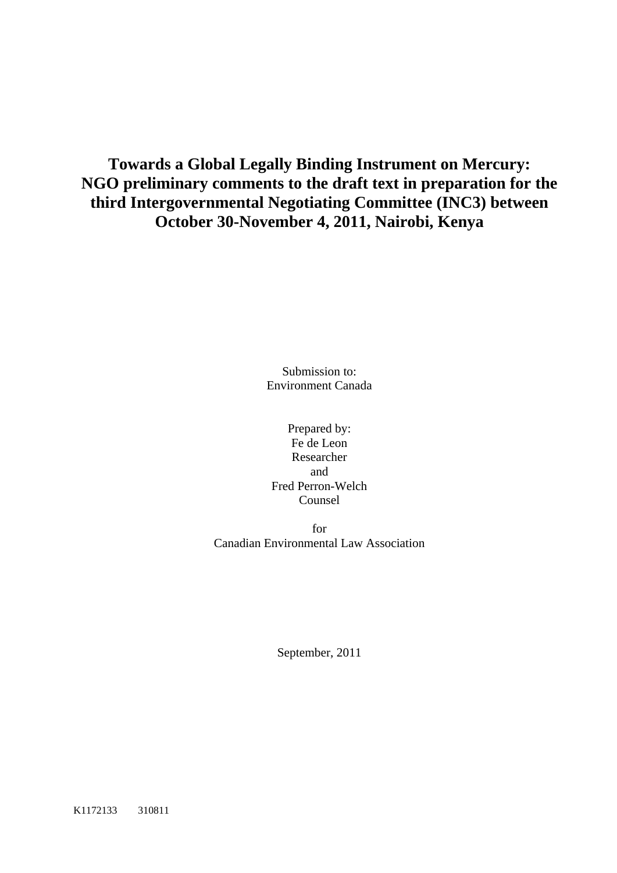# **Towards a Global Legally Binding Instrument on Mercury: NGO preliminary comments to the draft text in preparation for the third Intergovernmental Negotiating Committee (INC3) between October 30-November 4, 2011, Nairobi, Kenya**

Submission to: Environment Canada

Prepared by: Fe de Leon Researcher and Fred Perron-Welch Counsel

for Canadian Environmental Law Association

September, 2011

K1172133 310811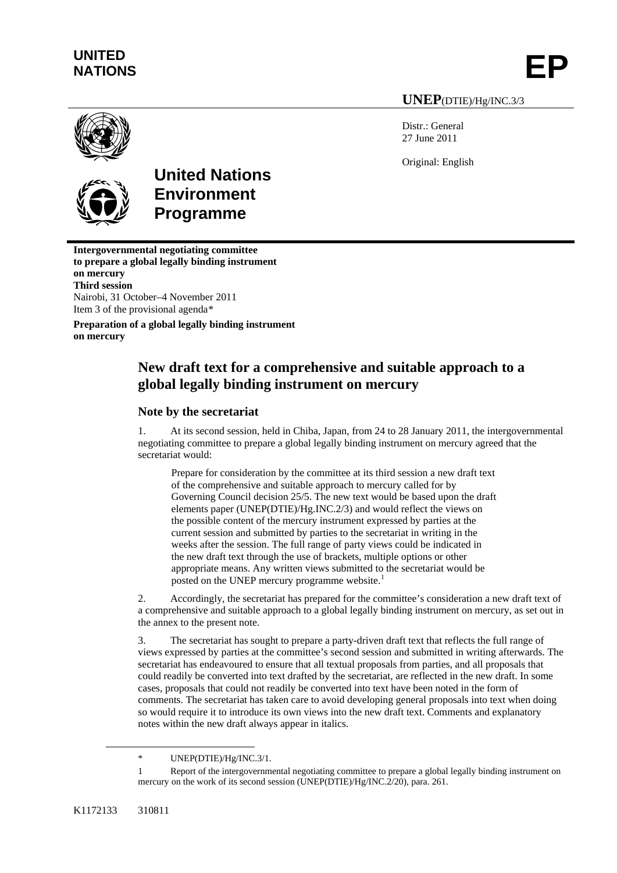# **UNITED**  UNITED<br>NATIONS **EP**

**UNEP**(DTIE)/Hg/INC.3/3

Distr.: General 27 June 2011

Original: English



# **United Nations Environment Programme**

**Intergovernmental negotiating committee to prepare a global legally binding instrument on mercury Third session** Nairobi, 31 October–4 November 2011 Item 3 of the provisional agenda[\\*](#page-1-0)

**Preparation of a global legally binding instrument on mercury** 

# **New draft text for a comprehensive and suitable approach to a global legally binding instrument on mercury**

# **Note by the secretariat**

1. At its second session, held in Chiba, Japan, from 24 to 28 January 2011, the intergovernmental negotiating committee to prepare a global legally binding instrument on mercury agreed that the secretariat would:

Prepare for consideration by the committee at its third session a new draft text of the comprehensive and suitable approach to mercury called for by Governing Council decision 25/5. The new text would be based upon the draft elements paper (UNEP(DTIE)/Hg.INC.2/3) and would reflect the views on the possible content of the mercury instrument expressed by parties at the current session and submitted by parties to the secretariat in writing in the weeks after the session. The full range of party views could be indicated in the new draft text through the use of brackets, multiple options or other appropriate means. Any written views submitted to the secretariat would be posted on the UNEP mercury programme website.<sup>[1](#page-1-1)</sup>

2. Accordingly, the secretariat has prepared for the committee's consideration a new draft text of a comprehensive and suitable approach to a global legally binding instrument on mercury, as set out in the annex to the present note.

3. The secretariat has sought to prepare a party-driven draft text that reflects the full range of views expressed by parties at the committee's second session and submitted in writing afterwards. The secretariat has endeavoured to ensure that all textual proposals from parties, and all proposals that could readily be converted into text drafted by the secretariat, are reflected in the new draft. In some cases, proposals that could not readily be converted into text have been noted in the form of comments. The secretariat has taken care to avoid developing general proposals into text when doing so would require it to introduce its own views into the new draft text. Comments and explanatory notes within the new draft always appear in italics.

<span id="page-1-1"></span><span id="page-1-0"></span> $\overline{a}$ 

<sup>\*</sup> UNEP(DTIE)/Hg/INC.3/1.

Report of the intergovernmental negotiating committee to prepare a global legally binding instrument on mercury on the work of its second session (UNEP(DTIE)/Hg/INC.2/20), para. 261.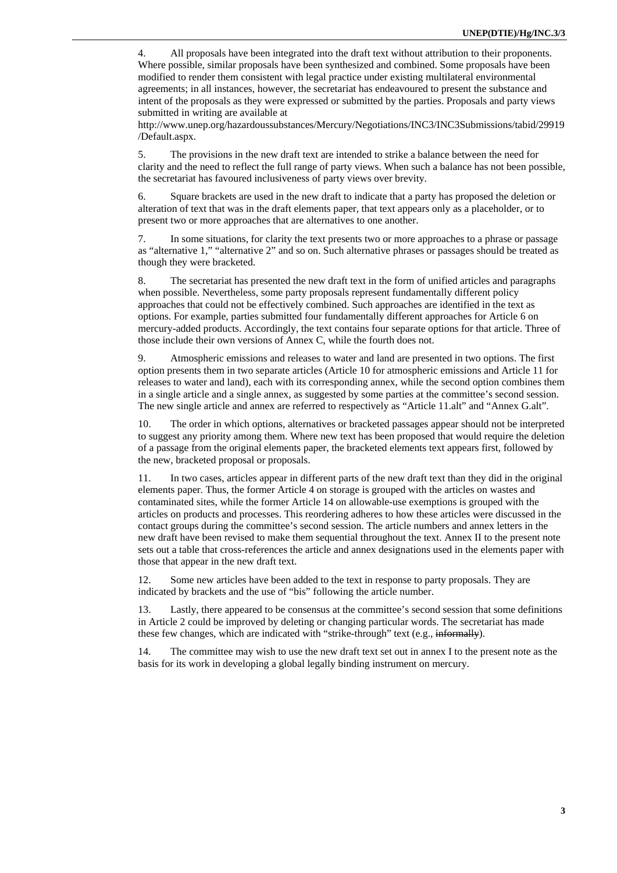4. All proposals have been integrated into the draft text without attribution to their proponents. Where possible, similar proposals have been synthesized and combined. Some proposals have been modified to render them consistent with legal practice under existing multilateral environmental agreements; in all instances, however, the secretariat has endeavoured to present the substance and intent of the proposals as they were expressed or submitted by the parties. Proposals and party views submitted in writing are available at

http://www.unep.org/hazardoussubstances/Mercury/Negotiations/INC3/INC3Submissions/tabid/29919 /Default.aspx.

5. The provisions in the new draft text are intended to strike a balance between the need for clarity and the need to reflect the full range of party views. When such a balance has not been possible, the secretariat has favoured inclusiveness of party views over brevity.

6. Square brackets are used in the new draft to indicate that a party has proposed the deletion or alteration of text that was in the draft elements paper, that text appears only as a placeholder, or to present two or more approaches that are alternatives to one another.

7. In some situations, for clarity the text presents two or more approaches to a phrase or passage as "alternative 1," "alternative 2" and so on. Such alternative phrases or passages should be treated as though they were bracketed.

8. The secretariat has presented the new draft text in the form of unified articles and paragraphs when possible. Nevertheless, some party proposals represent fundamentally different policy approaches that could not be effectively combined. Such approaches are identified in the text as options. For example, parties submitted four fundamentally different approaches for Article 6 on mercury-added products. Accordingly, the text contains four separate options for that article. Three of those include their own versions of Annex C, while the fourth does not.

9. Atmospheric emissions and releases to water and land are presented in two options. The first option presents them in two separate articles (Article 10 for atmospheric emissions and Article 11 for releases to water and land), each with its corresponding annex, while the second option combines them in a single article and a single annex, as suggested by some parties at the committee's second session. The new single article and annex are referred to respectively as "Article 11.alt" and "Annex G.alt".

10. The order in which options, alternatives or bracketed passages appear should not be interpreted to suggest any priority among them. Where new text has been proposed that would require the deletion of a passage from the original elements paper, the bracketed elements text appears first, followed by the new, bracketed proposal or proposals.

11. In two cases, articles appear in different parts of the new draft text than they did in the original elements paper. Thus, the former Article 4 on storage is grouped with the articles on wastes and contaminated sites, while the former Article 14 on allowable-use exemptions is grouped with the articles on products and processes. This reordering adheres to how these articles were discussed in the contact groups during the committee's second session. The article numbers and annex letters in the new draft have been revised to make them sequential throughout the text. Annex II to the present note sets out a table that cross-references the article and annex designations used in the elements paper with those that appear in the new draft text.

12. Some new articles have been added to the text in response to party proposals. They are indicated by brackets and the use of "bis" following the article number.

13. Lastly, there appeared to be consensus at the committee's second session that some definitions in Article 2 could be improved by deleting or changing particular words. The secretariat has made these few changes, which are indicated with "strike-through" text (e.g., informally).

14. The committee may wish to use the new draft text set out in annex I to the present note as the basis for its work in developing a global legally binding instrument on mercury.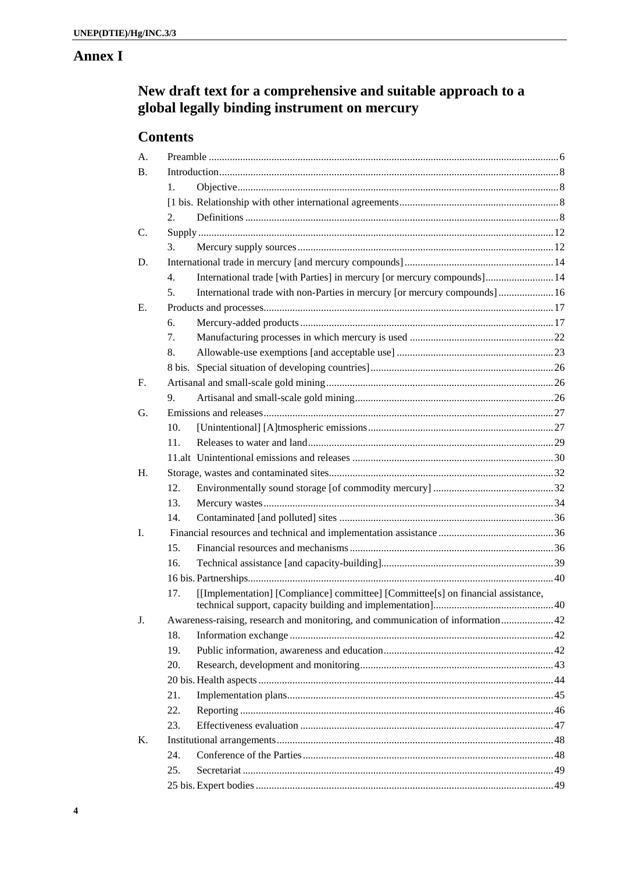# **Annex I**

# New draft text for a comprehensive and suitable approach to a global legally binding instrument on mercury

# **Contents**

| A.          |                                                                                 |                                                                                  |  |  |
|-------------|---------------------------------------------------------------------------------|----------------------------------------------------------------------------------|--|--|
| <b>B.</b>   |                                                                                 |                                                                                  |  |  |
|             | 1.                                                                              |                                                                                  |  |  |
|             |                                                                                 |                                                                                  |  |  |
|             | 2.                                                                              |                                                                                  |  |  |
| C.          |                                                                                 |                                                                                  |  |  |
|             | 3.                                                                              |                                                                                  |  |  |
| D.          |                                                                                 |                                                                                  |  |  |
|             | $\overline{4}$ .                                                                | International trade [with Parties] in mercury [or mercury compounds] 14          |  |  |
|             | 5.                                                                              | International trade with non-Parties in mercury [or mercury compounds] 16        |  |  |
| Е.          |                                                                                 |                                                                                  |  |  |
|             | 6.                                                                              |                                                                                  |  |  |
|             | 7.                                                                              |                                                                                  |  |  |
|             | 8.                                                                              |                                                                                  |  |  |
|             |                                                                                 |                                                                                  |  |  |
| $F_{\cdot}$ |                                                                                 |                                                                                  |  |  |
|             | 9.                                                                              |                                                                                  |  |  |
| G.          |                                                                                 |                                                                                  |  |  |
|             | 10.                                                                             |                                                                                  |  |  |
|             | 11.                                                                             |                                                                                  |  |  |
|             |                                                                                 |                                                                                  |  |  |
| H.          |                                                                                 |                                                                                  |  |  |
|             | 12.                                                                             |                                                                                  |  |  |
|             | 13.                                                                             |                                                                                  |  |  |
|             | 14.                                                                             |                                                                                  |  |  |
| L.          |                                                                                 |                                                                                  |  |  |
|             | 15.                                                                             |                                                                                  |  |  |
|             | 16.                                                                             |                                                                                  |  |  |
|             |                                                                                 |                                                                                  |  |  |
|             | 17.                                                                             | [[Implementation] [Compliance] committee] [Committee[s] on financial assistance, |  |  |
| J.          | Awareness-raising, research and monitoring, and communication of information 42 |                                                                                  |  |  |
|             | 18.                                                                             |                                                                                  |  |  |
|             | 19.                                                                             |                                                                                  |  |  |
|             | 20.                                                                             |                                                                                  |  |  |
|             |                                                                                 |                                                                                  |  |  |
|             | 21.                                                                             |                                                                                  |  |  |
|             | 22.                                                                             |                                                                                  |  |  |
|             | 23.                                                                             |                                                                                  |  |  |
| K.          |                                                                                 |                                                                                  |  |  |
|             | 24.                                                                             |                                                                                  |  |  |
|             | 25.                                                                             |                                                                                  |  |  |
|             |                                                                                 |                                                                                  |  |  |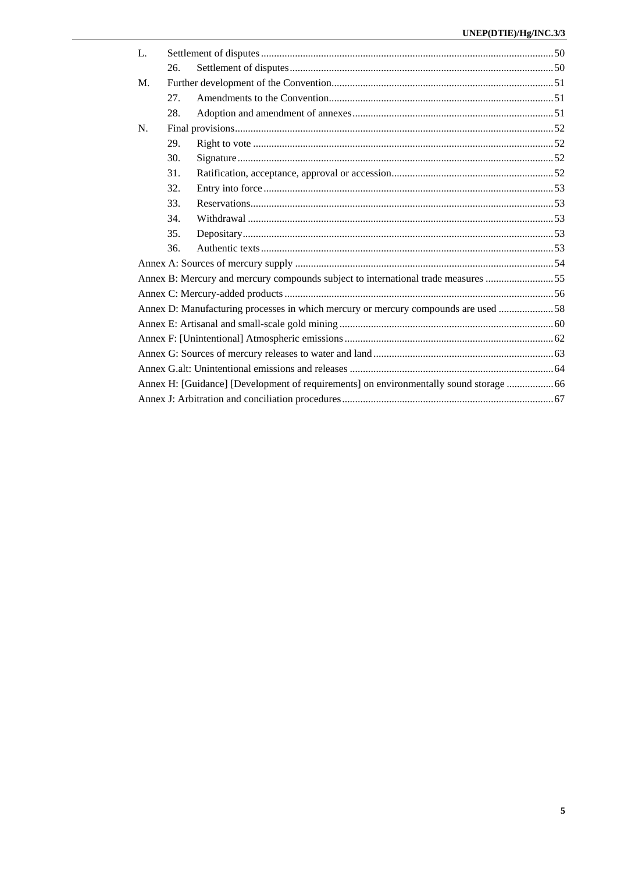| L.                                                                                     |     |  |  |  |
|----------------------------------------------------------------------------------------|-----|--|--|--|
|                                                                                        | 26. |  |  |  |
| $M_{\cdot}$                                                                            |     |  |  |  |
|                                                                                        | 27. |  |  |  |
|                                                                                        | 28. |  |  |  |
| N.                                                                                     |     |  |  |  |
|                                                                                        | 29. |  |  |  |
|                                                                                        | 30. |  |  |  |
|                                                                                        | 31. |  |  |  |
|                                                                                        | 32. |  |  |  |
|                                                                                        | 33. |  |  |  |
|                                                                                        | 34. |  |  |  |
|                                                                                        | 35. |  |  |  |
|                                                                                        | 36. |  |  |  |
|                                                                                        |     |  |  |  |
| Annex B: Mercury and mercury compounds subject to international trade measures 55      |     |  |  |  |
|                                                                                        |     |  |  |  |
| Annex D: Manufacturing processes in which mercury or mercury compounds are used 58     |     |  |  |  |
|                                                                                        |     |  |  |  |
|                                                                                        |     |  |  |  |
|                                                                                        |     |  |  |  |
|                                                                                        |     |  |  |  |
| Annex H: [Guidance] [Development of requirements] on environmentally sound storage  66 |     |  |  |  |
|                                                                                        |     |  |  |  |
|                                                                                        |     |  |  |  |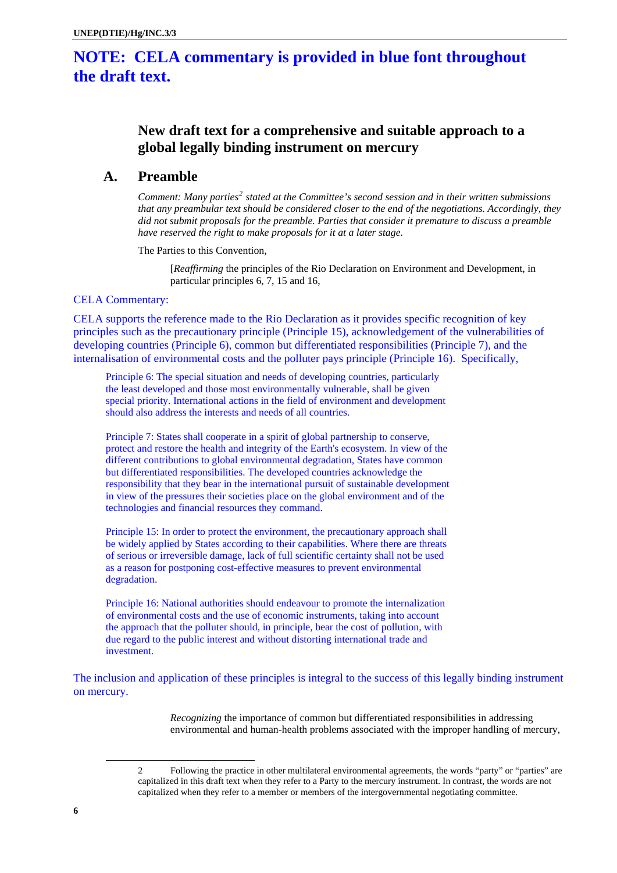# <span id="page-5-0"></span>**NOTE: CELA commentary is provided in blue font throughout the draft text.**

# **New draft text for a comprehensive and suitable approach to a global legally binding instrument on mercury**

# **A. Preamble**

*Comment: Many parties<sup>[2](#page-5-1)</sup> stated at the Committee's second session and in their written submissions that any preambular text should be considered closer to the end of the negotiations. Accordingly, they did not submit proposals for the preamble. Parties that consider it premature to discuss a preamble have reserved the right to make proposals for it at a later stage.* 

The Parties to this Convention,

[*Reaffirming* the principles of the Rio Declaration on Environment and Development, in particular principles 6, 7, 15 and 16,

# CELA Commentary:

CELA supports the reference made to the Rio Declaration as it provides specific recognition of key principles such as the precautionary principle (Principle 15), acknowledgement of the vulnerabilities of developing countries (Principle 6), common but differentiated responsibilities (Principle 7), and the internalisation of environmental costs and the polluter pays principle (Principle 16). Specifically,

Principle 6: The special situation and needs of developing countries, particularly the least developed and those most environmentally vulnerable, shall be given special priority. International actions in the field of environment and development should also address the interests and needs of all countries.

Principle 7: States shall cooperate in a spirit of global partnership to conserve, protect and restore the health and integrity of the Earth's ecosystem. In view of the different contributions to global environmental degradation, States have common but differentiated responsibilities. The developed countries acknowledge the responsibility that they bear in the international pursuit of sustainable development in view of the pressures their societies place on the global environment and of the technologies and financial resources they command.

Principle 15: In order to protect the environment, the precautionary approach shall be widely applied by States according to their capabilities. Where there are threats of serious or irreversible damage, lack of full scientific certainty shall not be used as a reason for postponing cost-effective measures to prevent environmental degradation.

Principle 16: National authorities should endeavour to promote the internalization of environmental costs and the use of economic instruments, taking into account the approach that the polluter should, in principle, bear the cost of pollution, with due regard to the public interest and without distorting international trade and investment.

The inclusion and application of these principles is integral to the success of this legally binding instrument on mercury.

> *Recognizing* the importance of common but differentiated responsibilities in addressing environmental and human-health problems associated with the improper handling of mercury,

<span id="page-5-1"></span> $\overline{a}$ 

<sup>2</sup> Following the practice in other multilateral environmental agreements, the words "party" or "parties" are capitalized in this draft text when they refer to a Party to the mercury instrument. In contrast, the words are not capitalized when they refer to a member or members of the intergovernmental negotiating committee.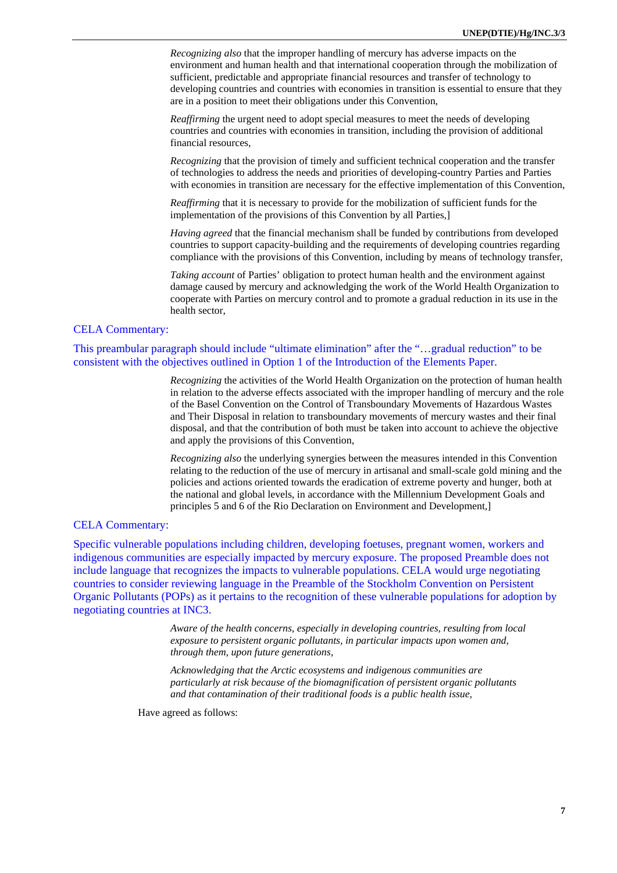*Recognizing also* that the improper handling of mercury has adverse impacts on the environment and human health and that international cooperation through the mobilization of sufficient, predictable and appropriate financial resources and transfer of technology to developing countries and countries with economies in transition is essential to ensure that they are in a position to meet their obligations under this Convention,

*Reaffirming* the urgent need to adopt special measures to meet the needs of developing countries and countries with economies in transition, including the provision of additional financial resources,

*Recognizing* that the provision of timely and sufficient technical cooperation and the transfer of technologies to address the needs and priorities of developing-country Parties and Parties with economies in transition are necessary for the effective implementation of this Convention,

*Reaffirming* that it is necessary to provide for the mobilization of sufficient funds for the implementation of the provisions of this Convention by all Parties,]

*Having agreed* that the financial mechanism shall be funded by contributions from developed countries to support capacity-building and the requirements of developing countries regarding compliance with the provisions of this Convention, including by means of technology transfer,

*Taking account* of Parties' obligation to protect human health and the environment against damage caused by mercury and acknowledging the work of the World Health Organization to cooperate with Parties on mercury control and to promote a gradual reduction in its use in the health sector,

# CELA Commentary:

This preambular paragraph should include "ultimate elimination" after the "…gradual reduction" to be consistent with the objectives outlined in Option 1 of the Introduction of the Elements Paper.

> *Recognizing* the activities of the World Health Organization on the protection of human health in relation to the adverse effects associated with the improper handling of mercury and the role of the Basel Convention on the Control of Transboundary Movements of Hazardous Wastes and Their Disposal in relation to transboundary movements of mercury wastes and their final disposal, and that the contribution of both must be taken into account to achieve the objective and apply the provisions of this Convention,

> *Recognizing also* the underlying synergies between the measures intended in this Convention relating to the reduction of the use of mercury in artisanal and small-scale gold mining and the policies and actions oriented towards the eradication of extreme poverty and hunger, both at the national and global levels, in accordance with the Millennium Development Goals and principles 5 and 6 of the Rio Declaration on Environment and Development,]

## CELA Commentary:

Specific vulnerable populations including children, developing foetuses, pregnant women, workers and indigenous communities are especially impacted by mercury exposure. The proposed Preamble does not include language that recognizes the impacts to vulnerable populations. CELA would urge negotiating countries to consider reviewing language in the Preamble of the Stockholm Convention on Persistent Organic Pollutants (POPs) as it pertains to the recognition of these vulnerable populations for adoption by negotiating countries at INC3.

> *Aware of the health concerns, especially in developing countries, resulting from local exposure to persistent organic pollutants, in particular impacts upon women and, through them, upon future generations,*

*Acknowledging that the Arctic ecosystems and indigenous communities are particularly at risk because of the biomagnification of persistent organic pollutants and that contamination of their traditional foods is a public health issue,* 

Have agreed as follows: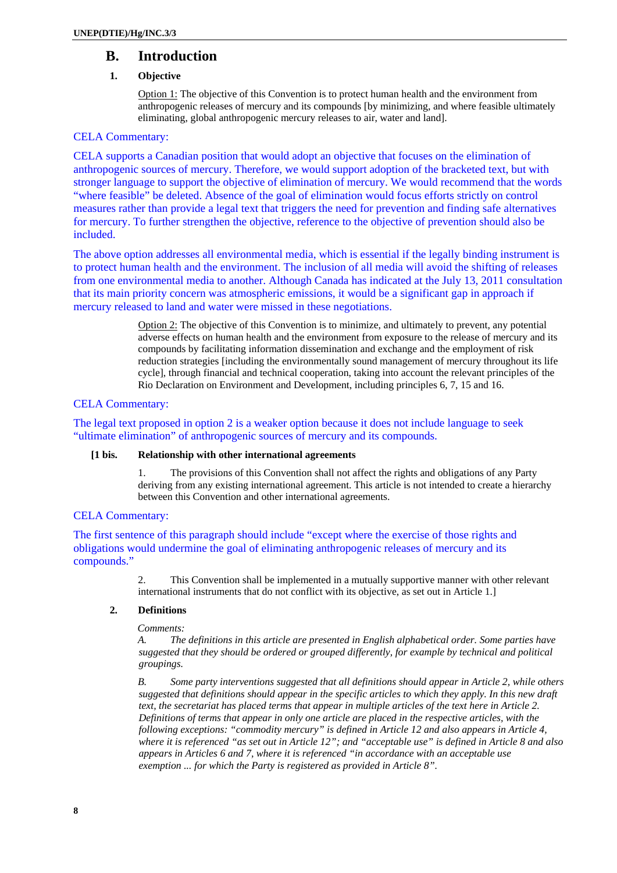# <span id="page-7-0"></span>**B. Introduction**

# **1. Objective**

Option 1: The objective of this Convention is to protect human health and the environment from anthropogenic releases of mercury and its compounds [by minimizing, and where feasible ultimately eliminating, global anthropogenic mercury releases to air, water and land].

# CELA Commentary:

CELA supports a Canadian position that would adopt an objective that focuses on the elimination of anthropogenic sources of mercury. Therefore, we would support adoption of the bracketed text, but with stronger language to support the objective of elimination of mercury. We would recommend that the words "where feasible" be deleted. Absence of the goal of elimination would focus efforts strictly on control measures rather than provide a legal text that triggers the need for prevention and finding safe alternatives for mercury. To further strengthen the objective, reference to the objective of prevention should also be included.

The above option addresses all environmental media, which is essential if the legally binding instrument is to protect human health and the environment. The inclusion of all media will avoid the shifting of releases from one environmental media to another. Although Canada has indicated at the July 13, 2011 consultation that its main priority concern was atmospheric emissions, it would be a significant gap in approach if mercury released to land and water were missed in these negotiations.

> Option 2: The objective of this Convention is to minimize, and ultimately to prevent, any potential adverse effects on human health and the environment from exposure to the release of mercury and its compounds by facilitating information dissemination and exchange and the employment of risk reduction strategies [including the environmentally sound management of mercury throughout its life cycle], through financial and technical cooperation, taking into account the relevant principles of the Rio Declaration on Environment and Development, including principles 6, 7, 15 and 16.

# CELA Commentary:

The legal text proposed in option 2 is a weaker option because it does not include language to seek "ultimate elimination" of anthropogenic sources of mercury and its compounds.

# **[1 bis. Relationship with other international agreements**

1. The provisions of this Convention shall not affect the rights and obligations of any Party deriving from any existing international agreement. This article is not intended to create a hierarchy between this Convention and other international agreements.

# CELA Commentary:

The first sentence of this paragraph should include "except where the exercise of those rights and obligations would undermine the goal of eliminating anthropogenic releases of mercury and its compounds."

> 2. This Convention shall be implemented in a mutually supportive manner with other relevant international instruments that do not conflict with its objective, as set out in Article 1.]

# **2. Definitions**

# *Comments:*

*A. The definitions in this article are presented in English alphabetical order. Some parties have suggested that they should be ordered or grouped differently, for example by technical and political groupings.* 

*B. Some party interventions suggested that all definitions should appear in Article 2, while others suggested that definitions should appear in the specific articles to which they apply. In this new draft text, the secretariat has placed terms that appear in multiple articles of the text here in Article 2. Definitions of terms that appear in only one article are placed in the respective articles, with the following exceptions: "commodity mercury" is defined in Article 12 and also appears in Article 4, where it is referenced "as set out in Article 12"; and "acceptable use" is defined in Article 8 and also appears in Articles 6 and 7, where it is referenced "in accordance with an acceptable use exemption ... for which the Party is registered as provided in Article 8".*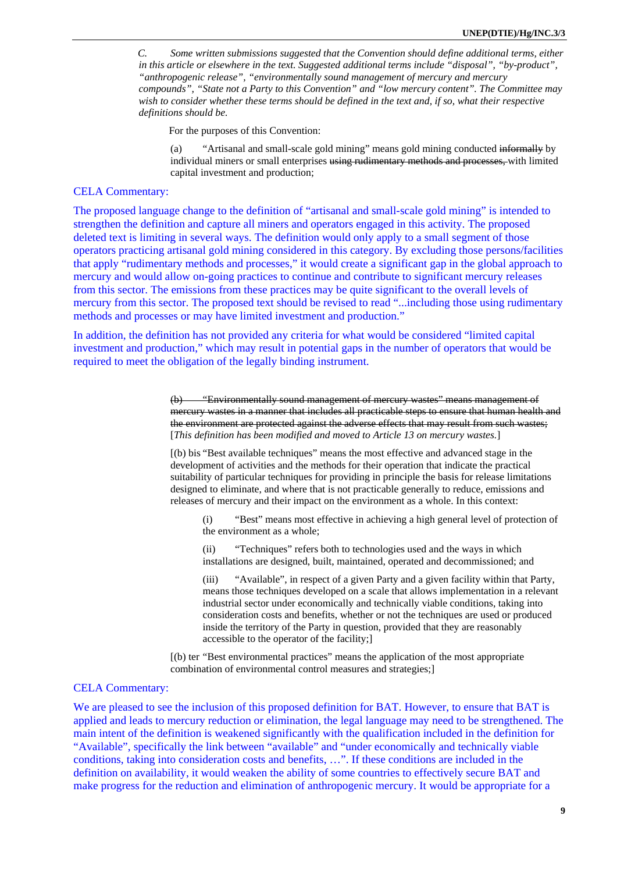*C. Some written submissions suggested that the Convention should define additional terms, either in this article or elsewhere in the text. Suggested additional terms include "disposal", "by-product", "anthropogenic release", "environmentally sound management of mercury and mercury compounds", "State not a Party to this Convention" and "low mercury content". The Committee may wish to consider whether these terms should be defined in the text and, if so, what their respective definitions should be.* 

For the purposes of this Convention:

(a) "Artisanal and small-scale gold mining" means gold mining conducted informally by individual miners or small enterprises using rudimentary methods and processes, with limited capital investment and production;

# CELA Commentary:

The proposed language change to the definition of "artisanal and small-scale gold mining" is intended to strengthen the definition and capture all miners and operators engaged in this activity. The proposed deleted text is limiting in several ways. The definition would only apply to a small segment of those operators practicing artisanal gold mining considered in this category. By excluding those persons/facilities that apply "rudimentary methods and processes," it would create a significant gap in the global approach to mercury and would allow on-going practices to continue and contribute to significant mercury releases from this sector. The emissions from these practices may be quite significant to the overall levels of mercury from this sector. The proposed text should be revised to read "...including those using rudimentary methods and processes or may have limited investment and production."

In addition, the definition has not provided any criteria for what would be considered "limited capital investment and production," which may result in potential gaps in the number of operators that would be required to meet the obligation of the legally binding instrument.

> (b) "Environmentally sound management of mercury wastes" means management of mercury wastes in a manner that includes all practicable steps to ensure that human health and the environment are protected against the adverse effects that may result from such wastes; [*This definition has been modified and moved to Article 13 on mercury wastes.*]

[(b) bis "Best available techniques" means the most effective and advanced stage in the development of activities and the methods for their operation that indicate the practical suitability of particular techniques for providing in principle the basis for release limitations designed to eliminate, and where that is not practicable generally to reduce, emissions and releases of mercury and their impact on the environment as a whole. In this context:

(i) "Best" means most effective in achieving a high general level of protection of the environment as a whole;

(ii) "Techniques" refers both to technologies used and the ways in which installations are designed, built, maintained, operated and decommissioned; and

(iii) "Available", in respect of a given Party and a given facility within that Party, means those techniques developed on a scale that allows implementation in a relevant industrial sector under economically and technically viable conditions, taking into consideration costs and benefits, whether or not the techniques are used or produced inside the territory of the Party in question, provided that they are reasonably accessible to the operator of the facility;]

[(b) ter "Best environmental practices" means the application of the most appropriate combination of environmental control measures and strategies;]

# CELA Commentary:

We are pleased to see the inclusion of this proposed definition for BAT. However, to ensure that BAT is applied and leads to mercury reduction or elimination, the legal language may need to be strengthened. The main intent of the definition is weakened significantly with the qualification included in the definition for "Available", specifically the link between "available" and "under economically and technically viable conditions, taking into consideration costs and benefits, …". If these conditions are included in the definition on availability, it would weaken the ability of some countries to effectively secure BAT and make progress for the reduction and elimination of anthropogenic mercury. It would be appropriate for a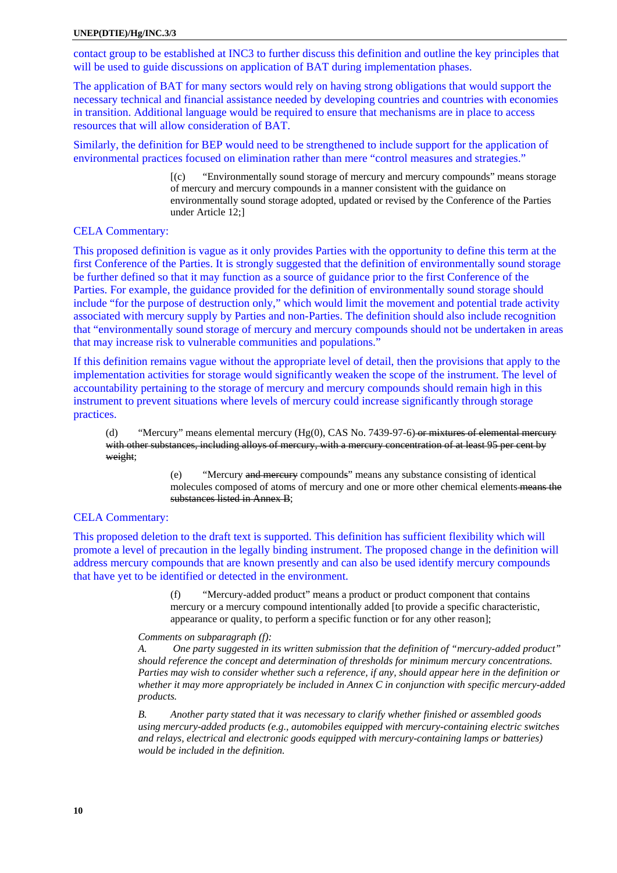contact group to be established at INC3 to further discuss this definition and outline the key principles that will be used to guide discussions on application of BAT during implementation phases.

The application of BAT for many sectors would rely on having strong obligations that would support the necessary technical and financial assistance needed by developing countries and countries with economies in transition. Additional language would be required to ensure that mechanisms are in place to access resources that will allow consideration of BAT.

Similarly, the definition for BEP would need to be strengthened to include support for the application of environmental practices focused on elimination rather than mere "control measures and strategies."

> [(c) "Environmentally sound storage of mercury and mercury compounds" means storage of mercury and mercury compounds in a manner consistent with the guidance on environmentally sound storage adopted, updated or revised by the Conference of the Parties under Article 12;]

# CELA Commentary:

This proposed definition is vague as it only provides Parties with the opportunity to define this term at the first Conference of the Parties. It is strongly suggested that the definition of environmentally sound storage be further defined so that it may function as a source of guidance prior to the first Conference of the Parties. For example, the guidance provided for the definition of environmentally sound storage should include "for the purpose of destruction only," which would limit the movement and potential trade activity associated with mercury supply by Parties and non-Parties. The definition should also include recognition that "environmentally sound storage of mercury and mercury compounds should not be undertaken in areas that may increase risk to vulnerable communities and populations."

If this definition remains vague without the appropriate level of detail, then the provisions that apply to the implementation activities for storage would significantly weaken the scope of the instrument. The level of accountability pertaining to the storage of mercury and mercury compounds should remain high in this instrument to prevent situations where levels of mercury could increase significantly through storage practices.

(d) "Mercury" means elemental mercury  $(Hg(0), CAS No. 7439-97-6)$  or mixtures of elemental mercury with other substances, including alloys of mercury, with a mercury concentration of at least 95 per cent by weight;

> (e) "Mercury and mercury compounds" means any substance consisting of identical molecules composed of atoms of mercury and one or more other chemical elements means the substances listed in Annex B;

# CELA Commentary:

This proposed deletion to the draft text is supported. This definition has sufficient flexibility which will promote a level of precaution in the legally binding instrument. The proposed change in the definition will address mercury compounds that are known presently and can also be used identify mercury compounds that have yet to be identified or detected in the environment.

> (f) "Mercury-added product" means a product or product component that contains mercury or a mercury compound intentionally added [to provide a specific characteristic, appearance or quality, to perform a specific function or for any other reason];

#### *Comments on subparagraph (f):*

*A. One party suggested in its written submission that the definition of "mercury-added product" should reference the concept and determination of thresholds for minimum mercury concentrations. Parties may wish to consider whether such a reference, if any, should appear here in the definition or whether it may more appropriately be included in Annex C in conjunction with specific mercury-added products.* 

*B. Another party stated that it was necessary to clarify whether finished or assembled goods using mercury-added products (e.g., automobiles equipped with mercury-containing electric switches and relays, electrical and electronic goods equipped with mercury-containing lamps or batteries) would be included in the definition.*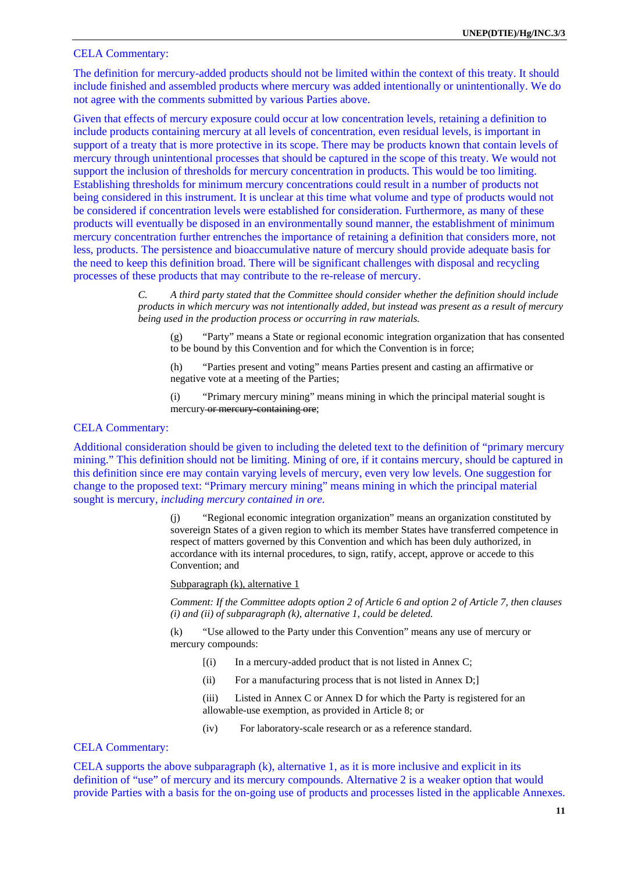# CELA Commentary:

The definition for mercury-added products should not be limited within the context of this treaty. It should include finished and assembled products where mercury was added intentionally or unintentionally. We do not agree with the comments submitted by various Parties above.

Given that effects of mercury exposure could occur at low concentration levels, retaining a definition to include products containing mercury at all levels of concentration, even residual levels, is important in support of a treaty that is more protective in its scope. There may be products known that contain levels of mercury through unintentional processes that should be captured in the scope of this treaty. We would not support the inclusion of thresholds for mercury concentration in products. This would be too limiting. Establishing thresholds for minimum mercury concentrations could result in a number of products not being considered in this instrument. It is unclear at this time what volume and type of products would not be considered if concentration levels were established for consideration. Furthermore, as many of these products will eventually be disposed in an environmentally sound manner, the establishment of minimum mercury concentration further entrenches the importance of retaining a definition that considers more, not less, products. The persistence and bioaccumulative nature of mercury should provide adequate basis for the need to keep this definition broad. There will be significant challenges with disposal and recycling processes of these products that may contribute to the re-release of mercury.

> *C. A third party stated that the Committee should consider whether the definition should include products in which mercury was not intentionally added, but instead was present as a result of mercury being used in the production process or occurring in raw materials.*

(g) "Party" means a State or regional economic integration organization that has consented to be bound by this Convention and for which the Convention is in force;

(h) "Parties present and voting" means Parties present and casting an affirmative or negative vote at a meeting of the Parties;

(i) "Primary mercury mining" means mining in which the principal material sought is mercury-or mercury-containing ore;

# CELA Commentary:

Additional consideration should be given to including the deleted text to the definition of "primary mercury mining." This definition should not be limiting. Mining of ore, if it contains mercury, should be captured in this definition since ere may contain varying levels of mercury, even very low levels. One suggestion for change to the proposed text: "Primary mercury mining" means mining in which the principal material sought is mercury, *including mercury contained in ore.*

> (j) "Regional economic integration organization" means an organization constituted by sovereign States of a given region to which its member States have transferred competence in respect of matters governed by this Convention and which has been duly authorized, in accordance with its internal procedures, to sign, ratify, accept, approve or accede to this Convention; and

Subparagraph (k), alternative 1

*Comment: If the Committee adopts option 2 of Article 6 and option 2 of Article 7, then clauses (i) and (ii) of subparagraph (k), alternative 1, could be deleted.* 

(k) "Use allowed to the Party under this Convention" means any use of mercury or mercury compounds:

- $[(i)$  In a mercury-added product that is not listed in Annex C;
- (ii) For a manufacturing process that is not listed in Annex D;]

(iii) Listed in Annex C or Annex D for which the Party is registered for an allowable-use exemption, as provided in Article 8; or

(iv) For laboratory-scale research or as a reference standard.

CELA Commentary:

CELA supports the above subparagraph (k), alternative 1, as it is more inclusive and explicit in its definition of "use" of mercury and its mercury compounds. Alternative 2 is a weaker option that would provide Parties with a basis for the on-going use of products and processes listed in the applicable Annexes.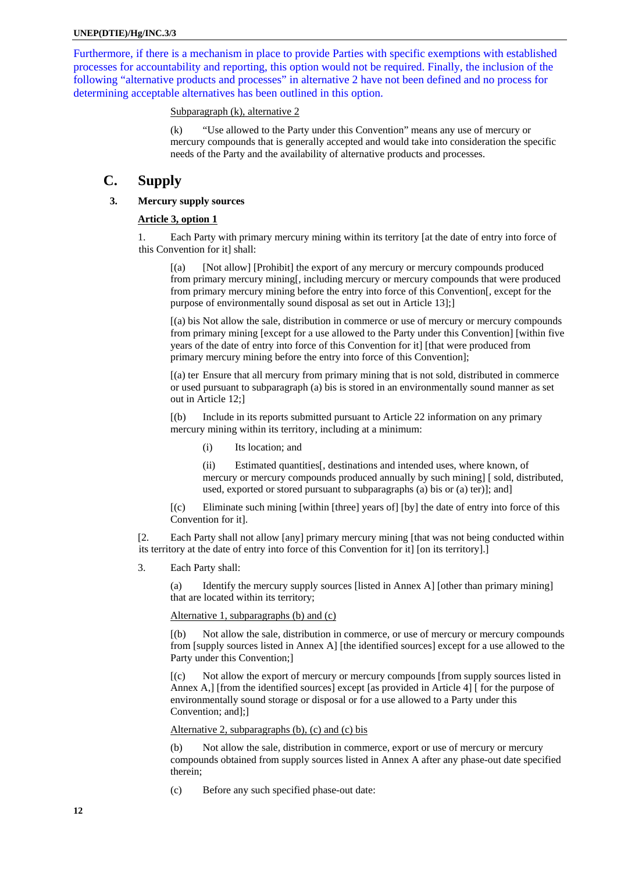<span id="page-11-0"></span>Furthermore, if there is a mechanism in place to provide Parties with specific exemptions with established processes for accountability and reporting, this option would not be required. Finally, the inclusion of the following "alternative products and processes" in alternative 2 have not been defined and no process for determining acceptable alternatives has been outlined in this option.

# Subparagraph (k), alternative 2

(k) "Use allowed to the Party under this Convention" means any use of mercury or mercury compounds that is generally accepted and would take into consideration the specific needs of the Party and the availability of alternative products and processes.

# **C. Supply**

# **3. Mercury supply sources**

# **Article 3, option 1**

1. Each Party with primary mercury mining within its territory [at the date of entry into force of this Convention for it] shall:

[(a) [Not allow] [Prohibit] the export of any mercury or mercury compounds produced from primary mercury mining[, including mercury or mercury compounds that were produced from primary mercury mining before the entry into force of this Convention[, except for the purpose of environmentally sound disposal as set out in Article 13];]

[(a) bis Not allow the sale, distribution in commerce or use of mercury or mercury compounds from primary mining [except for a use allowed to the Party under this Convention] [within five years of the date of entry into force of this Convention for it] [that were produced from primary mercury mining before the entry into force of this Convention];

[(a) ter Ensure that all mercury from primary mining that is not sold, distributed in commerce or used pursuant to subparagraph (a) bis is stored in an environmentally sound manner as set out in Article 12;]

[(b) Include in its reports submitted pursuant to Article 22 information on any primary mercury mining within its territory, including at a minimum:

(i) Its location; and

(ii) Estimated quantities[, destinations and intended uses, where known, of mercury or mercury compounds produced annually by such mining] [ sold, distributed, used, exported or stored pursuant to subparagraphs (a) bis or (a) ter)]; and]

[(c) Eliminate such mining [within [three] years of] [by] the date of entry into force of this Convention for it].

[2. Each Party shall not allow [any] primary mercury mining [that was not being conducted within its territory at the date of entry into force of this Convention for it] [on its territory].]

3. Each Party shall:

(a) Identify the mercury supply sources [listed in Annex A] [other than primary mining] that are located within its territory;

# Alternative 1, subparagraphs (b) and (c)

[(b) Not allow the sale, distribution in commerce, or use of mercury or mercury compounds from [supply sources listed in Annex A] [the identified sources] except for a use allowed to the Party under this Convention;]

[(c) Not allow the export of mercury or mercury compounds [from supply sources listed in Annex A,] [from the identified sources] except [as provided in Article 4] [ for the purpose of environmentally sound storage or disposal or for a use allowed to a Party under this Convention; and];]

# Alternative 2, subparagraphs (b), (c) and (c) bis

(b) Not allow the sale, distribution in commerce, export or use of mercury or mercury compounds obtained from supply sources listed in Annex A after any phase-out date specified therein;

(c) Before any such specified phase-out date: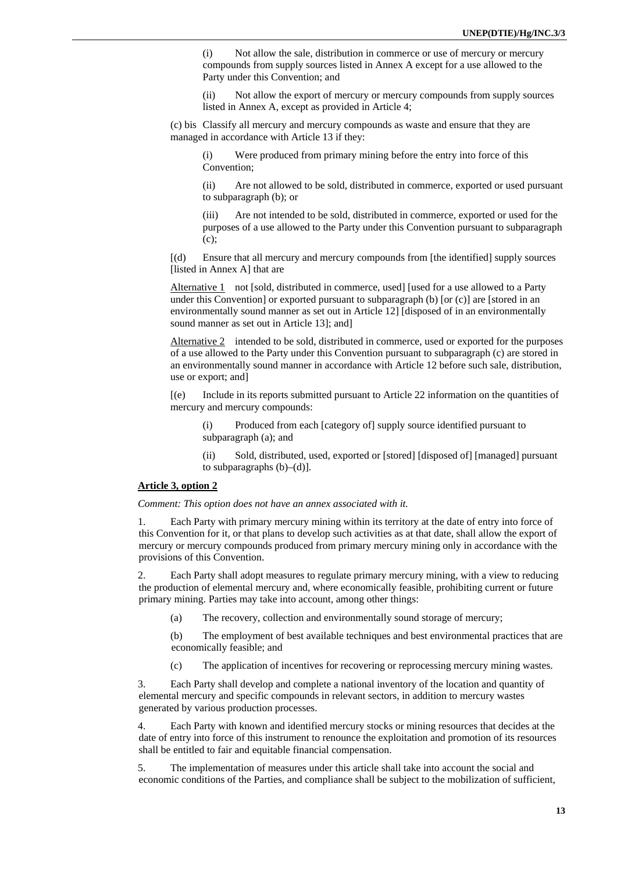(i) Not allow the sale, distribution in commerce or use of mercury or mercury compounds from supply sources listed in Annex A except for a use allowed to the Party under this Convention; and

(ii) Not allow the export of mercury or mercury compounds from supply sources listed in Annex A, except as provided in Article 4;

(c) bis Classify all mercury and mercury compounds as waste and ensure that they are managed in accordance with Article 13 if they:

(i) Were produced from primary mining before the entry into force of this Convention;

(ii) Are not allowed to be sold, distributed in commerce, exported or used pursuant to subparagraph (b); or

(iii) Are not intended to be sold, distributed in commerce, exported or used for the purposes of a use allowed to the Party under this Convention pursuant to subparagraph (c);

[(d) Ensure that all mercury and mercury compounds from [the identified] supply sources [listed in Annex A] that are

Alternative 1 not [sold, distributed in commerce, used] [used for a use allowed to a Party under this Convention] or exported pursuant to subparagraph (b) [or (c)] are [stored in an environmentally sound manner as set out in Article 12] [disposed of in an environmentally sound manner as set out in Article 13]; and]

Alternative 2 intended to be sold, distributed in commerce, used or exported for the purposes of a use allowed to the Party under this Convention pursuant to subparagraph (c) are stored in an environmentally sound manner in accordance with Article 12 before such sale, distribution, use or export; and]

[(e) Include in its reports submitted pursuant to Article 22 information on the quantities of mercury and mercury compounds:

(i) Produced from each [category of] supply source identified pursuant to subparagraph (a); and

(ii) Sold, distributed, used, exported or [stored] [disposed of] [managed] pursuant to subparagraphs  $(b)$ – $(d)$ ].

#### **Article 3, option 2**

*Comment: This option does not have an annex associated with it.* 

1. Each Party with primary mercury mining within its territory at the date of entry into force of this Convention for it, or that plans to develop such activities as at that date, shall allow the export of mercury or mercury compounds produced from primary mercury mining only in accordance with the provisions of this Convention.

2. Each Party shall adopt measures to regulate primary mercury mining, with a view to reducing the production of elemental mercury and, where economically feasible, prohibiting current or future primary mining. Parties may take into account, among other things:

(a) The recovery, collection and environmentally sound storage of mercury;

(b) The employment of best available techniques and best environmental practices that are economically feasible; and

(c) The application of incentives for recovering or reprocessing mercury mining wastes.

3. Each Party shall develop and complete a national inventory of the location and quantity of elemental mercury and specific compounds in relevant sectors, in addition to mercury wastes generated by various production processes.

4. Each Party with known and identified mercury stocks or mining resources that decides at the date of entry into force of this instrument to renounce the exploitation and promotion of its resources shall be entitled to fair and equitable financial compensation.

5. The implementation of measures under this article shall take into account the social and economic conditions of the Parties, and compliance shall be subject to the mobilization of sufficient,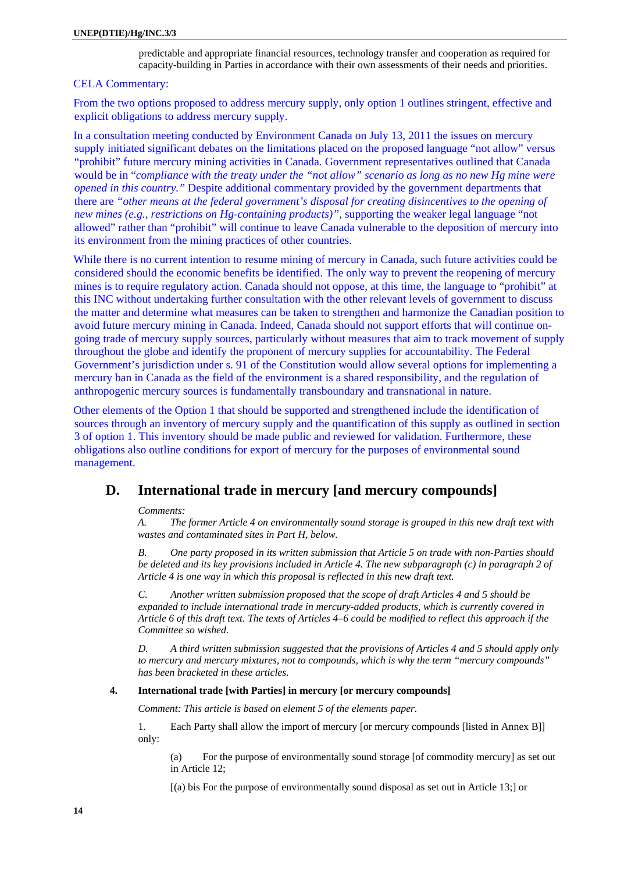predictable and appropriate financial resources, technology transfer and cooperation as required for capacity-building in Parties in accordance with their own assessments of their needs and priorities.

# <span id="page-13-0"></span>CELA Commentary:

From the two options proposed to address mercury supply, only option 1 outlines stringent, effective and explicit obligations to address mercury supply.

In a consultation meeting conducted by Environment Canada on July 13, 2011 the issues on mercury supply initiated significant debates on the limitations placed on the proposed language "not allow" versus "prohibit" future mercury mining activities in Canada. Government representatives outlined that Canada would be in "*compliance with the treaty under the "not allow" scenario as long as no new Hg mine were opened in this country."* Despite additional commentary provided by the government departments that there are *"other means at the federal government's disposal for creating disincentives to the opening of new mines (e.g., restrictions on Hg-containing products)",* supporting the weaker legal language "not allowed" rather than "prohibit" will continue to leave Canada vulnerable to the deposition of mercury into its environment from the mining practices of other countries.

While there is no current intention to resume mining of mercury in Canada, such future activities could be considered should the economic benefits be identified. The only way to prevent the reopening of mercury mines is to require regulatory action. Canada should not oppose, at this time, the language to "prohibit" at this INC without undertaking further consultation with the other relevant levels of government to discuss the matter and determine what measures can be taken to strengthen and harmonize the Canadian position to avoid future mercury mining in Canada. Indeed, Canada should not support efforts that will continue ongoing trade of mercury supply sources, particularly without measures that aim to track movement of supply throughout the globe and identify the proponent of mercury supplies for accountability. The Federal Government's jurisdiction under s. 91 of the Constitution would allow several options for implementing a mercury ban in Canada as the field of the environment is a shared responsibility, and the regulation of anthropogenic mercury sources is fundamentally transboundary and transnational in nature.

Other elements of the Option 1 that should be supported and strengthened include the identification of sources through an inventory of mercury supply and the quantification of this supply as outlined in section 3 of option 1. This inventory should be made public and reviewed for validation. Furthermore, these obligations also outline conditions for export of mercury for the purposes of environmental sound management.

# **D. International trade in mercury [and mercury compounds]**

# *Comments:*

*A. The former Article 4 on environmentally sound storage is grouped in this new draft text with wastes and contaminated sites in Part H, below.* 

*B. One party proposed in its written submission that Article 5 on trade with non-Parties should be deleted and its key provisions included in Article 4. The new subparagraph (c) in paragraph 2 of Article 4 is one way in which this proposal is reflected in this new draft text.* 

*C. Another written submission proposed that the scope of draft Articles 4 and 5 should be expanded to include international trade in mercury-added products, which is currently covered in Article 6 of this draft text. The texts of Articles 4–6 could be modified to reflect this approach if the Committee so wished.* 

*D. A third written submission suggested that the provisions of Articles 4 and 5 should apply only to mercury and mercury mixtures, not to compounds, which is why the term "mercury compounds" has been bracketed in these articles.* 

# **4. International trade [with Parties] in mercury [or mercury compounds]**

*Comment: This article is based on element 5 of the elements paper.* 

1. Each Party shall allow the import of mercury [or mercury compounds [listed in Annex B]] only:

(a) For the purpose of environmentally sound storage [of commodity mercury] as set out in Article 12;

[(a) bis For the purpose of environmentally sound disposal as set out in Article 13;] or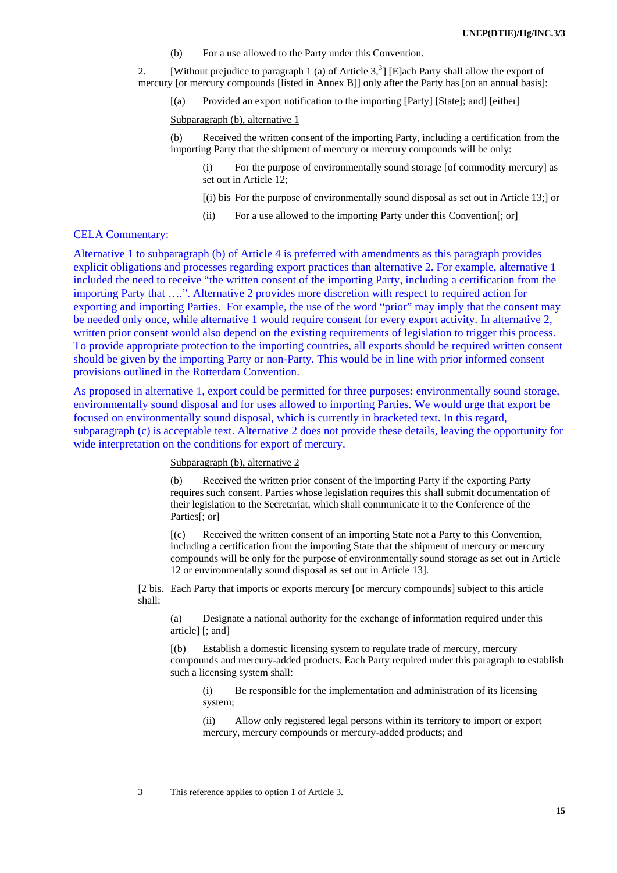(b) For a use allowed to the Party under this Convention.

2. [Without prejudice to paragraph 1 (a) of Article  $3<sup>3</sup>$  $3<sup>3</sup>$ ] [E]ach Party shall allow the export of mercury [or mercury compounds [listed in Annex B]] only after the Party has [on an annual basis]:

[(a) Provided an export notification to the importing [Party] [State]; and] [either]

Subparagraph (b), alternative 1

(b) Received the written consent of the importing Party, including a certification from the importing Party that the shipment of mercury or mercury compounds will be only:

(i) For the purpose of environmentally sound storage [of commodity mercury] as set out in Article 12;

- [(i) bis For the purpose of environmentally sound disposal as set out in Article 13;] or
- (ii) For a use allowed to the importing Party under this Convention[; or]

# CELA Commentary:

<span id="page-14-0"></span> $\overline{a}$ 

Alternative 1 to subparagraph (b) of Article 4 is preferred with amendments as this paragraph provides explicit obligations and processes regarding export practices than alternative 2. For example, alternative 1 included the need to receive "the written consent of the importing Party, including a certification from the importing Party that ….". Alternative 2 provides more discretion with respect to required action for exporting and importing Parties. For example, the use of the word "prior" may imply that the consent may be needed only once, while alternative 1 would require consent for every export activity. In alternative 2, written prior consent would also depend on the existing requirements of legislation to trigger this process. To provide appropriate protection to the importing countries, all exports should be required written consent should be given by the importing Party or non-Party. This would be in line with prior informed consent provisions outlined in the Rotterdam Convention.

As proposed in alternative 1, export could be permitted for three purposes: environmentally sound storage, environmentally sound disposal and for uses allowed to importing Parties. We would urge that export be focused on environmentally sound disposal, which is currently in bracketed text. In this regard, subparagraph (c) is acceptable text. Alternative 2 does not provide these details, leaving the opportunity for wide interpretation on the conditions for export of mercury.

# Subparagraph (b), alternative 2

(b) Received the written prior consent of the importing Party if the exporting Party requires such consent. Parties whose legislation requires this shall submit documentation of their legislation to the Secretariat, which shall communicate it to the Conference of the Parties<sup>[</sup>; or]

[(c) Received the written consent of an importing State not a Party to this Convention, including a certification from the importing State that the shipment of mercury or mercury compounds will be only for the purpose of environmentally sound storage as set out in Article 12 or environmentally sound disposal as set out in Article 13].

[2 bis. Each Party that imports or exports mercury [or mercury compounds] subject to this article shall:

(a) Designate a national authority for the exchange of information required under this article] [; and]

[(b) Establish a domestic licensing system to regulate trade of mercury, mercury compounds and mercury-added products. Each Party required under this paragraph to establish such a licensing system shall:

(i) Be responsible for the implementation and administration of its licensing system;

(ii) Allow only registered legal persons within its territory to import or export mercury, mercury compounds or mercury-added products; and

3 This reference applies to option 1 of Article 3.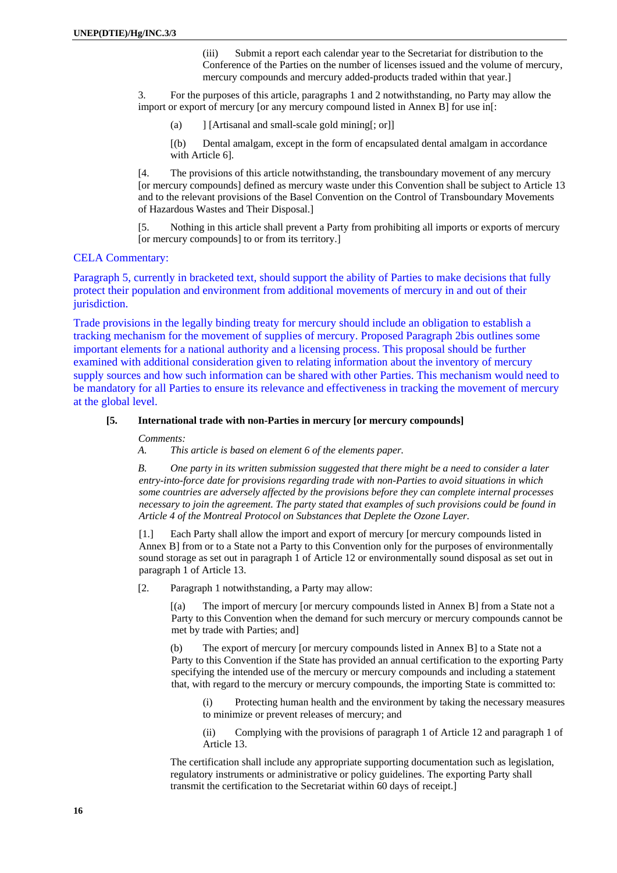(iii) Submit a report each calendar year to the Secretariat for distribution to the Conference of the Parties on the number of licenses issued and the volume of mercury, mercury compounds and mercury added-products traded within that year.]

<span id="page-15-0"></span>3. For the purposes of this article, paragraphs 1 and 2 notwithstanding, no Party may allow the import or export of mercury [or any mercury compound listed in Annex B] for use in[:

(a) ] [Artisanal and small-scale gold mining[; or]]

[(b) Dental amalgam, except in the form of encapsulated dental amalgam in accordance with Article 6].

[4. The provisions of this article notwithstanding, the transboundary movement of any mercury [or mercury compounds] defined as mercury waste under this Convention shall be subject to Article 13 and to the relevant provisions of the Basel Convention on the Control of Transboundary Movements of Hazardous Wastes and Their Disposal.]

[5. Nothing in this article shall prevent a Party from prohibiting all imports or exports of mercury [or mercury compounds] to or from its territory.]

# CELA Commentary:

Paragraph 5, currently in bracketed text, should support the ability of Parties to make decisions that fully protect their population and environment from additional movements of mercury in and out of their jurisdiction.

Trade provisions in the legally binding treaty for mercury should include an obligation to establish a tracking mechanism for the movement of supplies of mercury. Proposed Paragraph 2bis outlines some important elements for a national authority and a licensing process. This proposal should be further examined with additional consideration given to relating information about the inventory of mercury supply sources and how such information can be shared with other Parties. This mechanism would need to be mandatory for all Parties to ensure its relevance and effectiveness in tracking the movement of mercury at the global level.

#### **[5. International trade with non-Parties in mercury [or mercury compounds]**

*Comments:* 

*A. This article is based on element 6 of the elements paper.* 

*B. One party in its written submission suggested that there might be a need to consider a later entry-into-force date for provisions regarding trade with non-Parties to avoid situations in which some countries are adversely affected by the provisions before they can complete internal processes necessary to join the agreement. The party stated that examples of such provisions could be found in Article 4 of the Montreal Protocol on Substances that Deplete the Ozone Layer.* 

 [1.] Each Party shall allow the import and export of mercury [or mercury compounds listed in Annex B] from or to a State not a Party to this Convention only for the purposes of environmentally sound storage as set out in paragraph 1 of Article 12 or environmentally sound disposal as set out in paragraph 1 of Article 13.

[2. Paragraph 1 notwithstanding, a Party may allow:

[(a) The import of mercury [or mercury compounds listed in Annex B] from a State not a Party to this Convention when the demand for such mercury or mercury compounds cannot be met by trade with Parties; and]

(b) The export of mercury [or mercury compounds listed in Annex B] to a State not a Party to this Convention if the State has provided an annual certification to the exporting Party specifying the intended use of the mercury or mercury compounds and including a statement that, with regard to the mercury or mercury compounds, the importing State is committed to:

(i) Protecting human health and the environment by taking the necessary measures to minimize or prevent releases of mercury; and

(ii) Complying with the provisions of paragraph 1 of Article 12 and paragraph 1 of Article 13.

The certification shall include any appropriate supporting documentation such as legislation, regulatory instruments or administrative or policy guidelines. The exporting Party shall transmit the certification to the Secretariat within 60 days of receipt.]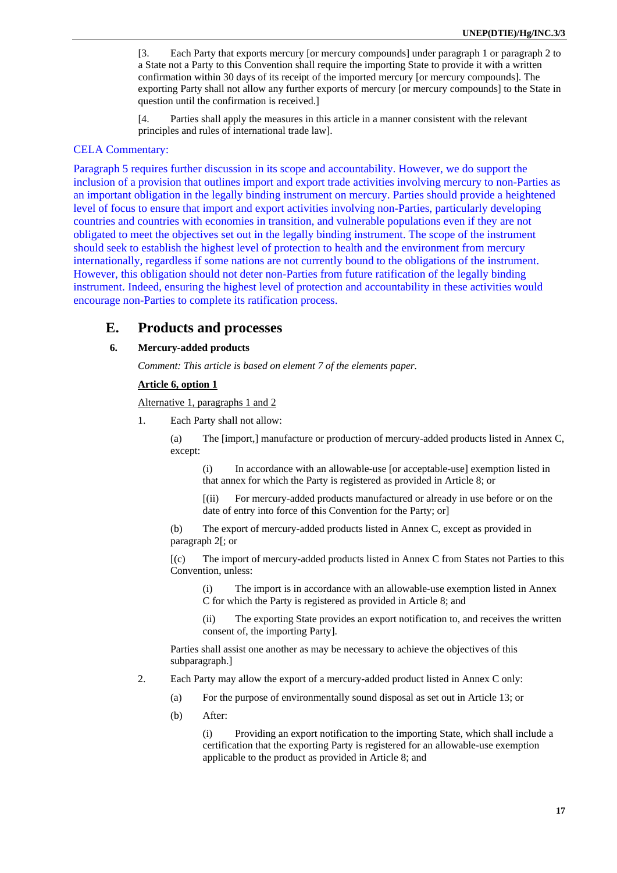<span id="page-16-0"></span>[3. Each Party that exports mercury [or mercury compounds] under paragraph 1 or paragraph 2 to a State not a Party to this Convention shall require the importing State to provide it with a written confirmation within 30 days of its receipt of the imported mercury [or mercury compounds]. The exporting Party shall not allow any further exports of mercury [or mercury compounds] to the State in question until the confirmation is received.]

[4. Parties shall apply the measures in this article in a manner consistent with the relevant principles and rules of international trade law].

# CELA Commentary:

Paragraph 5 requires further discussion in its scope and accountability. However, we do support the inclusion of a provision that outlines import and export trade activities involving mercury to non-Parties as an important obligation in the legally binding instrument on mercury. Parties should provide a heightened level of focus to ensure that import and export activities involving non-Parties, particularly developing countries and countries with economies in transition, and vulnerable populations even if they are not obligated to meet the objectives set out in the legally binding instrument. The scope of the instrument should seek to establish the highest level of protection to health and the environment from mercury internationally, regardless if some nations are not currently bound to the obligations of the instrument. However, this obligation should not deter non-Parties from future ratification of the legally binding instrument. Indeed, ensuring the highest level of protection and accountability in these activities would encourage non-Parties to complete its ratification process.

# **E. Products and processes**

# **6. Mercury-added products**

*Comment: This article is based on element 7 of the elements paper.*

#### **Article 6, option 1**

Alternative 1, paragraphs 1 and 2

1. Each Party shall not allow:

(a) The [import,] manufacture or production of mercury-added products listed in Annex C, except:

(i) In accordance with an allowable-use [or acceptable-use] exemption listed in that annex for which the Party is registered as provided in Article 8; or

[(ii) For mercury-added products manufactured or already in use before or on the date of entry into force of this Convention for the Party; or]

(b) The export of mercury-added products listed in Annex C, except as provided in paragraph 2[; or

[(c) The import of mercury-added products listed in Annex C from States not Parties to this Convention, unless:

(i) The import is in accordance with an allowable-use exemption listed in Annex C for which the Party is registered as provided in Article 8; and

The exporting State provides an export notification to, and receives the written consent of, the importing Party].

Parties shall assist one another as may be necessary to achieve the objectives of this subparagraph.]

- 2. Each Party may allow the export of a mercury-added product listed in Annex C only:
	- (a) For the purpose of environmentally sound disposal as set out in Article 13; or
	- (b) After:

(i) Providing an export notification to the importing State, which shall include a certification that the exporting Party is registered for an allowable-use exemption applicable to the product as provided in Article 8; and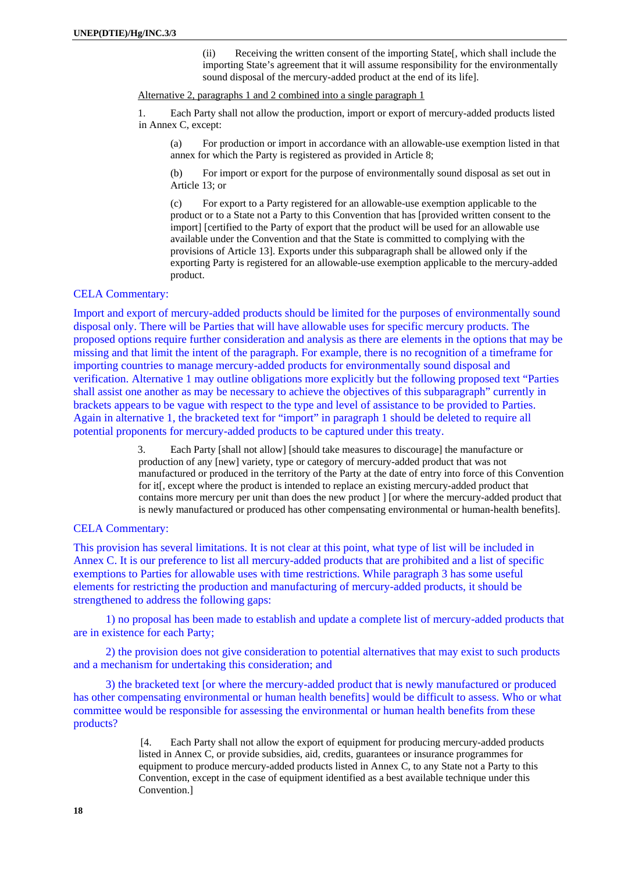(ii) Receiving the written consent of the importing State[, which shall include the importing State's agreement that it will assume responsibility for the environmentally sound disposal of the mercury-added product at the end of its life].

Alternative 2, paragraphs 1 and 2 combined into a single paragraph 1

1. Each Party shall not allow the production, import or export of mercury-added products listed in Annex C, except:

(a) For production or import in accordance with an allowable-use exemption listed in that annex for which the Party is registered as provided in Article 8;

(b) For import or export for the purpose of environmentally sound disposal as set out in Article 13; or

(c) For export to a Party registered for an allowable-use exemption applicable to the product or to a State not a Party to this Convention that has [provided written consent to the import] [certified to the Party of export that the product will be used for an allowable use available under the Convention and that the State is committed to complying with the provisions of Article 13]. Exports under this subparagraph shall be allowed only if the exporting Party is registered for an allowable-use exemption applicable to the mercury-added product.

# CELA Commentary:

Import and export of mercury-added products should be limited for the purposes of environmentally sound disposal only. There will be Parties that will have allowable uses for specific mercury products. The proposed options require further consideration and analysis as there are elements in the options that may be missing and that limit the intent of the paragraph. For example, there is no recognition of a timeframe for importing countries to manage mercury-added products for environmentally sound disposal and verification. Alternative 1 may outline obligations more explicitly but the following proposed text "Parties shall assist one another as may be necessary to achieve the objectives of this subparagraph" currently in brackets appears to be vague with respect to the type and level of assistance to be provided to Parties. Again in alternative 1, the bracketed text for "import" in paragraph 1 should be deleted to require all potential proponents for mercury-added products to be captured under this treaty.

> 3. Each Party [shall not allow] [should take measures to discourage] the manufacture or production of any [new] variety, type or category of mercury-added product that was not manufactured or produced in the territory of the Party at the date of entry into force of this Convention for it. except where the product is intended to replace an existing mercury-added product that contains more mercury per unit than does the new product ] [or where the mercury-added product that is newly manufactured or produced has other compensating environmental or human-health benefits].

# CELA Commentary:

This provision has several limitations. It is not clear at this point, what type of list will be included in Annex C. It is our preference to list all mercury-added products that are prohibited and a list of specific exemptions to Parties for allowable uses with time restrictions. While paragraph 3 has some useful elements for restricting the production and manufacturing of mercury-added products, it should be strengthened to address the following gaps:

1) no proposal has been made to establish and update a complete list of mercury-added products that are in existence for each Party;

2) the provision does not give consideration to potential alternatives that may exist to such products and a mechanism for undertaking this consideration; and

3) the bracketed text [or where the mercury-added product that is newly manufactured or produced has other compensating environmental or human health benefits] would be difficult to assess. Who or what committee would be responsible for assessing the environmental or human health benefits from these products?

> [4. Each Party shall not allow the export of equipment for producing mercury-added products listed in Annex C, or provide subsidies, aid, credits, guarantees or insurance programmes for equipment to produce mercury-added products listed in Annex C, to any State not a Party to this Convention, except in the case of equipment identified as a best available technique under this Convention.]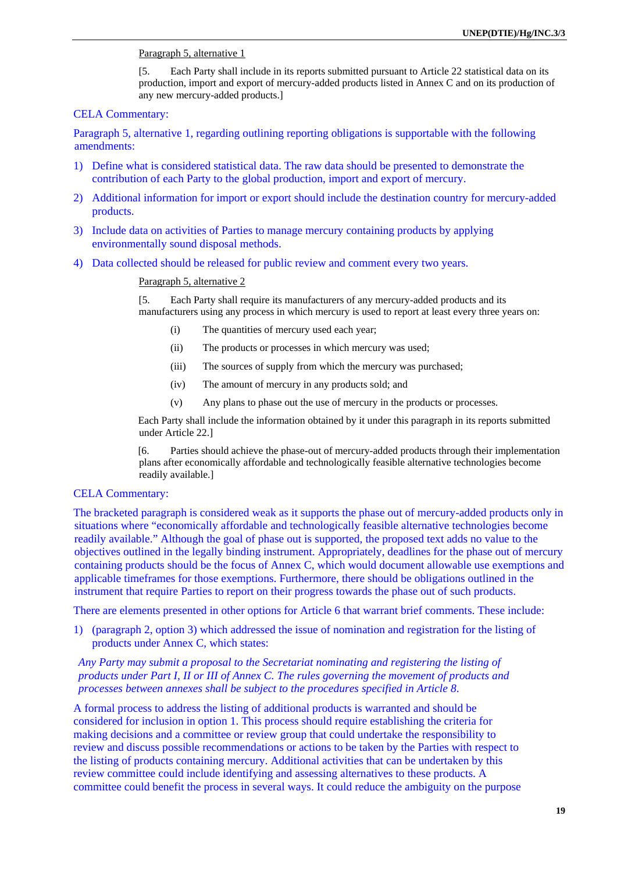# Paragraph 5, alternative 1

[5. Each Party shall include in its reports submitted pursuant to Article 22 statistical data on its production, import and export of mercury-added products listed in Annex C and on its production of any new mercury-added products.]

# CELA Commentary:

Paragraph 5, alternative 1, regarding outlining reporting obligations is supportable with the following amendments:

- 1) Define what is considered statistical data. The raw data should be presented to demonstrate the contribution of each Party to the global production, import and export of mercury.
- 2) Additional information for import or export should include the destination country for mercury-added products.
- 3) Include data on activities of Parties to manage mercury containing products by applying environmentally sound disposal methods.
- 4) Data collected should be released for public review and comment every two years.

#### Paragraph 5, alternative 2

[5. Each Party shall require its manufacturers of any mercury-added products and its manufacturers using any process in which mercury is used to report at least every three years on:

- (i) The quantities of mercury used each year;
- (ii) The products or processes in which mercury was used;
- (iii) The sources of supply from which the mercury was purchased;
- (iv) The amount of mercury in any products sold; and
- (v) Any plans to phase out the use of mercury in the products or processes.

Each Party shall include the information obtained by it under this paragraph in its reports submitted under Article 22.]

[6. Parties should achieve the phase-out of mercury-added products through their implementation plans after economically affordable and technologically feasible alternative technologies become readily available.]

# CELA Commentary:

The bracketed paragraph is considered weak as it supports the phase out of mercury-added products only in situations where "economically affordable and technologically feasible alternative technologies become readily available." Although the goal of phase out is supported, the proposed text adds no value to the objectives outlined in the legally binding instrument. Appropriately, deadlines for the phase out of mercury containing products should be the focus of Annex C, which would document allowable use exemptions and applicable timeframes for those exemptions. Furthermore, there should be obligations outlined in the instrument that require Parties to report on their progress towards the phase out of such products.

There are elements presented in other options for Article 6 that warrant brief comments. These include:

1) (paragraph 2, option 3) which addressed the issue of nomination and registration for the listing of products under Annex C, which states:

*Any Party may submit a proposal to the Secretariat nominating and registering the listing of products under Part I, II or III of Annex C. The rules governing the movement of products and processes between annexes shall be subject to the procedures specified in Article 8*.

A formal process to address the listing of additional products is warranted and should be considered for inclusion in option 1. This process should require establishing the criteria for making decisions and a committee or review group that could undertake the responsibility to review and discuss possible recommendations or actions to be taken by the Parties with respect to the listing of products containing mercury. Additional activities that can be undertaken by this review committee could include identifying and assessing alternatives to these products. A committee could benefit the process in several ways. It could reduce the ambiguity on the purpose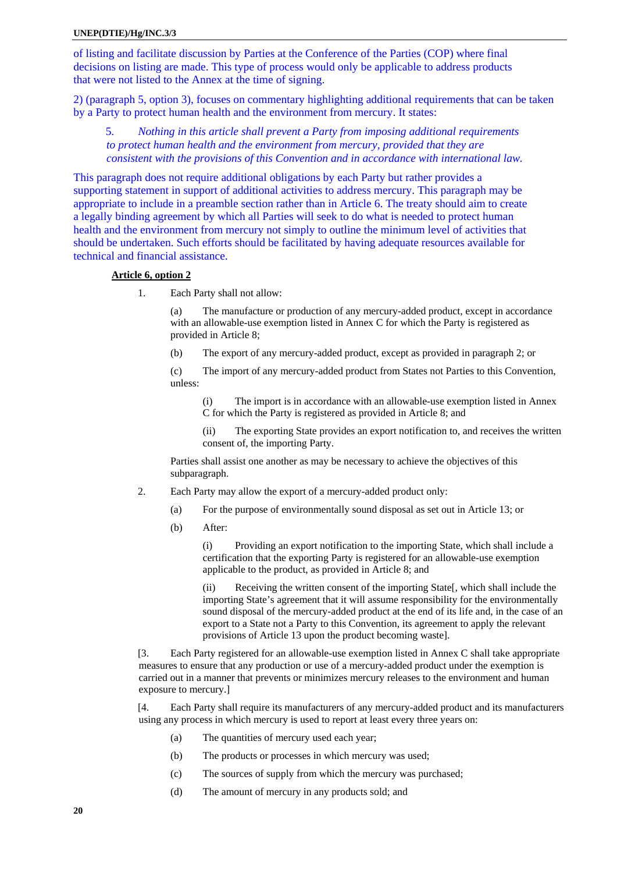of listing and facilitate discussion by Parties at the Conference of the Parties (COP) where final decisions on listing are made. This type of process would only be applicable to address products that were not listed to the Annex at the time of signing.

2) (paragraph 5, option 3), focuses on commentary highlighting additional requirements that can be taken by a Party to protect human health and the environment from mercury. It states:

5*. Nothing in this article shall prevent a Party from imposing additional requirements to protect human health and the environment from mercury, provided that they are consistent with the provisions of this Convention and in accordance with international law.* 

This paragraph does not require additional obligations by each Party but rather provides a supporting statement in support of additional activities to address mercury. This paragraph may be appropriate to include in a preamble section rather than in Article 6. The treaty should aim to create a legally binding agreement by which all Parties will seek to do what is needed to protect human health and the environment from mercury not simply to outline the minimum level of activities that should be undertaken. Such efforts should be facilitated by having adequate resources available for technical and financial assistance.

#### **Article 6, option 2**

1. Each Party shall not allow:

(a) The manufacture or production of any mercury-added product, except in accordance with an allowable-use exemption listed in Annex C for which the Party is registered as provided in Article 8;

(b) The export of any mercury-added product, except as provided in paragraph 2; or

(c) The import of any mercury-added product from States not Parties to this Convention, unless:

(i) The import is in accordance with an allowable-use exemption listed in Annex C for which the Party is registered as provided in Article 8; and

(ii) The exporting State provides an export notification to, and receives the written consent of, the importing Party.

Parties shall assist one another as may be necessary to achieve the objectives of this subparagraph.

- 2. Each Party may allow the export of a mercury-added product only:
	- (a) For the purpose of environmentally sound disposal as set out in Article 13; or
	- (b) After:

(i) Providing an export notification to the importing State, which shall include a certification that the exporting Party is registered for an allowable-use exemption applicable to the product, as provided in Article 8; and

(ii) Receiving the written consent of the importing State[, which shall include the importing State's agreement that it will assume responsibility for the environmentally sound disposal of the mercury-added product at the end of its life and, in the case of an export to a State not a Party to this Convention, its agreement to apply the relevant provisions of Article 13 upon the product becoming waste].

[3. Each Party registered for an allowable-use exemption listed in Annex C shall take appropriate measures to ensure that any production or use of a mercury-added product under the exemption is carried out in a manner that prevents or minimizes mercury releases to the environment and human exposure to mercury.]

[4. Each Party shall require its manufacturers of any mercury-added product and its manufacturers using any process in which mercury is used to report at least every three years on:

- (a) The quantities of mercury used each year;
- (b) The products or processes in which mercury was used;
- (c) The sources of supply from which the mercury was purchased;
- (d) The amount of mercury in any products sold; and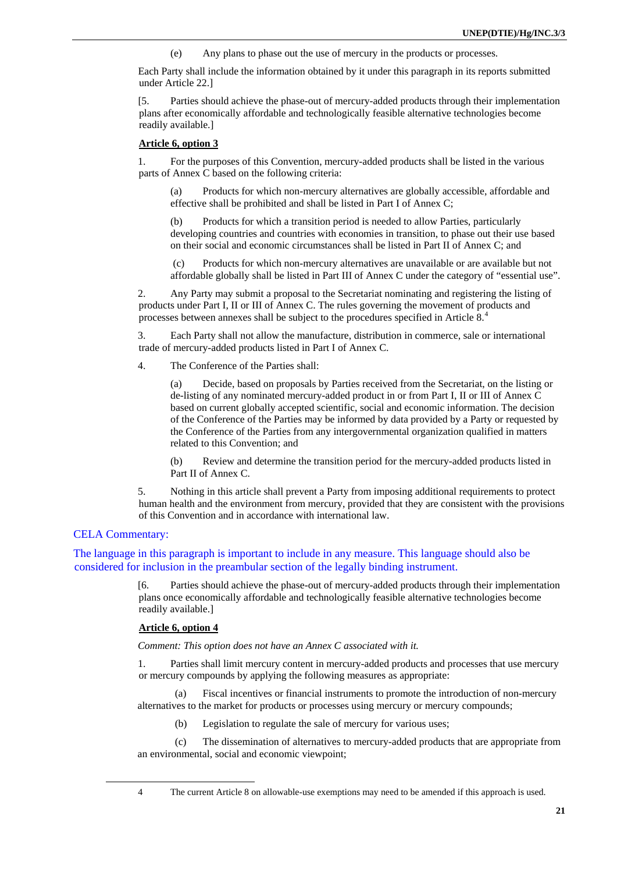(e) Any plans to phase out the use of mercury in the products or processes.

Each Party shall include the information obtained by it under this paragraph in its reports submitted under Article 22.]

[5. Parties should achieve the phase-out of mercury-added products through their implementation plans after economically affordable and technologically feasible alternative technologies become readily available.]

#### **Article 6, option 3**

1. For the purposes of this Convention, mercury-added products shall be listed in the various parts of Annex C based on the following criteria:

(a) Products for which non-mercury alternatives are globally accessible, affordable and effective shall be prohibited and shall be listed in Part I of Annex C;

(b) Products for which a transition period is needed to allow Parties, particularly developing countries and countries with economies in transition, to phase out their use based on their social and economic circumstances shall be listed in Part II of Annex C; and

 (c) Products for which non-mercury alternatives are unavailable or are available but not affordable globally shall be listed in Part III of Annex C under the category of "essential use".

2. Any Party may submit a proposal to the Secretariat nominating and registering the listing of products under Part I, II or III of Annex C. The rules governing the movement of products and processes between annexes shall be subject to the procedures specified in Article 8.[4](#page-20-0)

3. Each Party shall not allow the manufacture, distribution in commerce, sale or international trade of mercury-added products listed in Part I of Annex C.

4. The Conference of the Parties shall:

(a) Decide, based on proposals by Parties received from the Secretariat, on the listing or de-listing of any nominated mercury-added product in or from Part I, II or III of Annex C based on current globally accepted scientific, social and economic information. The decision of the Conference of the Parties may be informed by data provided by a Party or requested by the Conference of the Parties from any intergovernmental organization qualified in matters related to this Convention; and

(b) Review and determine the transition period for the mercury-added products listed in Part II of Annex C.

5. Nothing in this article shall prevent a Party from imposing additional requirements to protect human health and the environment from mercury, provided that they are consistent with the provisions of this Convention and in accordance with international law.

#### CELA Commentary:

The language in this paragraph is important to include in any measure. This language should also be considered for inclusion in the preambular section of the legally binding instrument.

> [6. Parties should achieve the phase-out of mercury-added products through their implementation plans once economically affordable and technologically feasible alternative technologies become readily available.]

#### **Article 6, option 4**

*Comment: This option does not have an Annex C associated with it.* 

1. Parties shall limit mercury content in mercury-added products and processes that use mercury or mercury compounds by applying the following measures as appropriate:

(a) Fiscal incentives or financial instruments to promote the introduction of non-mercury alternatives to the market for products or processes using mercury or mercury compounds;

(b) Legislation to regulate the sale of mercury for various uses;

(c) The dissemination of alternatives to mercury-added products that are appropriate from an environmental, social and economic viewpoint;

<span id="page-20-0"></span> $\overline{a}$ 

<sup>4</sup> The current Article 8 on allowable-use exemptions may need to be amended if this approach is used.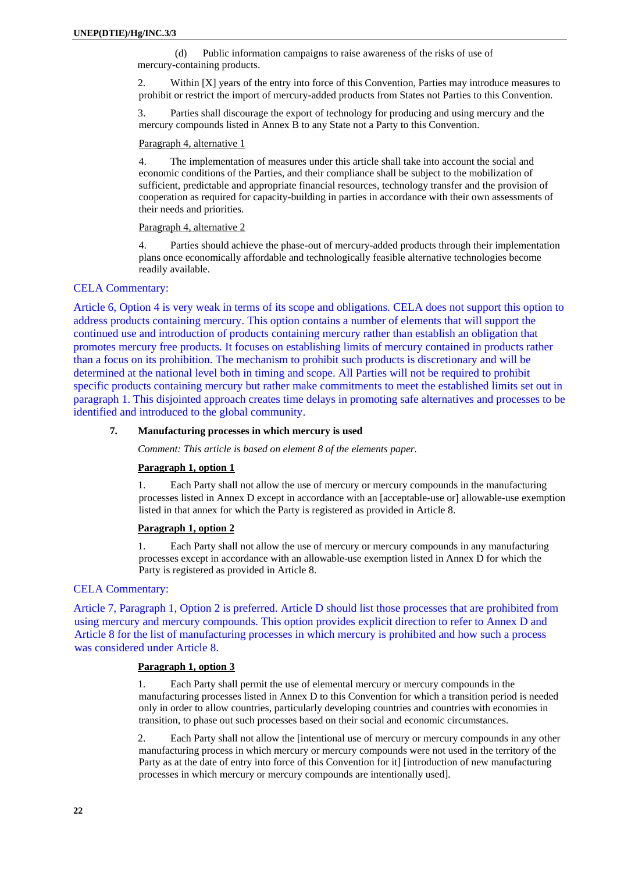<span id="page-21-0"></span>(d) Public information campaigns to raise awareness of the risks of use of mercury-containing products.

2. Within [X] years of the entry into force of this Convention, Parties may introduce measures to prohibit or restrict the import of mercury-added products from States not Parties to this Convention.

3. Parties shall discourage the export of technology for producing and using mercury and the mercury compounds listed in Annex B to any State not a Party to this Convention.

#### Paragraph 4, alternative 1

4. The implementation of measures under this article shall take into account the social and economic conditions of the Parties, and their compliance shall be subject to the mobilization of sufficient, predictable and appropriate financial resources, technology transfer and the provision of cooperation as required for capacity-building in parties in accordance with their own assessments of their needs and priorities.

#### Paragraph 4, alternative 2

4. Parties should achieve the phase-out of mercury-added products through their implementation plans once economically affordable and technologically feasible alternative technologies become readily available.

#### CELA Commentary:

Article 6, Option 4 is very weak in terms of its scope and obligations. CELA does not support this option to address products containing mercury. This option contains a number of elements that will support the continued use and introduction of products containing mercury rather than establish an obligation that promotes mercury free products. It focuses on establishing limits of mercury contained in products rather than a focus on its prohibition. The mechanism to prohibit such products is discretionary and will be determined at the national level both in timing and scope. All Parties will not be required to prohibit specific products containing mercury but rather make commitments to meet the established limits set out in paragraph 1. This disjointed approach creates time delays in promoting safe alternatives and processes to be identified and introduced to the global community.

#### **7. Manufacturing processes in which mercury is used**

*Comment: This article is based on element 8 of the elements paper.*

#### **Paragraph 1, option 1**

1. Each Party shall not allow the use of mercury or mercury compounds in the manufacturing processes listed in Annex D except in accordance with an [acceptable-use or] allowable-use exemption listed in that annex for which the Party is registered as provided in Article 8.

#### **Paragraph 1, option 2**

1. Each Party shall not allow the use of mercury or mercury compounds in any manufacturing processes except in accordance with an allowable-use exemption listed in Annex D for which the Party is registered as provided in Article 8.

# CELA Commentary:

Article 7, Paragraph 1, Option 2 is preferred. Article D should list those processes that are prohibited from using mercury and mercury compounds. This option provides explicit direction to refer to Annex D and Article 8 for the list of manufacturing processes in which mercury is prohibited and how such a process was considered under Article 8.

#### **Paragraph 1, option 3**

1. Each Party shall permit the use of elemental mercury or mercury compounds in the manufacturing processes listed in Annex D to this Convention for which a transition period is needed only in order to allow countries, particularly developing countries and countries with economies in transition, to phase out such processes based on their social and economic circumstances.

2. Each Party shall not allow the [intentional use of mercury or mercury compounds in any other manufacturing process in which mercury or mercury compounds were not used in the territory of the Party as at the date of entry into force of this Convention for it] [introduction of new manufacturing processes in which mercury or mercury compounds are intentionally used].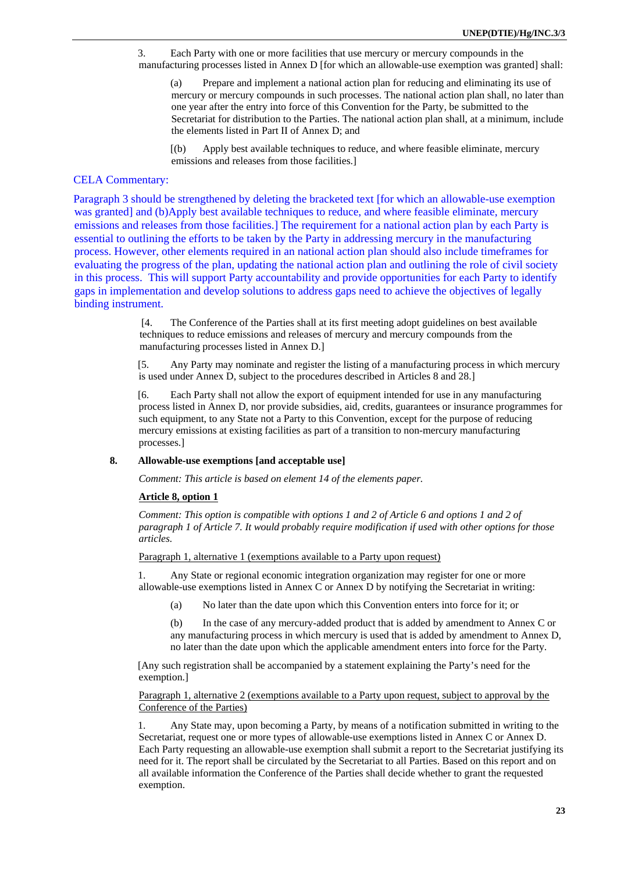<span id="page-22-0"></span>3. Each Party with one or more facilities that use mercury or mercury compounds in the manufacturing processes listed in Annex D [for which an allowable-use exemption was granted] shall:

(a) Prepare and implement a national action plan for reducing and eliminating its use of mercury or mercury compounds in such processes. The national action plan shall, no later than one year after the entry into force of this Convention for the Party, be submitted to the Secretariat for distribution to the Parties. The national action plan shall, at a minimum, include the elements listed in Part II of Annex D; and

[(b) Apply best available techniques to reduce, and where feasible eliminate, mercury emissions and releases from those facilities.]

# CELA Commentary:

Paragraph 3 should be strengthened by deleting the bracketed text [for which an allowable-use exemption was granted] and (b)Apply best available techniques to reduce, and where feasible eliminate, mercury emissions and releases from those facilities.] The requirement for a national action plan by each Party is essential to outlining the efforts to be taken by the Party in addressing mercury in the manufacturing process. However, other elements required in an national action plan should also include timeframes for evaluating the progress of the plan, updating the national action plan and outlining the role of civil society in this process. This will support Party accountability and provide opportunities for each Party to identify gaps in implementation and develop solutions to address gaps need to achieve the objectives of legally binding instrument.

> [4. The Conference of the Parties shall at its first meeting adopt guidelines on best available techniques to reduce emissions and releases of mercury and mercury compounds from the manufacturing processes listed in Annex D.]

[5. Any Party may nominate and register the listing of a manufacturing process in which mercury is used under Annex D, subject to the procedures described in Articles 8 and 28.]

[6. Each Party shall not allow the export of equipment intended for use in any manufacturing process listed in Annex D, nor provide subsidies, aid, credits, guarantees or insurance programmes for such equipment, to any State not a Party to this Convention, except for the purpose of reducing mercury emissions at existing facilities as part of a transition to non-mercury manufacturing processes.]

# **8. Allowable-use exemptions [and acceptable use]**

*Comment: This article is based on element 14 of the elements paper.*

#### **Article 8, option 1**

*Comment: This option is compatible with options 1 and 2 of Article 6 and options 1 and 2 of paragraph 1 of Article 7. It would probably require modification if used with other options for those articles.* 

Paragraph 1, alternative 1 (exemptions available to a Party upon request)

1. Any State or regional economic integration organization may register for one or more allowable-use exemptions listed in Annex C or Annex D by notifying the Secretariat in writing:

(a) No later than the date upon which this Convention enters into force for it; or

(b) In the case of any mercury-added product that is added by amendment to Annex C or any manufacturing process in which mercury is used that is added by amendment to Annex D, no later than the date upon which the applicable amendment enters into force for the Party.

[Any such registration shall be accompanied by a statement explaining the Party's need for the exemption.]

Paragraph 1, alternative 2 (exemptions available to a Party upon request, subject to approval by the Conference of the Parties)

1. Any State may, upon becoming a Party, by means of a notification submitted in writing to the Secretariat, request one or more types of allowable-use exemptions listed in Annex C or Annex D. Each Party requesting an allowable-use exemption shall submit a report to the Secretariat justifying its need for it. The report shall be circulated by the Secretariat to all Parties. Based on this report and on all available information the Conference of the Parties shall decide whether to grant the requested exemption.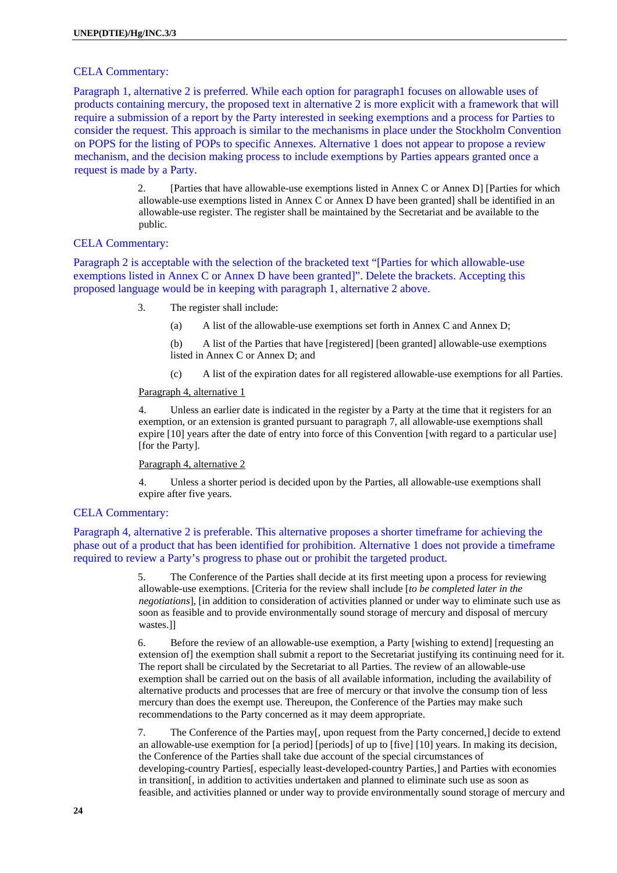#### CELA Commentary:

Paragraph 1, alternative 2 is preferred. While each option for paragraph1 focuses on allowable uses of products containing mercury, the proposed text in alternative 2 is more explicit with a framework that will require a submission of a report by the Party interested in seeking exemptions and a process for Parties to consider the request. This approach is similar to the mechanisms in place under the Stockholm Convention on POPS for the listing of POPs to specific Annexes. Alternative 1 does not appear to propose a review mechanism, and the decision making process to include exemptions by Parties appears granted once a request is made by a Party.

> 2. [Parties that have allowable-use exemptions listed in Annex C or Annex D] [Parties for which allowable-use exemptions listed in Annex C or Annex D have been granted] shall be identified in an allowable-use register. The register shall be maintained by the Secretariat and be available to the public.

# CELA Commentary:

Paragraph 2 is acceptable with the selection of the bracketed text "[Parties for which allowable-use exemptions listed in Annex C or Annex D have been granted]". Delete the brackets. Accepting this proposed language would be in keeping with paragraph 1, alternative 2 above.

- 3. The register shall include:
	- (a) A list of the allowable-use exemptions set forth in Annex C and Annex D;

(b) A list of the Parties that have [registered] [been granted] allowable-use exemptions listed in Annex C or Annex D; and

(c) A list of the expiration dates for all registered allowable-use exemptions for all Parties.

#### Paragraph 4, alternative 1

4. Unless an earlier date is indicated in the register by a Party at the time that it registers for an exemption, or an extension is granted pursuant to paragraph 7, all allowable-use exemptions shall expire [10] years after the date of entry into force of this Convention [with regard to a particular use] [for the Party].

# Paragraph 4, alternative 2

4. Unless a shorter period is decided upon by the Parties, all allowable-use exemptions shall expire after five years.

#### CELA Commentary:

Paragraph 4, alternative 2 is preferable. This alternative proposes a shorter timeframe for achieving the phase out of a product that has been identified for prohibition. Alternative 1 does not provide a timeframe required to review a Party's progress to phase out or prohibit the targeted product.

> 5. The Conference of the Parties shall decide at its first meeting upon a process for reviewing allowable-use exemptions. [Criteria for the review shall include [*to be completed later in the negotiations*], [in addition to consideration of activities planned or under way to eliminate such use as soon as feasible and to provide environmentally sound storage of mercury and disposal of mercury wastes.]]

> 6. Before the review of an allowable-use exemption, a Party [wishing to extend] [requesting an extension of] the exemption shall submit a report to the Secretariat justifying its continuing need for it. The report shall be circulated by the Secretariat to all Parties. The review of an allowable-use exemption shall be carried out on the basis of all available information, including the availability of alternative products and processes that are free of mercury or that involve the consump tion of less mercury than does the exempt use. Thereupon, the Conference of the Parties may make such recommendations to the Party concerned as it may deem appropriate.

> 7. The Conference of the Parties may[, upon request from the Party concerned,] decide to extend an allowable-use exemption for [a period] [periods] of up to [five] [10] years. In making its decision, the Conference of the Parties shall take due account of the special circumstances of developing-country Parties[, especially least-developed-country Parties,] and Parties with economies in transition[, in addition to activities undertaken and planned to eliminate such use as soon as feasible, and activities planned or under way to provide environmentally sound storage of mercury and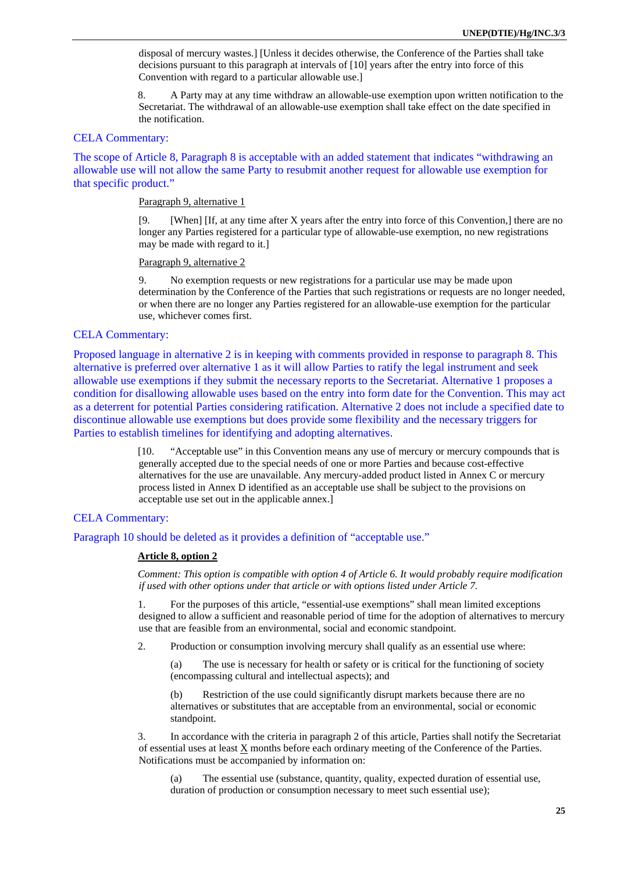disposal of mercury wastes.] [Unless it decides otherwise, the Conference of the Parties shall take decisions pursuant to this paragraph at intervals of [10] years after the entry into force of this Convention with regard to a particular allowable use.]

8. A Party may at any time withdraw an allowable-use exemption upon written notification to the Secretariat. The withdrawal of an allowable-use exemption shall take effect on the date specified in the notification.

# CELA Commentary:

The scope of Article 8, Paragraph 8 is acceptable with an added statement that indicates "withdrawing an allowable use will not allow the same Party to resubmit another request for allowable use exemption for that specific product."

#### Paragraph 9, alternative 1

[9. [When] [If, at any time after X years after the entry into force of this Convention,] there are no longer any Parties registered for a particular type of allowable-use exemption, no new registrations may be made with regard to it.]

#### Paragraph 9, alternative 2

9. No exemption requests or new registrations for a particular use may be made upon determination by the Conference of the Parties that such registrations or requests are no longer needed, or when there are no longer any Parties registered for an allowable-use exemption for the particular use, whichever comes first.

# CELA Commentary:

Proposed language in alternative 2 is in keeping with comments provided in response to paragraph 8. This alternative is preferred over alternative 1 as it will allow Parties to ratify the legal instrument and seek allowable use exemptions if they submit the necessary reports to the Secretariat. Alternative 1 proposes a condition for disallowing allowable uses based on the entry into form date for the Convention. This may act as a deterrent for potential Parties considering ratification. Alternative 2 does not include a specified date to discontinue allowable use exemptions but does provide some flexibility and the necessary triggers for Parties to establish timelines for identifying and adopting alternatives.

> [10. "Acceptable use" in this Convention means any use of mercury or mercury compounds that is generally accepted due to the special needs of one or more Parties and because cost-effective alternatives for the use are unavailable. Any mercury-added product listed in Annex C or mercury process listed in Annex D identified as an acceptable use shall be subject to the provisions on acceptable use set out in the applicable annex.]

# CELA Commentary:

Paragraph 10 should be deleted as it provides a definition of "acceptable use."

#### **Article 8, option 2**

*Comment: This option is compatible with option 4 of Article 6. It would probably require modification if used with other options under that article or with options listed under Article 7.* 

1. For the purposes of this article, "essential-use exemptions" shall mean limited exceptions designed to allow a sufficient and reasonable period of time for the adoption of alternatives to mercury use that are feasible from an environmental, social and economic standpoint.

2. Production or consumption involving mercury shall qualify as an essential use where:

(a) The use is necessary for health or safety or is critical for the functioning of society (encompassing cultural and intellectual aspects); and

(b) Restriction of the use could significantly disrupt markets because there are no alternatives or substitutes that are acceptable from an environmental, social or economic standpoint.

3. In accordance with the criteria in paragraph 2 of this article, Parties shall notify the Secretariat of essential uses at least X months before each ordinary meeting of the Conference of the Parties. Notifications must be accompanied by information on:

(a) The essential use (substance, quantity, quality, expected duration of essential use, duration of production or consumption necessary to meet such essential use);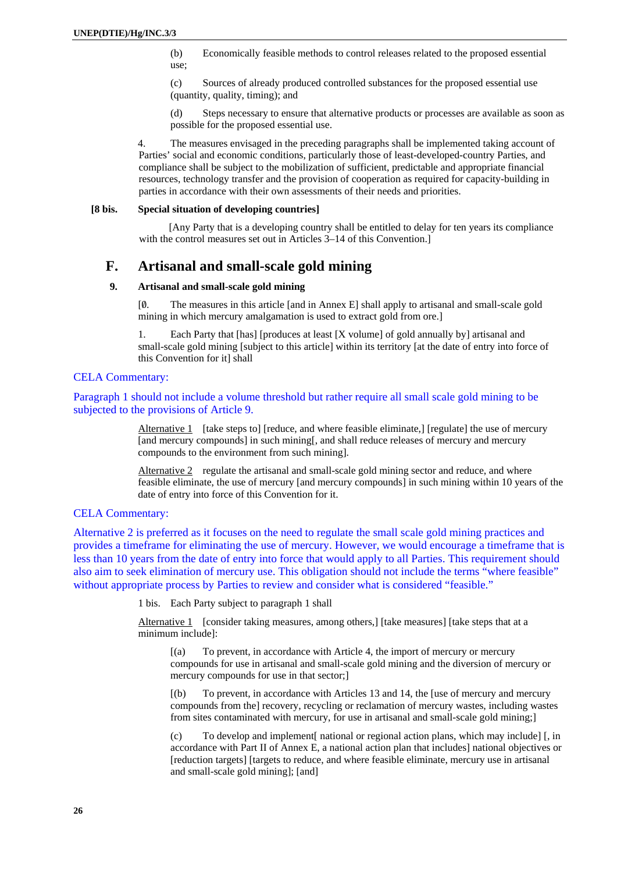<span id="page-25-0"></span>(b) Economically feasible methods to control releases related to the proposed essential use;

(c) Sources of already produced controlled substances for the proposed essential use (quantity, quality, timing); and

(d) Steps necessary to ensure that alternative products or processes are available as soon as possible for the proposed essential use.

4. The measures envisaged in the preceding paragraphs shall be implemented taking account of Parties' social and economic conditions, particularly those of least-developed-country Parties, and compliance shall be subject to the mobilization of sufficient, predictable and appropriate financial resources, technology transfer and the provision of cooperation as required for capacity-building in parties in accordance with their own assessments of their needs and priorities.

#### **[8 bis. Special situation of developing countries]**

[Any Party that is a developing country shall be entitled to delay for ten years its compliance with the control measures set out in Articles 3–14 of this Convention.]

# **F. Artisanal and small-scale gold mining**

# **9. Artisanal and small-scale gold mining**

[0/. The measures in this article [and in Annex E] shall apply to artisanal and small-scale gold mining in which mercury amalgamation is used to extract gold from ore.]

1. Each Party that [has] [produces at least [X volume] of gold annually by] artisanal and small-scale gold mining [subject to this article] within its territory [at the date of entry into force of this Convention for it] shall

# CELA Commentary:

Paragraph 1 should not include a volume threshold but rather require all small scale gold mining to be subjected to the provisions of Article 9.

> Alternative 1 [take steps to] [reduce, and where feasible eliminate,] [regulate] the use of mercury [and mercury compounds] in such mining[, and shall reduce releases of mercury and mercury compounds to the environment from such mining].

Alternative 2 regulate the artisanal and small-scale gold mining sector and reduce, and where feasible eliminate, the use of mercury [and mercury compounds] in such mining within 10 years of the date of entry into force of this Convention for it.

# CELA Commentary:

Alternative 2 is preferred as it focuses on the need to regulate the small scale gold mining practices and provides a timeframe for eliminating the use of mercury. However, we would encourage a timeframe that is less than 10 years from the date of entry into force that would apply to all Parties. This requirement should also aim to seek elimination of mercury use. This obligation should not include the terms "where feasible" without appropriate process by Parties to review and consider what is considered "feasible."

1 bis. Each Party subject to paragraph 1 shall

Alternative 1 [consider taking measures, among others,] [take measures] [take steps that at a minimum include]:

[(a) To prevent, in accordance with Article 4, the import of mercury or mercury compounds for use in artisanal and small-scale gold mining and the diversion of mercury or mercury compounds for use in that sector;]

[(b) To prevent, in accordance with Articles 13 and 14, the [use of mercury and mercury compounds from the] recovery, recycling or reclamation of mercury wastes, including wastes from sites contaminated with mercury, for use in artisanal and small-scale gold mining;]

(c) To develop and implement[ national or regional action plans, which may include] [, in accordance with Part II of Annex E, a national action plan that includes] national objectives or [reduction targets] [targets to reduce, and where feasible eliminate, mercury use in artisanal and small-scale gold mining]; [and]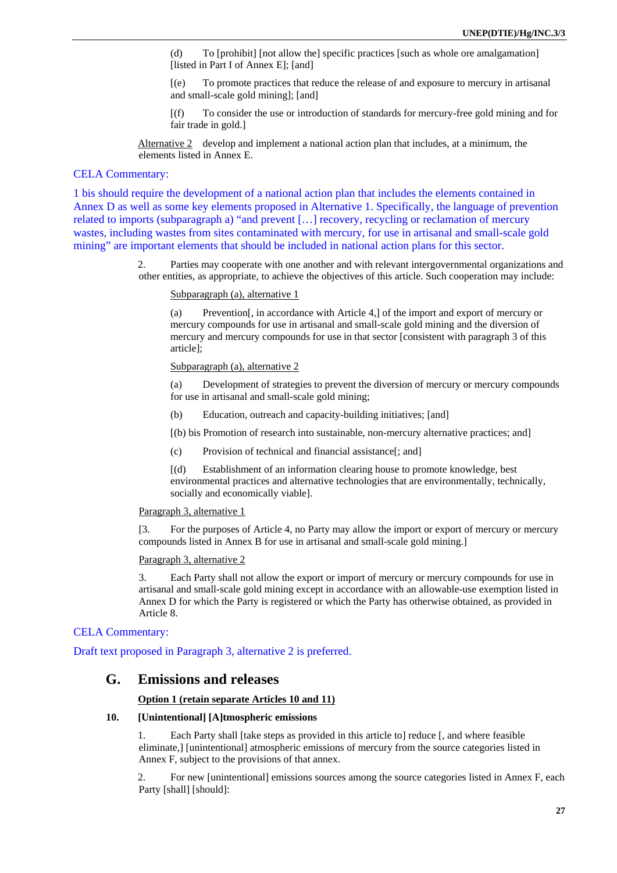<span id="page-26-0"></span>(d) To [prohibit] [not allow the] specific practices [such as whole ore amalgamation] [listed in Part I of Annex E]; [and]

- [(e) To promote practices that reduce the release of and exposure to mercury in artisanal and small-scale gold mining]; [and]
- [(f) To consider the use or introduction of standards for mercury-free gold mining and for fair trade in gold.]

Alternative 2 develop and implement a national action plan that includes, at a minimum, the elements listed in Annex E.

# CELA Commentary:

1 bis should require the development of a national action plan that includes the elements contained in Annex D as well as some key elements proposed in Alternative 1. Specifically, the language of prevention related to imports (subparagraph a) "and prevent […] recovery, recycling or reclamation of mercury wastes, including wastes from sites contaminated with mercury, for use in artisanal and small-scale gold mining" are important elements that should be included in national action plans for this sector.

> 2. Parties may cooperate with one another and with relevant intergovernmental organizations and other entities, as appropriate, to achieve the objectives of this article. Such cooperation may include:

#### Subparagraph (a), alternative 1

(a) Prevention[, in accordance with Article 4,] of the import and export of mercury or mercury compounds for use in artisanal and small-scale gold mining and the diversion of mercury and mercury compounds for use in that sector [consistent with paragraph 3 of this article];

#### Subparagraph (a), alternative 2

(a) Development of strategies to prevent the diversion of mercury or mercury compounds for use in artisanal and small-scale gold mining;

- (b) Education, outreach and capacity-building initiatives; [and]
- [(b) bis Promotion of research into sustainable, non-mercury alternative practices; and]
- (c) Provision of technical and financial assistance[; and]

[(d) Establishment of an information clearing house to promote knowledge, best environmental practices and alternative technologies that are environmentally, technically, socially and economically viable].

#### Paragraph 3, alternative 1

[3. For the purposes of Article 4, no Party may allow the import or export of mercury or mercury compounds listed in Annex B for use in artisanal and small-scale gold mining.]

#### Paragraph 3, alternative 2

3. Each Party shall not allow the export or import of mercury or mercury compounds for use in artisanal and small-scale gold mining except in accordance with an allowable-use exemption listed in Annex D for which the Party is registered or which the Party has otherwise obtained, as provided in Article 8.

# CELA Commentary:

Draft text proposed in Paragraph 3, alternative 2 is preferred.

# **G. Emissions and releases**

#### **Option 1 (retain separate Articles 10 and 11)**

#### **10. [Unintentional] [A]tmospheric emissions**

Each Party shall [take steps as provided in this article to] reduce [, and where feasible eliminate,] [unintentional] atmospheric emissions of mercury from the source categories listed in Annex F, subject to the provisions of that annex.

2. For new [unintentional] emissions sources among the source categories listed in Annex F, each Party [shall] [should]: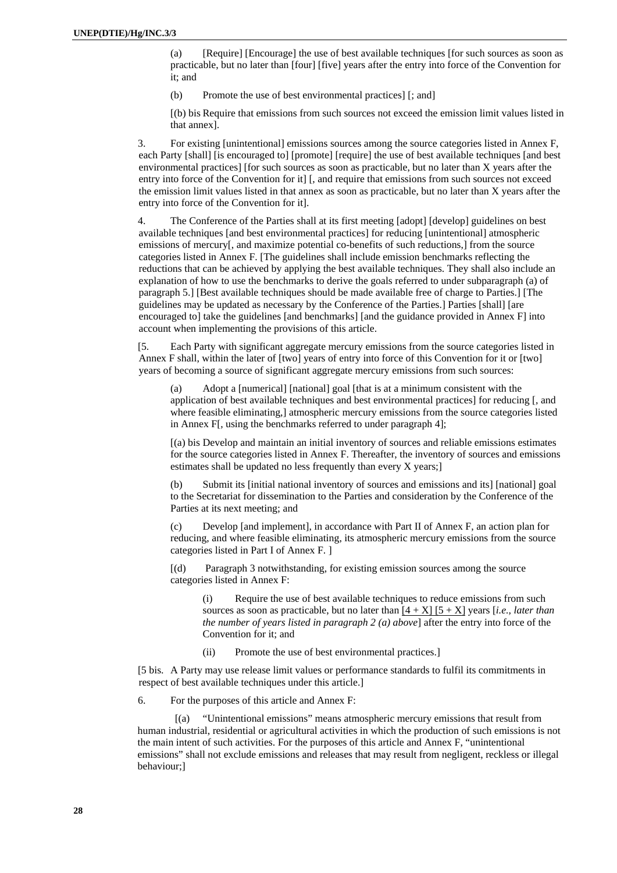(a) [Require] [Encourage] the use of best available techniques [for such sources as soon as practicable, but no later than [four] [five] years after the entry into force of the Convention for it; and

(b) Promote the use of best environmental practices] [; and]

[(b) bis Require that emissions from such sources not exceed the emission limit values listed in that annex].

3. For existing [unintentional] emissions sources among the source categories listed in Annex F, each Party [shall] [is encouraged to] [promote] [require] the use of best available techniques [and best environmental practices] [for such sources as soon as practicable, but no later than X years after the entry into force of the Convention for it] [, and require that emissions from such sources not exceed the emission limit values listed in that annex as soon as practicable, but no later than X years after the entry into force of the Convention for it].

4. The Conference of the Parties shall at its first meeting [adopt] [develop] guidelines on best available techniques [and best environmental practices] for reducing [unintentional] atmospheric emissions of mercury[, and maximize potential co-benefits of such reductions,] from the source categories listed in Annex F. [The guidelines shall include emission benchmarks reflecting the reductions that can be achieved by applying the best available techniques. They shall also include an explanation of how to use the benchmarks to derive the goals referred to under subparagraph (a) of paragraph 5.] [Best available techniques should be made available free of charge to Parties.] [The guidelines may be updated as necessary by the Conference of the Parties.] Parties [shall] [are encouraged to] take the guidelines [and benchmarks] [and the guidance provided in Annex F] into account when implementing the provisions of this article.

[5. Each Party with significant aggregate mercury emissions from the source categories listed in Annex F shall, within the later of [two] years of entry into force of this Convention for it or [two] years of becoming a source of significant aggregate mercury emissions from such sources:

(a) Adopt a [numerical] [national] goal [that is at a minimum consistent with the application of best available techniques and best environmental practices] for reducing [, and where feasible eliminating,] atmospheric mercury emissions from the source categories listed in Annex F[, using the benchmarks referred to under paragraph 4];

[(a) bis Develop and maintain an initial inventory of sources and reliable emissions estimates for the source categories listed in Annex F. Thereafter, the inventory of sources and emissions estimates shall be updated no less frequently than every X years;]

(b) Submit its [initial national inventory of sources and emissions and its] [national] goal to the Secretariat for dissemination to the Parties and consideration by the Conference of the Parties at its next meeting; and

(c) Develop [and implement], in accordance with Part II of Annex F, an action plan for reducing, and where feasible eliminating, its atmospheric mercury emissions from the source categories listed in Part I of Annex F. ]

[(d) Paragraph 3 notwithstanding, for existing emission sources among the source categories listed in Annex F:

(i) Require the use of best available techniques to reduce emissions from such sources as soon as practicable, but no later than  $[4 + X] [5 + X]$  years [*i.e., later than the number of years listed in paragraph 2 (a) above*] after the entry into force of the Convention for it; and

(ii) Promote the use of best environmental practices.]

[5 bis. A Party may use release limit values or performance standards to fulfil its commitments in respect of best available techniques under this article.]

6. For the purposes of this article and Annex F:

"Unintentional emissions" means atmospheric mercury emissions that result from human industrial, residential or agricultural activities in which the production of such emissions is not the main intent of such activities. For the purposes of this article and Annex F, "unintentional emissions" shall not exclude emissions and releases that may result from negligent, reckless or illegal behaviour;]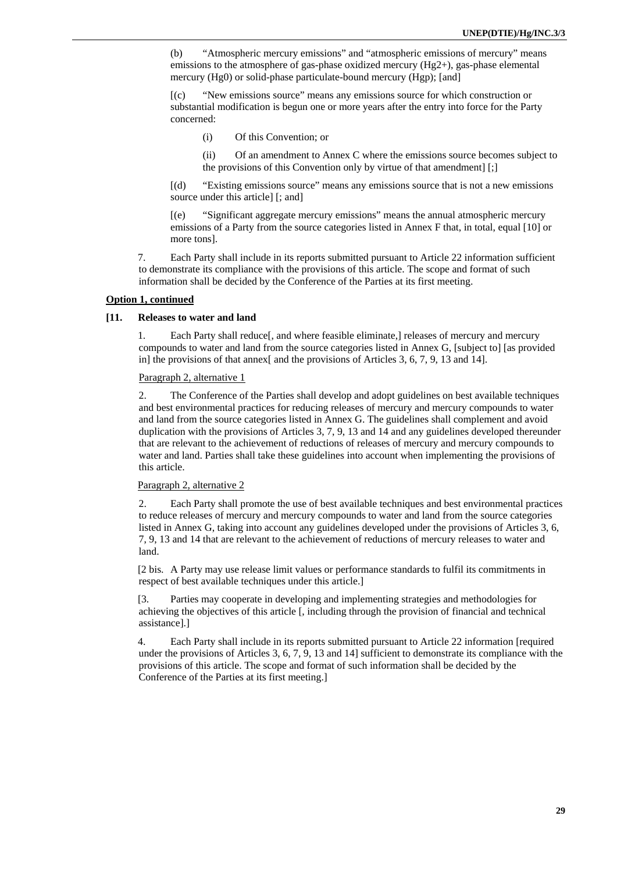<span id="page-28-0"></span>(b) "Atmospheric mercury emissions" and "atmospheric emissions of mercury" means emissions to the atmosphere of gas-phase oxidized mercury (Hg2+), gas-phase elemental mercury (Hg0) or solid-phase particulate-bound mercury (Hgp); [and]

[(c) "New emissions source" means any emissions source for which construction or substantial modification is begun one or more years after the entry into force for the Party concerned:

(i) Of this Convention; or

(ii) Of an amendment to Annex C where the emissions source becomes subject to the provisions of this Convention only by virtue of that amendment] [;]

[(d) "Existing emissions source" means any emissions source that is not a new emissions source under this article] [; and]

[(e) "Significant aggregate mercury emissions" means the annual atmospheric mercury emissions of a Party from the source categories listed in Annex F that, in total, equal [10] or more tons].

7. Each Party shall include in its reports submitted pursuant to Article 22 information sufficient to demonstrate its compliance with the provisions of this article. The scope and format of such information shall be decided by the Conference of the Parties at its first meeting.

# **Option 1, continued**

#### **[11. Releases to water and land**

1. Each Party shall reduce[, and where feasible eliminate,] releases of mercury and mercury compounds to water and land from the source categories listed in Annex G, [subject to] [as provided in] the provisions of that annex[ and the provisions of Articles 3, 6, 7, 9, 13 and 14].

#### Paragraph 2, alternative 1

2. The Conference of the Parties shall develop and adopt guidelines on best available techniques and best environmental practices for reducing releases of mercury and mercury compounds to water and land from the source categories listed in Annex G. The guidelines shall complement and avoid duplication with the provisions of Articles 3, 7, 9, 13 and 14 and any guidelines developed thereunder that are relevant to the achievement of reductions of releases of mercury and mercury compounds to water and land. Parties shall take these guidelines into account when implementing the provisions of this article.

#### Paragraph 2, alternative 2

2. Each Party shall promote the use of best available techniques and best environmental practices to reduce releases of mercury and mercury compounds to water and land from the source categories listed in Annex G, taking into account any guidelines developed under the provisions of Articles 3, 6, 7, 9, 13 and 14 that are relevant to the achievement of reductions of mercury releases to water and land.

[2 bis. A Party may use release limit values or performance standards to fulfil its commitments in respect of best available techniques under this article.]

[3. Parties may cooperate in developing and implementing strategies and methodologies for achieving the objectives of this article [, including through the provision of financial and technical assistance].]

4. Each Party shall include in its reports submitted pursuant to Article 22 information [required under the provisions of Articles 3, 6, 7, 9, 13 and 14] sufficient to demonstrate its compliance with the provisions of this article. The scope and format of such information shall be decided by the Conference of the Parties at its first meeting.]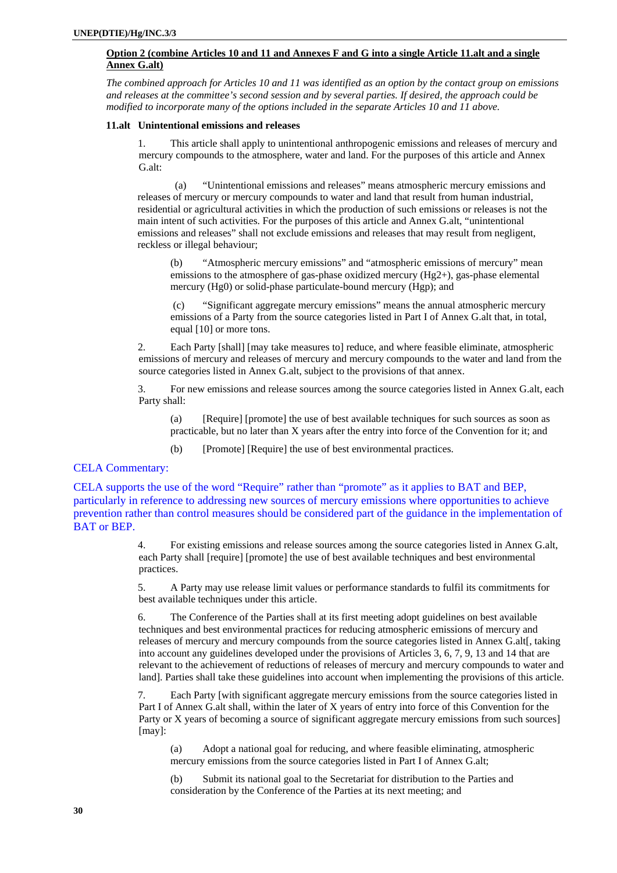# <span id="page-29-0"></span>**Option 2 (combine Articles 10 and 11 and Annexes F and G into a single Article 11.alt and a single Annex G.alt)**

*The combined approach for Articles 10 and 11 was identified as an option by the contact group on emissions and releases at the committee's second session and by several parties. If desired, the approach could be modified to incorporate many of the options included in the separate Articles 10 and 11 above.* 

#### **11.alt Unintentional emissions and releases**

1. This article shall apply to unintentional anthropogenic emissions and releases of mercury and mercury compounds to the atmosphere, water and land. For the purposes of this article and Annex G.alt:

(a) "Unintentional emissions and releases" means atmospheric mercury emissions and releases of mercury or mercury compounds to water and land that result from human industrial, residential or agricultural activities in which the production of such emissions or releases is not the main intent of such activities. For the purposes of this article and Annex G.alt, "unintentional emissions and releases" shall not exclude emissions and releases that may result from negligent, reckless or illegal behaviour;

(b) "Atmospheric mercury emissions" and "atmospheric emissions of mercury" mean emissions to the atmosphere of gas-phase oxidized mercury (Hg2+), gas-phase elemental mercury (Hg0) or solid-phase particulate-bound mercury (Hgp); and

 (c) "Significant aggregate mercury emissions" means the annual atmospheric mercury emissions of a Party from the source categories listed in Part I of Annex G.alt that, in total, equal [10] or more tons.

2. Each Party [shall] [may take measures to] reduce, and where feasible eliminate, atmospheric emissions of mercury and releases of mercury and mercury compounds to the water and land from the source categories listed in Annex G.alt, subject to the provisions of that annex.

3. For new emissions and release sources among the source categories listed in Annex G.alt, each Party shall:

(a) [Require] [promote] the use of best available techniques for such sources as soon as practicable, but no later than X years after the entry into force of the Convention for it; and

(b) [Promote] [Require] the use of best environmental practices.

#### CELA Commentary:

CELA supports the use of the word "Require" rather than "promote" as it applies to BAT and BEP, particularly in reference to addressing new sources of mercury emissions where opportunities to achieve prevention rather than control measures should be considered part of the guidance in the implementation of BAT or BEP.

> 4. For existing emissions and release sources among the source categories listed in Annex G.alt, each Party shall [require] [promote] the use of best available techniques and best environmental practices.

5. A Party may use release limit values or performance standards to fulfil its commitments for best available techniques under this article.

6. The Conference of the Parties shall at its first meeting adopt guidelines on best available techniques and best environmental practices for reducing atmospheric emissions of mercury and releases of mercury and mercury compounds from the source categories listed in Annex G.alt[, taking into account any guidelines developed under the provisions of Articles 3, 6, 7, 9, 13 and 14 that are relevant to the achievement of reductions of releases of mercury and mercury compounds to water and land]. Parties shall take these guidelines into account when implementing the provisions of this article.

7. Each Party [with significant aggregate mercury emissions from the source categories listed in Part I of Annex G.alt shall, within the later of X years of entry into force of this Convention for the Party or X years of becoming a source of significant aggregate mercury emissions from such sources] [may]:

(a) Adopt a national goal for reducing, and where feasible eliminating, atmospheric mercury emissions from the source categories listed in Part I of Annex G.alt;

(b) Submit its national goal to the Secretariat for distribution to the Parties and consideration by the Conference of the Parties at its next meeting; and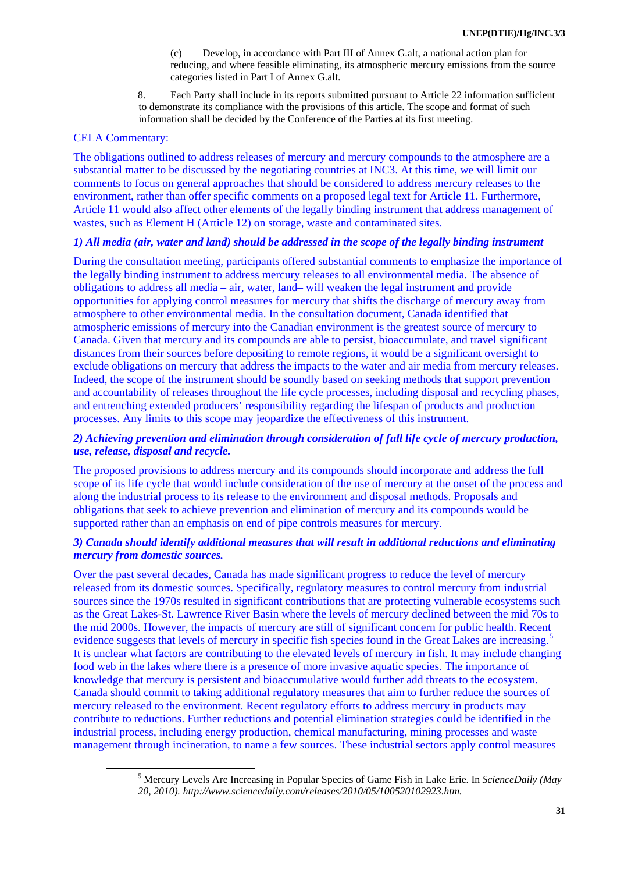(c) Develop, in accordance with Part III of Annex G.alt, a national action plan for reducing, and where feasible eliminating, its atmospheric mercury emissions from the source categories listed in Part I of Annex G.alt.

8. Each Party shall include in its reports submitted pursuant to Article 22 information sufficient to demonstrate its compliance with the provisions of this article. The scope and format of such information shall be decided by the Conference of the Parties at its first meeting.

# CELA Commentary:

The obligations outlined to address releases of mercury and mercury compounds to the atmosphere are a substantial matter to be discussed by the negotiating countries at INC3. At this time, we will limit our comments to focus on general approaches that should be considered to address mercury releases to the environment, rather than offer specific comments on a proposed legal text for Article 11. Furthermore, Article 11 would also affect other elements of the legally binding instrument that address management of wastes, such as Element H (Article 12) on storage, waste and contaminated sites.

# *1) All media (air, water and land) should be addressed in the scope of the legally binding instrument*

During the consultation meeting, participants offered substantial comments to emphasize the importance of the legally binding instrument to address mercury releases to all environmental media. The absence of obligations to address all media – air, water, land– will weaken the legal instrument and provide opportunities for applying control measures for mercury that shifts the discharge of mercury away from atmosphere to other environmental media. In the consultation document, Canada identified that atmospheric emissions of mercury into the Canadian environment is the greatest source of mercury to Canada. Given that mercury and its compounds are able to persist, bioaccumulate, and travel significant distances from their sources before depositing to remote regions, it would be a significant oversight to exclude obligations on mercury that address the impacts to the water and air media from mercury releases. Indeed, the scope of the instrument should be soundly based on seeking methods that support prevention and accountability of releases throughout the life cycle processes, including disposal and recycling phases, and entrenching extended producers' responsibility regarding the lifespan of products and production processes. Any limits to this scope may jeopardize the effectiveness of this instrument.

# *2) Achieving prevention and elimination through consideration of full life cycle of mercury production, use, release, disposal and recycle.*

The proposed provisions to address mercury and its compounds should incorporate and address the full scope of its life cycle that would include consideration of the use of mercury at the onset of the process and along the industrial process to its release to the environment and disposal methods. Proposals and obligations that seek to achieve prevention and elimination of mercury and its compounds would be supported rather than an emphasis on end of pipe controls measures for mercury.

# *3) Canada should identify additional measures that will result in additional reductions and eliminating mercury from domestic sources.*

Over the past several decades, Canada has made significant progress to reduce the level of mercury released from its domestic sources. Specifically, regulatory measures to control mercury from industrial sources since the 1970s resulted in significant contributions that are protecting vulnerable ecosystems such as the Great Lakes-St. Lawrence River Basin where the levels of mercury declined between the mid 70s to the mid 2000s. However, the impacts of mercury are still of significant concern for public health. Recent evidence suggests that levels of mercury in specific fish species found in the Great Lakes are increasing.<sup>[5](#page-30-0)</sup> It is unclear what factors are contributing to the elevated levels of mercury in fish. It may include changing food web in the lakes where there is a presence of more invasive aquatic species. The importance of knowledge that mercury is persistent and bioaccumulative would further add threats to the ecosystem. Canada should commit to taking additional regulatory measures that aim to further reduce the sources of mercury released to the environment. Recent regulatory efforts to address mercury in products may contribute to reductions. Further reductions and potential elimination strategies could be identified in the industrial process, including energy production, chemical manufacturing, mining processes and waste management through incineration, to name a few sources. These industrial sectors apply control measures

<span id="page-30-0"></span> <sup>5</sup> Mercury Levels Are Increasing in Popular Species of Game Fish in Lake Erie. In *ScienceDaily (May 20, 2010). http://www.sciencedaily.com/releases/2010/05/100520102923.htm.*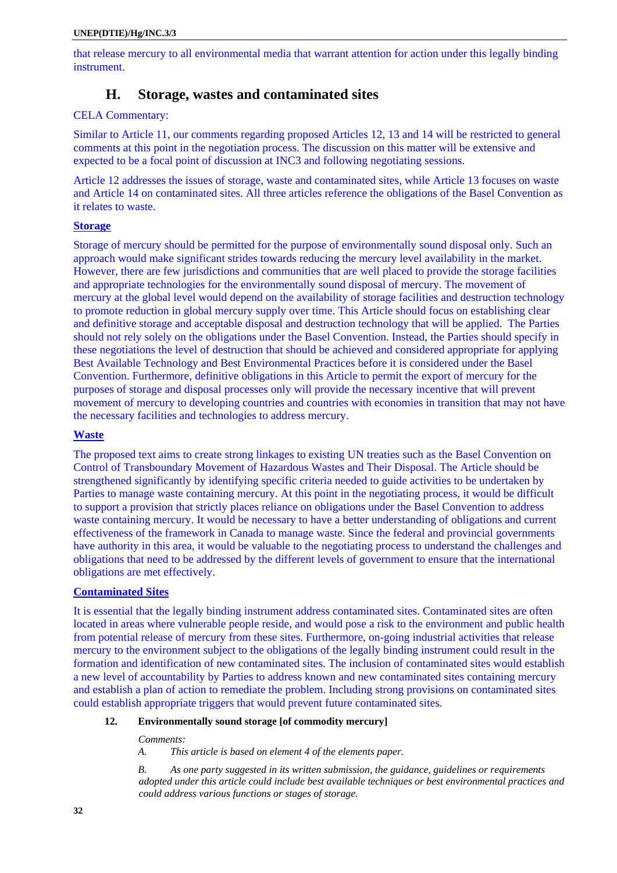<span id="page-31-0"></span>that release mercury to all environmental media that warrant attention for action under this legally binding instrument.

# **H. Storage, wastes and contaminated sites**

# CELA Commentary:

Similar to Article 11, our comments regarding proposed Articles 12, 13 and 14 will be restricted to general comments at this point in the negotiation process. The discussion on this matter will be extensive and expected to be a focal point of discussion at INC3 and following negotiating sessions.

Article 12 addresses the issues of storage, waste and contaminated sites, while Article 13 focuses on waste and Article 14 on contaminated sites. All three articles reference the obligations of the Basel Convention as it relates to waste.

# **Storage**

Storage of mercury should be permitted for the purpose of environmentally sound disposal only. Such an approach would make significant strides towards reducing the mercury level availability in the market. However, there are few jurisdictions and communities that are well placed to provide the storage facilities and appropriate technologies for the environmentally sound disposal of mercury. The movement of mercury at the global level would depend on the availability of storage facilities and destruction technology to promote reduction in global mercury supply over time. This Article should focus on establishing clear and definitive storage and acceptable disposal and destruction technology that will be applied. The Parties should not rely solely on the obligations under the Basel Convention. Instead, the Parties should specify in these negotiations the level of destruction that should be achieved and considered appropriate for applying Best Available Technology and Best Environmental Practices before it is considered under the Basel Convention. Furthermore, definitive obligations in this Article to permit the export of mercury for the purposes of storage and disposal processes only will provide the necessary incentive that will prevent movement of mercury to developing countries and countries with economies in transition that may not have the necessary facilities and technologies to address mercury.

# **Waste**

The proposed text aims to create strong linkages to existing UN treaties such as the Basel Convention on Control of Transboundary Movement of Hazardous Wastes and Their Disposal. The Article should be strengthened significantly by identifying specific criteria needed to guide activities to be undertaken by Parties to manage waste containing mercury. At this point in the negotiating process, it would be difficult to support a provision that strictly places reliance on obligations under the Basel Convention to address waste containing mercury. It would be necessary to have a better understanding of obligations and current effectiveness of the framework in Canada to manage waste. Since the federal and provincial governments have authority in this area, it would be valuable to the negotiating process to understand the challenges and obligations that need to be addressed by the different levels of government to ensure that the international obligations are met effectively.

# **Contaminated Sites**

It is essential that the legally binding instrument address contaminated sites. Contaminated sites are often located in areas where vulnerable people reside, and would pose a risk to the environment and public health from potential release of mercury from these sites. Furthermore, on-going industrial activities that release mercury to the environment subject to the obligations of the legally binding instrument could result in the formation and identification of new contaminated sites. The inclusion of contaminated sites would establish a new level of accountability by Parties to address known and new contaminated sites containing mercury and establish a plan of action to remediate the problem. Including strong provisions on contaminated sites could establish appropriate triggers that would prevent future contaminated sites.

# **12. Environmentally sound storage [of commodity mercury]**

#### *Comments:*

*A. This article is based on element 4 of the elements paper.* 

*B. As one party suggested in its written submission, the guidance, guidelines or requirements adopted under this article could include best available techniques or best environmental practices and could address various functions or stages of storage.*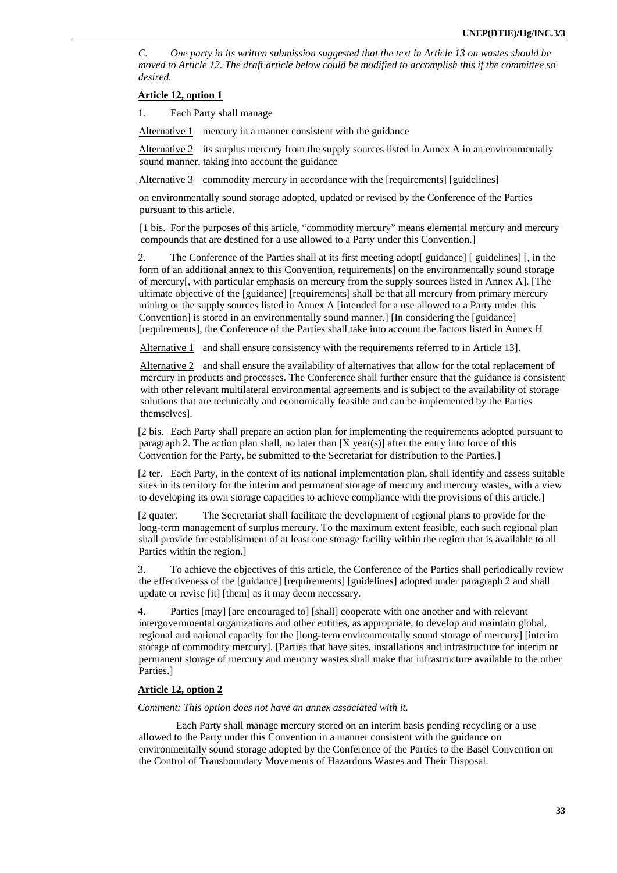*C. One party in its written submission suggested that the text in Article 13 on wastes should be moved to Article 12. The draft article below could be modified to accomplish this if the committee so desired.* 

#### **Article 12, option 1**

1. Each Party shall manage

Alternative 1 mercury in a manner consistent with the guidance

Alternative  $2$  its surplus mercury from the supply sources listed in Annex A in an environmentally sound manner, taking into account the guidance

Alternative 3 commodity mercury in accordance with the [requirements] [guidelines]

on environmentally sound storage adopted, updated or revised by the Conference of the Parties pursuant to this article.

[1 bis. For the purposes of this article, "commodity mercury" means elemental mercury and mercury compounds that are destined for a use allowed to a Party under this Convention.]

2. The Conference of the Parties shall at its first meeting adopt[ guidance] [ guidelines] [, in the form of an additional annex to this Convention, requirements] on the environmentally sound storage of mercury[, with particular emphasis on mercury from the supply sources listed in Annex A]. [The ultimate objective of the [guidance] [requirements] shall be that all mercury from primary mercury mining or the supply sources listed in Annex A [intended for a use allowed to a Party under this Convention] is stored in an environmentally sound manner.] [In considering the [guidance] [requirements], the Conference of the Parties shall take into account the factors listed in Annex H

Alternative 1 and shall ensure consistency with the requirements referred to in Article 13].

Alternative 2 and shall ensure the availability of alternatives that allow for the total replacement of mercury in products and processes. The Conference shall further ensure that the guidance is consistent with other relevant multilateral environmental agreements and is subject to the availability of storage solutions that are technically and economically feasible and can be implemented by the Parties themselves].

[2 bis. Each Party shall prepare an action plan for implementing the requirements adopted pursuant to paragraph 2. The action plan shall, no later than  $[X \text{ year(s)}]$  after the entry into force of this Convention for the Party, be submitted to the Secretariat for distribution to the Parties.]

[2 ter. Each Party, in the context of its national implementation plan, shall identify and assess suitable sites in its territory for the interim and permanent storage of mercury and mercury wastes, with a view to developing its own storage capacities to achieve compliance with the provisions of this article.]

[2 quater. The Secretariat shall facilitate the development of regional plans to provide for the long-term management of surplus mercury. To the maximum extent feasible, each such regional plan shall provide for establishment of at least one storage facility within the region that is available to all Parties within the region.]

3. To achieve the objectives of this article, the Conference of the Parties shall periodically review the effectiveness of the [guidance] [requirements] [guidelines] adopted under paragraph 2 and shall update or revise [it] [them] as it may deem necessary.

4. Parties [may] [are encouraged to] [shall] cooperate with one another and with relevant intergovernmental organizations and other entities, as appropriate, to develop and maintain global, regional and national capacity for the [long-term environmentally sound storage of mercury] [interim storage of commodity mercury]. [Parties that have sites, installations and infrastructure for interim or permanent storage of mercury and mercury wastes shall make that infrastructure available to the other Parties.]

#### **Article 12, option 2**

*Comment: This option does not have an annex associated with it.* 

Each Party shall manage mercury stored on an interim basis pending recycling or a use allowed to the Party under this Convention in a manner consistent with the guidance on environmentally sound storage adopted by the Conference of the Parties to the Basel Convention on the Control of Transboundary Movements of Hazardous Wastes and Their Disposal.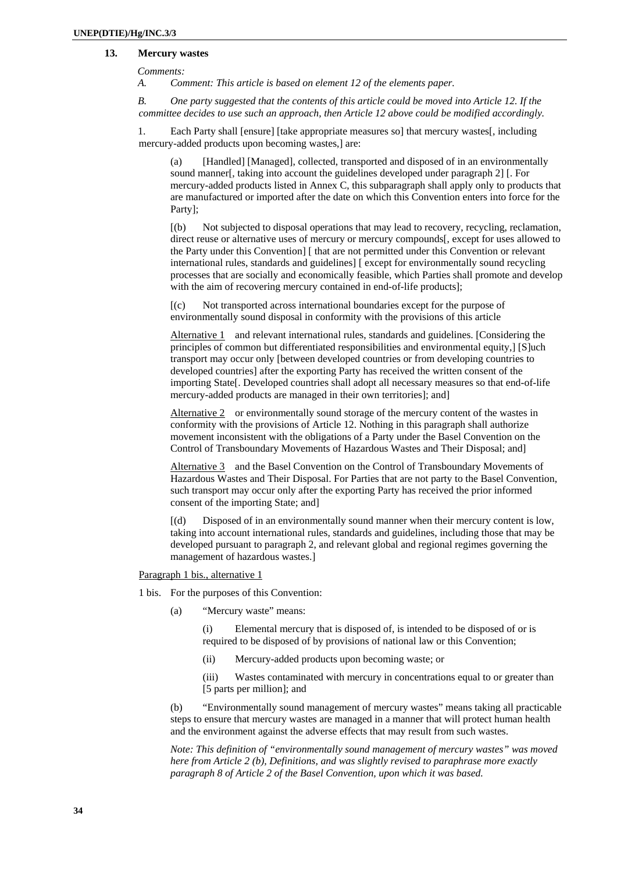# <span id="page-33-0"></span> **13. Mercury wastes**

*Comments:* 

*A. Comment: This article is based on element 12 of the elements paper.* 

*B. One party suggested that the contents of this article could be moved into Article 12. If the committee decides to use such an approach, then Article 12 above could be modified accordingly.*

1. Each Party shall [ensure] [take appropriate measures so] that mercury wastes[, including mercury-added products upon becoming wastes,] are:

(a) [Handled] [Managed], collected, transported and disposed of in an environmentally sound manner[, taking into account the guidelines developed under paragraph 2] [. For mercury-added products listed in Annex C, this subparagraph shall apply only to products that are manufactured or imported after the date on which this Convention enters into force for the Party];

[(b) Not subjected to disposal operations that may lead to recovery, recycling, reclamation, direct reuse or alternative uses of mercury or mercury compounds[, except for uses allowed to the Party under this Convention] [ that are not permitted under this Convention or relevant international rules, standards and guidelines] [ except for environmentally sound recycling processes that are socially and economically feasible, which Parties shall promote and develop with the aim of recovering mercury contained in end-of-life products];

[(c) Not transported across international boundaries except for the purpose of environmentally sound disposal in conformity with the provisions of this article

Alternative 1 and relevant international rules, standards and guidelines. [Considering the principles of common but differentiated responsibilities and environmental equity,] [S]uch transport may occur only [between developed countries or from developing countries to developed countries] after the exporting Party has received the written consent of the importing State[. Developed countries shall adopt all necessary measures so that end-of-life mercury-added products are managed in their own territories]; and]

Alternative 2 or environmentally sound storage of the mercury content of the wastes in conformity with the provisions of Article 12. Nothing in this paragraph shall authorize movement inconsistent with the obligations of a Party under the Basel Convention on the Control of Transboundary Movements of Hazardous Wastes and Their Disposal; and]

Alternative 3 and the Basel Convention on the Control of Transboundary Movements of Hazardous Wastes and Their Disposal. For Parties that are not party to the Basel Convention, such transport may occur only after the exporting Party has received the prior informed consent of the importing State; and]

[(d) Disposed of in an environmentally sound manner when their mercury content is low, taking into account international rules, standards and guidelines, including those that may be developed pursuant to paragraph 2, and relevant global and regional regimes governing the management of hazardous wastes.]

Paragraph 1 bis., alternative 1

1 bis. For the purposes of this Convention:

(a) "Mercury waste" means:

(i) Elemental mercury that is disposed of, is intended to be disposed of or is required to be disposed of by provisions of national law or this Convention;

(ii) Mercury-added products upon becoming waste; or

(iii) Wastes contaminated with mercury in concentrations equal to or greater than [5 parts per million]; and

(b) "Environmentally sound management of mercury wastes" means taking all practicable steps to ensure that mercury wastes are managed in a manner that will protect human health and the environment against the adverse effects that may result from such wastes.

*Note: This definition of "environmentally sound management of mercury wastes" was moved here from Article 2 (b), Definitions, and was slightly revised to paraphrase more exactly paragraph 8 of Article 2 of the Basel Convention, upon which it was based.*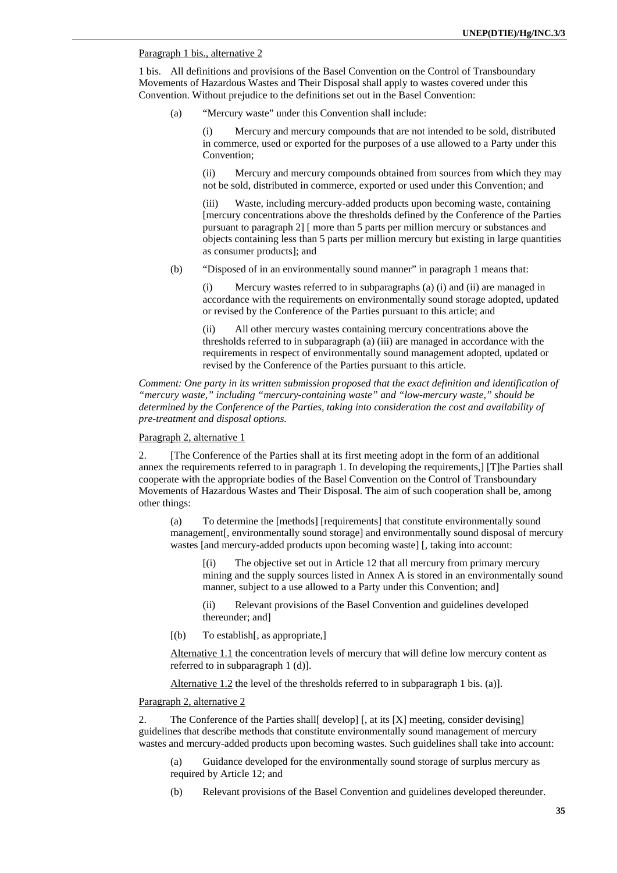# Paragraph 1 bis., alternative 2

1 bis. All definitions and provisions of the Basel Convention on the Control of Transboundary Movements of Hazardous Wastes and Their Disposal shall apply to wastes covered under this Convention. Without prejudice to the definitions set out in the Basel Convention:

(a) "Mercury waste" under this Convention shall include:

(i) Mercury and mercury compounds that are not intended to be sold, distributed in commerce, used or exported for the purposes of a use allowed to a Party under this Convention;

(ii) Mercury and mercury compounds obtained from sources from which they may not be sold, distributed in commerce, exported or used under this Convention; and

(iii) Waste, including mercury-added products upon becoming waste, containing [mercury concentrations above the thresholds defined by the Conference of the Parties pursuant to paragraph 2] [ more than 5 parts per million mercury or substances and objects containing less than 5 parts per million mercury but existing in large quantities as consumer products]; and

(b) "Disposed of in an environmentally sound manner" in paragraph 1 means that:

(i) Mercury wastes referred to in subparagraphs (a) (i) and (ii) are managed in accordance with the requirements on environmentally sound storage adopted, updated or revised by the Conference of the Parties pursuant to this article; and

(ii) All other mercury wastes containing mercury concentrations above the thresholds referred to in subparagraph (a) (iii) are managed in accordance with the requirements in respect of environmentally sound management adopted, updated or revised by the Conference of the Parties pursuant to this article.

*Comment: One party in its written submission proposed that the exact definition and identification of "mercury waste," including "mercury-containing waste" and "low-mercury waste," should be determined by the Conference of the Parties, taking into consideration the cost and availability of pre-treatment and disposal options.* 

# Paragraph 2, alternative 1

2. [The Conference of the Parties shall at its first meeting adopt in the form of an additional annex the requirements referred to in paragraph 1. In developing the requirements,] [T]he Parties shall cooperate with the appropriate bodies of the Basel Convention on the Control of Transboundary Movements of Hazardous Wastes and Their Disposal. The aim of such cooperation shall be, among other things:

(a) To determine the [methods] [requirements] that constitute environmentally sound management[, environmentally sound storage] and environmentally sound disposal of mercury wastes [and mercury-added products upon becoming waste] [, taking into account:

[(i) The objective set out in Article 12 that all mercury from primary mercury mining and the supply sources listed in Annex A is stored in an environmentally sound manner, subject to a use allowed to a Party under this Convention; and]

(ii) Relevant provisions of the Basel Convention and guidelines developed thereunder; and]

[(b) To establish[, as appropriate,]

Alternative 1.1 the concentration levels of mercury that will define low mercury content as referred to in subparagraph 1 (d)].

Alternative 1.2 the level of the thresholds referred to in subparagraph 1 bis. (a)].

#### Paragraph 2, alternative 2

2. The Conference of the Parties shall[ develop] [, at its [X] meeting, consider devising] guidelines that describe methods that constitute environmentally sound management of mercury wastes and mercury-added products upon becoming wastes. Such guidelines shall take into account:

(a) Guidance developed for the environmentally sound storage of surplus mercury as required by Article 12; and

(b) Relevant provisions of the Basel Convention and guidelines developed thereunder.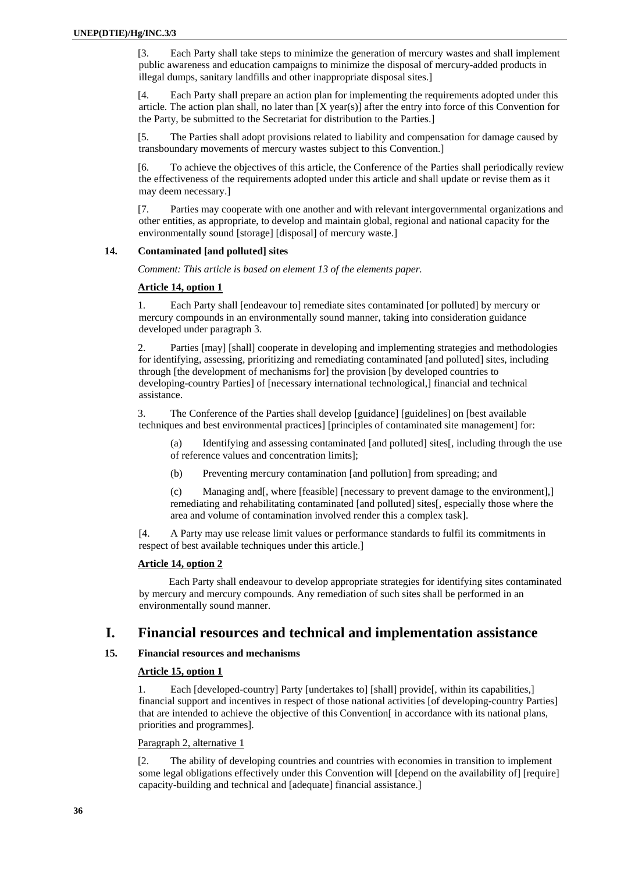<span id="page-35-0"></span>[3. Each Party shall take steps to minimize the generation of mercury wastes and shall implement public awareness and education campaigns to minimize the disposal of mercury-added products in illegal dumps, sanitary landfills and other inappropriate disposal sites.]

[4. Each Party shall prepare an action plan for implementing the requirements adopted under this article. The action plan shall, no later than [X year(s)] after the entry into force of this Convention for the Party, be submitted to the Secretariat for distribution to the Parties.]

[5. The Parties shall adopt provisions related to liability and compensation for damage caused by transboundary movements of mercury wastes subject to this Convention.]

[6. To achieve the objectives of this article, the Conference of the Parties shall periodically review the effectiveness of the requirements adopted under this article and shall update or revise them as it may deem necessary.]

[7. Parties may cooperate with one another and with relevant intergovernmental organizations and other entities, as appropriate, to develop and maintain global, regional and national capacity for the environmentally sound [storage] [disposal] of mercury waste.]

#### **14. Contaminated [and polluted] sites**

*Comment: This article is based on element 13 of the elements paper.*

# **Article 14, option 1**

1. Each Party shall [endeavour to] remediate sites contaminated [or polluted] by mercury or mercury compounds in an environmentally sound manner, taking into consideration guidance developed under paragraph 3.

2. Parties [may] [shall] cooperate in developing and implementing strategies and methodologies for identifying, assessing, prioritizing and remediating contaminated [and polluted] sites, including through [the development of mechanisms for] the provision [by developed countries to developing-country Parties] of [necessary international technological,] financial and technical assistance.

3. The Conference of the Parties shall develop [guidance] [guidelines] on [best available techniques and best environmental practices] [principles of contaminated site management] for:

(a) Identifying and assessing contaminated [and polluted] sites[, including through the use of reference values and concentration limits];

(b) Preventing mercury contamination [and pollution] from spreading; and

(c) Managing and[, where [feasible] [necessary to prevent damage to the environment],] remediating and rehabilitating contaminated [and polluted] sites[, especially those where the area and volume of contamination involved render this a complex task].

[4. A Party may use release limit values or performance standards to fulfil its commitments in respect of best available techniques under this article.]

#### **Article 14, option 2**

Each Party shall endeavour to develop appropriate strategies for identifying sites contaminated by mercury and mercury compounds. Any remediation of such sites shall be performed in an environmentally sound manner.

# **I. Financial resources and technical and implementation assistance**

# **15. Financial resources and mechanisms**

# **Article 15, option 1**

1. Each [developed-country] Party [undertakes to] [shall] provide[, within its capabilities,] financial support and incentives in respect of those national activities [of developing-country Parties] that are intended to achieve the objective of this Convention[ in accordance with its national plans, priorities and programmes].

#### Paragraph 2, alternative 1

[2. The ability of developing countries and countries with economies in transition to implement some legal obligations effectively under this Convention will [depend on the availability of] [require] capacity-building and technical and [adequate] financial assistance.]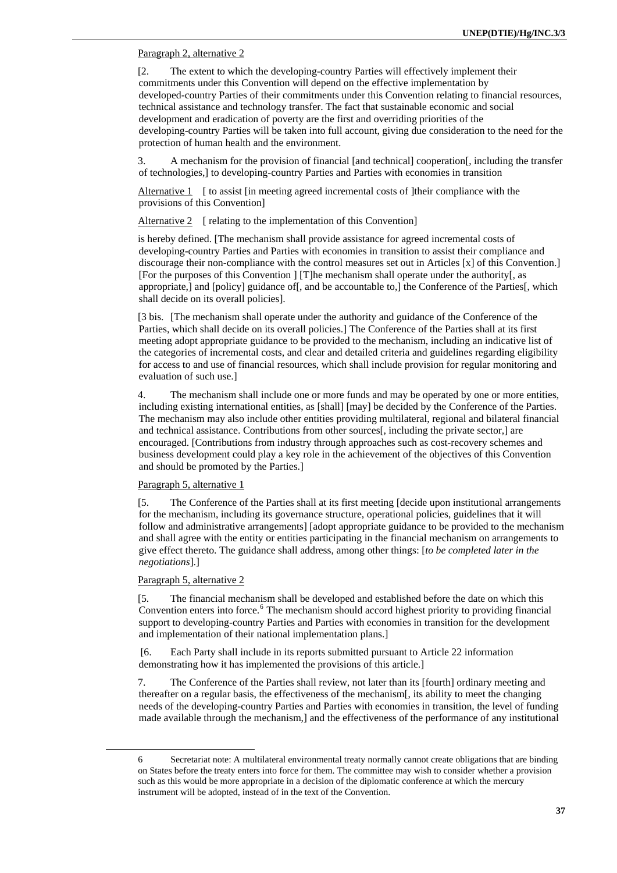## Paragraph 2, alternative 2

[2. The extent to which the developing-country Parties will effectively implement their commitments under this Convention will depend on the effective implementation by developed-country Parties of their commitments under this Convention relating to financial resources, technical assistance and technology transfer. The fact that sustainable economic and social development and eradication of poverty are the first and overriding priorities of the developing-country Parties will be taken into full account, giving due consideration to the need for the protection of human health and the environment.

3. A mechanism for the provision of financial [and technical] cooperation[, including the transfer of technologies,] to developing-country Parties and Parties with economies in transition

Alternative 1 [ to assist [in meeting agreed incremental costs of ]their compliance with the provisions of this Convention]

Alternative 2 [ relating to the implementation of this Convention]

is hereby defined. [The mechanism shall provide assistance for agreed incremental costs of developing-country Parties and Parties with economies in transition to assist their compliance and discourage their non-compliance with the control measures set out in Articles [x] of this Convention.] [For the purposes of this Convention ] [T]he mechanism shall operate under the authority[, as appropriate,] and [policy] guidance of[, and be accountable to,] the Conference of the Parties[, which shall decide on its overall policies].

[3 bis. [The mechanism shall operate under the authority and guidance of the Conference of the Parties, which shall decide on its overall policies.] The Conference of the Parties shall at its first meeting adopt appropriate guidance to be provided to the mechanism, including an indicative list of the categories of incremental costs, and clear and detailed criteria and guidelines regarding eligibility for access to and use of financial resources, which shall include provision for regular monitoring and evaluation of such use.]

4. The mechanism shall include one or more funds and may be operated by one or more entities, including existing international entities, as [shall] [may] be decided by the Conference of the Parties. The mechanism may also include other entities providing multilateral, regional and bilateral financial and technical assistance. Contributions from other sources[, including the private sector,] are encouraged. [Contributions from industry through approaches such as cost-recovery schemes and business development could play a key role in the achievement of the objectives of this Convention and should be promoted by the Parties.]

### Paragraph 5, alternative 1

[5. The Conference of the Parties shall at its first meeting [decide upon institutional arrangements for the mechanism, including its governance structure, operational policies, guidelines that it will follow and administrative arrangements] [adopt appropriate guidance to be provided to the mechanism and shall agree with the entity or entities participating in the financial mechanism on arrangements to give effect thereto. The guidance shall address, among other things: [*to be completed later in the negotiations*].]

## Paragraph 5, alternative 2

<span id="page-36-0"></span> $\overline{a}$ 

[5. The financial mechanism shall be developed and established before the date on which this Convention enters into force.<sup>[6](#page-36-0)</sup> The mechanism should accord highest priority to providing financial support to developing-country Parties and Parties with economies in transition for the development and implementation of their national implementation plans.]

 [6. Each Party shall include in its reports submitted pursuant to Article 22 information demonstrating how it has implemented the provisions of this article.]

7. The Conference of the Parties shall review, not later than its [fourth] ordinary meeting and thereafter on a regular basis, the effectiveness of the mechanism[, its ability to meet the changing needs of the developing-country Parties and Parties with economies in transition, the level of funding made available through the mechanism,] and the effectiveness of the performance of any institutional

<sup>6</sup> Secretariat note: A multilateral environmental treaty normally cannot create obligations that are binding on States before the treaty enters into force for them. The committee may wish to consider whether a provision such as this would be more appropriate in a decision of the diplomatic conference at which the mercury instrument will be adopted, instead of in the text of the Convention.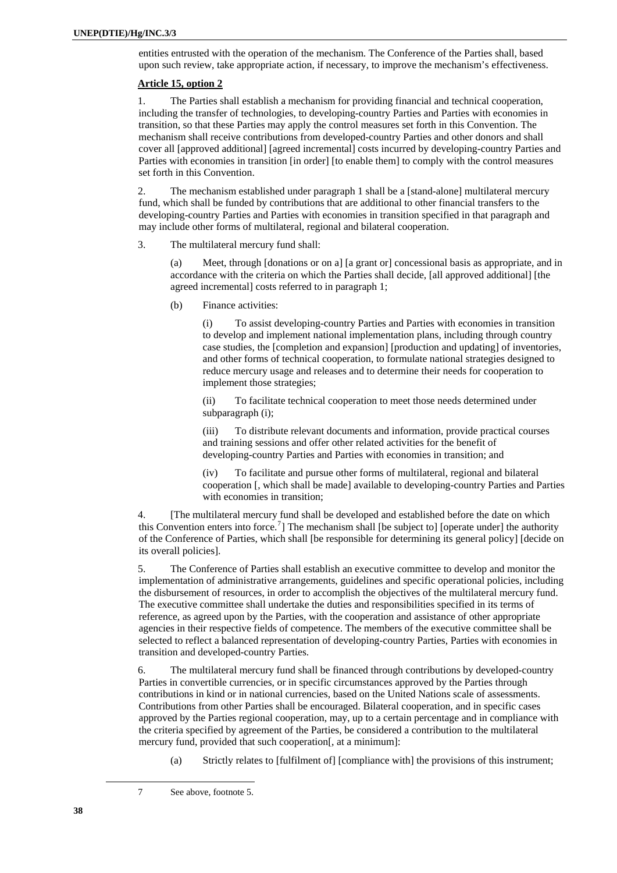entities entrusted with the operation of the mechanism. The Conference of the Parties shall, based upon such review, take appropriate action, if necessary, to improve the mechanism's effectiveness.

## **Article 15, option 2**

1. The Parties shall establish a mechanism for providing financial and technical cooperation, including the transfer of technologies, to developing-country Parties and Parties with economies in transition, so that these Parties may apply the control measures set forth in this Convention. The mechanism shall receive contributions from developed-country Parties and other donors and shall cover all [approved additional] [agreed incremental] costs incurred by developing-country Parties and Parties with economies in transition [in order] [to enable them] to comply with the control measures set forth in this Convention.

2. The mechanism established under paragraph 1 shall be a [stand-alone] multilateral mercury fund, which shall be funded by contributions that are additional to other financial transfers to the developing-country Parties and Parties with economies in transition specified in that paragraph and may include other forms of multilateral, regional and bilateral cooperation.

3. The multilateral mercury fund shall:

(a) Meet, through [donations or on a] [a grant or] concessional basis as appropriate, and in accordance with the criteria on which the Parties shall decide, [all approved additional] [the agreed incremental] costs referred to in paragraph 1;

(b) Finance activities:

(i) To assist developing-country Parties and Parties with economies in transition to develop and implement national implementation plans, including through country case studies, the [completion and expansion] [production and updating] of inventories, and other forms of technical cooperation, to formulate national strategies designed to reduce mercury usage and releases and to determine their needs for cooperation to implement those strategies;

(ii) To facilitate technical cooperation to meet those needs determined under subparagraph (i);

(iii) To distribute relevant documents and information, provide practical courses and training sessions and offer other related activities for the benefit of developing-country Parties and Parties with economies in transition; and

(iv) To facilitate and pursue other forms of multilateral, regional and bilateral cooperation [, which shall be made] available to developing-country Parties and Parties with economies in transition;

4. [The multilateral mercury fund shall be developed and established before the date on which this Convention enters into force.<sup>[7](#page-37-0)</sup>] The mechanism shall [be subject to] [operate under] the authority of the Conference of Parties, which shall [be responsible for determining its general policy] [decide on its overall policies].

5. The Conference of Parties shall establish an executive committee to develop and monitor the implementation of administrative arrangements, guidelines and specific operational policies, including the disbursement of resources, in order to accomplish the objectives of the multilateral mercury fund. The executive committee shall undertake the duties and responsibilities specified in its terms of reference, as agreed upon by the Parties, with the cooperation and assistance of other appropriate agencies in their respective fields of competence. The members of the executive committee shall be selected to reflect a balanced representation of developing-country Parties, Parties with economies in transition and developed-country Parties.

6. The multilateral mercury fund shall be financed through contributions by developed-country Parties in convertible currencies, or in specific circumstances approved by the Parties through contributions in kind or in national currencies, based on the United Nations scale of assessments. Contributions from other Parties shall be encouraged. Bilateral cooperation, and in specific cases approved by the Parties regional cooperation, may, up to a certain percentage and in compliance with the criteria specified by agreement of the Parties, be considered a contribution to the multilateral mercury fund, provided that such cooperation[, at a minimum]:

(a) Strictly relates to [fulfilment of] [compliance with] the provisions of this instrument;

<span id="page-37-0"></span> $\overline{a}$ 

<sup>7</sup> See above, footnote 5.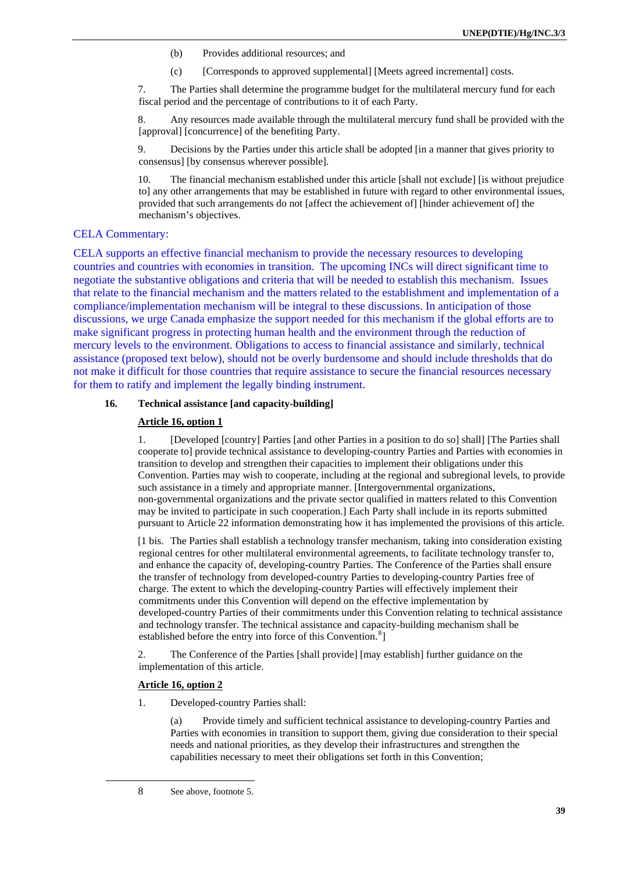- (b) Provides additional resources; and
- (c) [Corresponds to approved supplemental] [Meets agreed incremental] costs.

7. The Parties shall determine the programme budget for the multilateral mercury fund for each fiscal period and the percentage of contributions to it of each Party.

8. Any resources made available through the multilateral mercury fund shall be provided with the [approval] [concurrence] of the benefiting Party.

9. Decisions by the Parties under this article shall be adopted [in a manner that gives priority to consensus] [by consensus wherever possible].

10. The financial mechanism established under this article [shall not exclude] [is without prejudice to] any other arrangements that may be established in future with regard to other environmental issues, provided that such arrangements do not [affect the achievement of] [hinder achievement of] the mechanism's objectives.

### CELA Commentary:

CELA supports an effective financial mechanism to provide the necessary resources to developing countries and countries with economies in transition. The upcoming INCs will direct significant time to negotiate the substantive obligations and criteria that will be needed to establish this mechanism. Issues that relate to the financial mechanism and the matters related to the establishment and implementation of a compliance/implementation mechanism will be integral to these discussions. In anticipation of those discussions, we urge Canada emphasize the support needed for this mechanism if the global efforts are to make significant progress in protecting human health and the environment through the reduction of mercury levels to the environment. Obligations to access to financial assistance and similarly, technical assistance (proposed text below), should not be overly burdensome and should include thresholds that do not make it difficult for those countries that require assistance to secure the financial resources necessary for them to ratify and implement the legally binding instrument.

# **16. Technical assistance [and capacity-building]**

### **Article 16, option 1**

1. [Developed [country] Parties [and other Parties in a position to do so] shall] [The Parties shall cooperate to] provide technical assistance to developing-country Parties and Parties with economies in transition to develop and strengthen their capacities to implement their obligations under this Convention. Parties may wish to cooperate, including at the regional and subregional levels, to provide such assistance in a timely and appropriate manner. [Intergovernmental organizations, non-governmental organizations and the private sector qualified in matters related to this Convention may be invited to participate in such cooperation.] Each Party shall include in its reports submitted pursuant to Article 22 information demonstrating how it has implemented the provisions of this article.

[1 bis. The Parties shall establish a technology transfer mechanism, taking into consideration existing regional centres for other multilateral environmental agreements, to facilitate technology transfer to, and enhance the capacity of, developing-country Parties. The Conference of the Parties shall ensure the transfer of technology from developed-country Parties to developing-country Parties free of charge. The extent to which the developing-country Parties will effectively implement their commitments under this Convention will depend on the effective implementation by developed-country Parties of their commitments under this Convention relating to technical assistance and technology transfer. The technical assistance and capacity-building mechanism shall be established before the entry into force of this Convention.<sup>[8](#page-38-0)</sup>]

2. The Conference of the Parties [shall provide] [may establish] further guidance on the implementation of this article.

### **Article 16, option 2**

<span id="page-38-0"></span> $\overline{a}$ 

1. Developed-country Parties shall:

(a) Provide timely and sufficient technical assistance to developing-country Parties and Parties with economies in transition to support them, giving due consideration to their special needs and national priorities, as they develop their infrastructures and strengthen the capabilities necessary to meet their obligations set forth in this Convention;

<sup>8</sup> See above, footnote 5.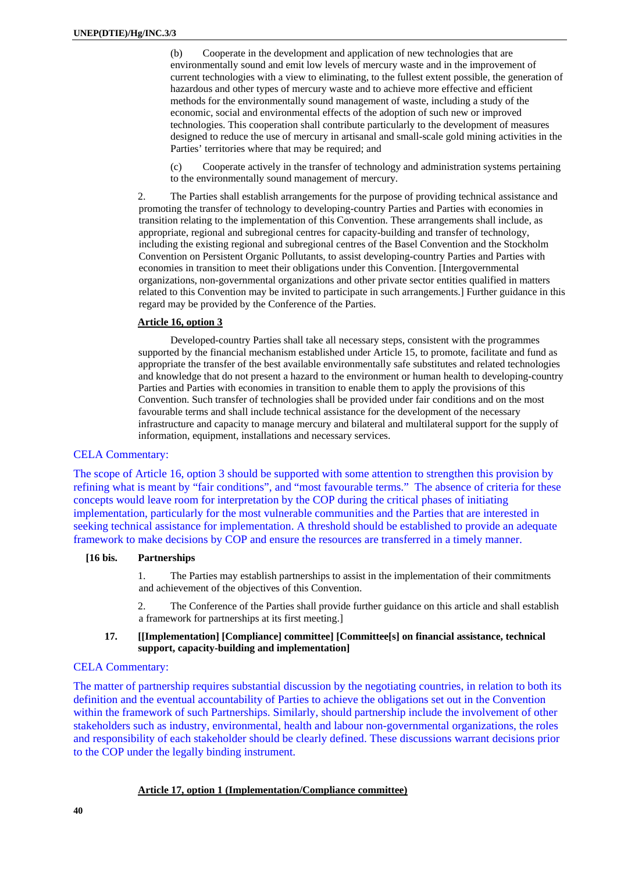(b) Cooperate in the development and application of new technologies that are environmentally sound and emit low levels of mercury waste and in the improvement of current technologies with a view to eliminating, to the fullest extent possible, the generation of hazardous and other types of mercury waste and to achieve more effective and efficient methods for the environmentally sound management of waste, including a study of the economic, social and environmental effects of the adoption of such new or improved technologies. This cooperation shall contribute particularly to the development of measures designed to reduce the use of mercury in artisanal and small-scale gold mining activities in the Parties' territories where that may be required; and

(c) Cooperate actively in the transfer of technology and administration systems pertaining to the environmentally sound management of mercury.

2. The Parties shall establish arrangements for the purpose of providing technical assistance and promoting the transfer of technology to developing-country Parties and Parties with economies in transition relating to the implementation of this Convention. These arrangements shall include, as appropriate, regional and subregional centres for capacity-building and transfer of technology, including the existing regional and subregional centres of the Basel Convention and the Stockholm Convention on Persistent Organic Pollutants, to assist developing-country Parties and Parties with economies in transition to meet their obligations under this Convention. [Intergovernmental organizations, non-governmental organizations and other private sector entities qualified in matters related to this Convention may be invited to participate in such arrangements.] Further guidance in this regard may be provided by the Conference of the Parties.

## **Article 16, option 3**

Developed-country Parties shall take all necessary steps, consistent with the programmes supported by the financial mechanism established under Article 15, to promote, facilitate and fund as appropriate the transfer of the best available environmentally safe substitutes and related technologies and knowledge that do not present a hazard to the environment or human health to developing-country Parties and Parties with economies in transition to enable them to apply the provisions of this Convention. Such transfer of technologies shall be provided under fair conditions and on the most favourable terms and shall include technical assistance for the development of the necessary infrastructure and capacity to manage mercury and bilateral and multilateral support for the supply of information, equipment, installations and necessary services.

# CELA Commentary:

The scope of Article 16, option 3 should be supported with some attention to strengthen this provision by refining what is meant by "fair conditions", and "most favourable terms." The absence of criteria for these concepts would leave room for interpretation by the COP during the critical phases of initiating implementation, particularly for the most vulnerable communities and the Parties that are interested in seeking technical assistance for implementation. A threshold should be established to provide an adequate framework to make decisions by COP and ensure the resources are transferred in a timely manner.

## **[16 bis. Partnerships**

1. The Parties may establish partnerships to assist in the implementation of their commitments and achievement of the objectives of this Convention.

2. The Conference of the Parties shall provide further guidance on this article and shall establish a framework for partnerships at its first meeting.]

## **17. [[Implementation] [Compliance] committee] [Committee[s] on financial assistance, technical support, capacity-building and implementation]**

# CELA Commentary:

The matter of partnership requires substantial discussion by the negotiating countries, in relation to both its definition and the eventual accountability of Parties to achieve the obligations set out in the Convention within the framework of such Partnerships. Similarly, should partnership include the involvement of other stakeholders such as industry, environmental, health and labour non-governmental organizations, the roles and responsibility of each stakeholder should be clearly defined. These discussions warrant decisions prior to the COP under the legally binding instrument.

# **Article 17, option 1 (Implementation/Compliance committee)**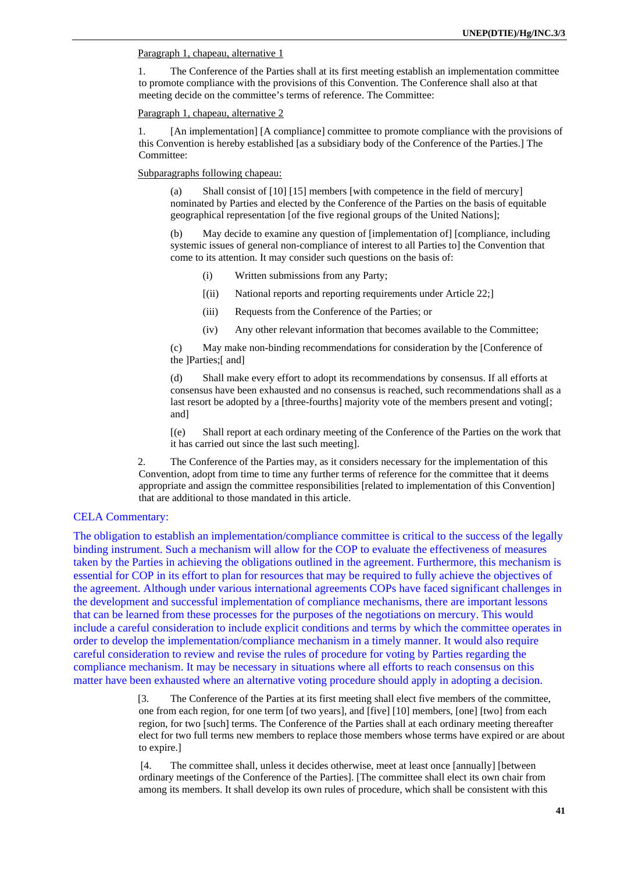### Paragraph 1, chapeau, alternative 1

1. The Conference of the Parties shall at its first meeting establish an implementation committee to promote compliance with the provisions of this Convention. The Conference shall also at that meeting decide on the committee's terms of reference. The Committee:

Paragraph 1, chapeau, alternative 2

1. [An implementation] [A compliance] committee to promote compliance with the provisions of this Convention is hereby established [as a subsidiary body of the Conference of the Parties.] The Committee:

Subparagraphs following chapeau:

(a) Shall consist of [10] [15] members [with competence in the field of mercury] nominated by Parties and elected by the Conference of the Parties on the basis of equitable geographical representation [of the five regional groups of the United Nations];

(b) May decide to examine any question of [implementation of] [compliance, including systemic issues of general non-compliance of interest to all Parties to] the Convention that come to its attention. It may consider such questions on the basis of:

- (i) Written submissions from any Party;
- [(ii) National reports and reporting requirements under Article 22;]
- (iii) Requests from the Conference of the Parties; or
- (iv) Any other relevant information that becomes available to the Committee;

(c) May make non-binding recommendations for consideration by the [Conference of the ]Parties;[ and]

(d) Shall make every effort to adopt its recommendations by consensus. If all efforts at consensus have been exhausted and no consensus is reached, such recommendations shall as a last resort be adopted by a [three-fourths] majority vote of the members present and voting[; and]

[(e) Shall report at each ordinary meeting of the Conference of the Parties on the work that it has carried out since the last such meeting].

2. The Conference of the Parties may, as it considers necessary for the implementation of this Convention, adopt from time to time any further terms of reference for the committee that it deems appropriate and assign the committee responsibilities [related to implementation of this Convention] that are additional to those mandated in this article.

# CELA Commentary:

The obligation to establish an implementation/compliance committee is critical to the success of the legally binding instrument. Such a mechanism will allow for the COP to evaluate the effectiveness of measures taken by the Parties in achieving the obligations outlined in the agreement. Furthermore, this mechanism is essential for COP in its effort to plan for resources that may be required to fully achieve the objectives of the agreement. Although under various international agreements COPs have faced significant challenges in the development and successful implementation of compliance mechanisms, there are important lessons that can be learned from these processes for the purposes of the negotiations on mercury. This would include a careful consideration to include explicit conditions and terms by which the committee operates in order to develop the implementation/compliance mechanism in a timely manner. It would also require careful consideration to review and revise the rules of procedure for voting by Parties regarding the compliance mechanism. It may be necessary in situations where all efforts to reach consensus on this matter have been exhausted where an alternative voting procedure should apply in adopting a decision.

> [3. The Conference of the Parties at its first meeting shall elect five members of the committee, one from each region, for one term [of two years], and [five] [10] members, [one] [two] from each region, for two [such] terms. The Conference of the Parties shall at each ordinary meeting thereafter elect for two full terms new members to replace those members whose terms have expired or are about to expire.]

 [4. The committee shall, unless it decides otherwise, meet at least once [annually] [between ordinary meetings of the Conference of the Parties]. [The committee shall elect its own chair from among its members. It shall develop its own rules of procedure, which shall be consistent with this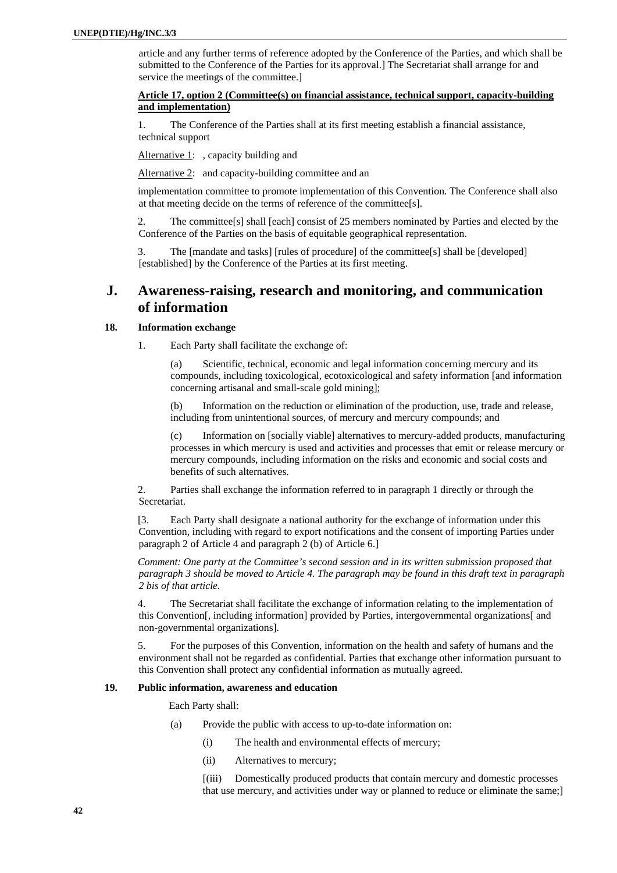article and any further terms of reference adopted by the Conference of the Parties, and which shall be submitted to the Conference of the Parties for its approval.] The Secretariat shall arrange for and service the meetings of the committee.]

## **Article 17, option 2 (Committee(s) on financial assistance, technical support, capacity-building and implementation)**

1. The Conference of the Parties shall at its first meeting establish a financial assistance, technical support

Alternative 1: , capacity building and

Alternative 2: and capacity-building committee and an

implementation committee to promote implementation of this Convention. The Conference shall also at that meeting decide on the terms of reference of the committee[s].

2. The committee[s] shall [each] consist of 25 members nominated by Parties and elected by the Conference of the Parties on the basis of equitable geographical representation.

3. The [mandate and tasks] [rules of procedure] of the committee[s] shall be [developed] [established] by the Conference of the Parties at its first meeting.

# **J. Awareness-raising, research and monitoring, and communication of information**

### **18. Information exchange**

1. Each Party shall facilitate the exchange of:

Scientific, technical, economic and legal information concerning mercury and its compounds, including toxicological, ecotoxicological and safety information [and information concerning artisanal and small-scale gold mining];

(b) Information on the reduction or elimination of the production, use, trade and release, including from unintentional sources, of mercury and mercury compounds; and

(c) Information on [socially viable] alternatives to mercury-added products, manufacturing processes in which mercury is used and activities and processes that emit or release mercury or mercury compounds, including information on the risks and economic and social costs and benefits of such alternatives.

2. Parties shall exchange the information referred to in paragraph 1 directly or through the Secretariat.

[3. Each Party shall designate a national authority for the exchange of information under this Convention, including with regard to export notifications and the consent of importing Parties under paragraph 2 of Article 4 and paragraph 2 (b) of Article 6.]

*Comment: One party at the Committee's second session and in its written submission proposed that paragraph 3 should be moved to Article 4. The paragraph may be found in this draft text in paragraph 2 bis of that article.* 

4. The Secretariat shall facilitate the exchange of information relating to the implementation of this Convention[, including information] provided by Parties, intergovernmental organizations[ and non-governmental organizations].

5. For the purposes of this Convention, information on the health and safety of humans and the environment shall not be regarded as confidential. Parties that exchange other information pursuant to this Convention shall protect any confidential information as mutually agreed.

### **19. Public information, awareness and education**

Each Party shall:

- (a) Provide the public with access to up-to-date information on:
	- (i) The health and environmental effects of mercury;
	- (ii) Alternatives to mercury;

[(iii) Domestically produced products that contain mercury and domestic processes that use mercury, and activities under way or planned to reduce or eliminate the same;]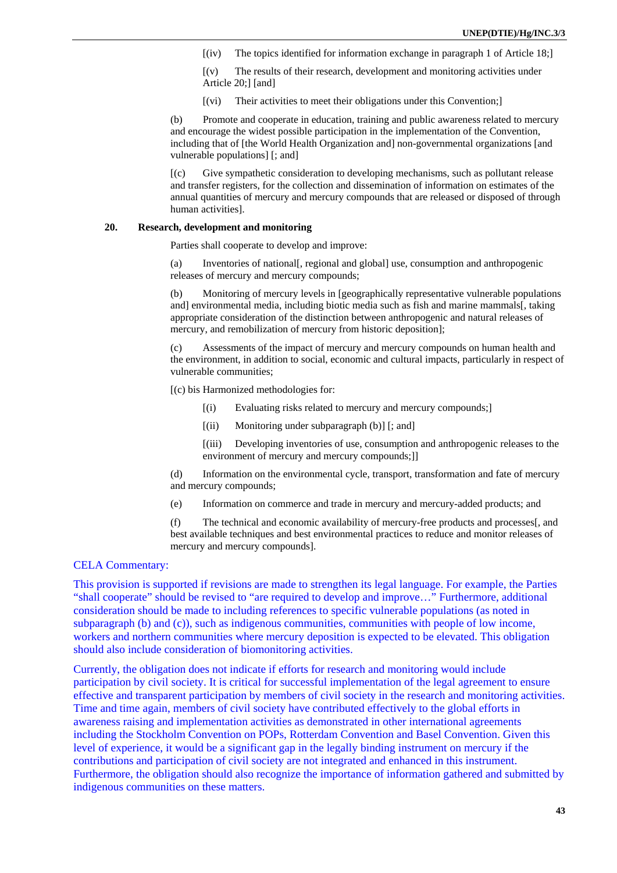[(iv) The topics identified for information exchange in paragraph 1 of Article 18;]

[(v) The results of their research, development and monitoring activities under Article 20;] [and]

[(vi) Their activities to meet their obligations under this Convention;]

(b) Promote and cooperate in education, training and public awareness related to mercury and encourage the widest possible participation in the implementation of the Convention, including that of [the World Health Organization and] non-governmental organizations [and vulnerable populations] [; and]

[(c) Give sympathetic consideration to developing mechanisms, such as pollutant release and transfer registers, for the collection and dissemination of information on estimates of the annual quantities of mercury and mercury compounds that are released or disposed of through human activities].

### **20. Research, development and monitoring**

Parties shall cooperate to develop and improve:

(a) Inventories of national[, regional and global] use, consumption and anthropogenic releases of mercury and mercury compounds;

(b) Monitoring of mercury levels in [geographically representative vulnerable populations and] environmental media, including biotic media such as fish and marine mammals[, taking] appropriate consideration of the distinction between anthropogenic and natural releases of mercury, and remobilization of mercury from historic deposition];

(c) Assessments of the impact of mercury and mercury compounds on human health and the environment, in addition to social, economic and cultural impacts, particularly in respect of vulnerable communities;

[(c) bis Harmonized methodologies for:

- [(i) Evaluating risks related to mercury and mercury compounds;]
- [(ii) Monitoring under subparagraph (b)] [; and]

[(iii) Developing inventories of use, consumption and anthropogenic releases to the environment of mercury and mercury compounds;]]

(d) Information on the environmental cycle, transport, transformation and fate of mercury and mercury compounds;

(e) Information on commerce and trade in mercury and mercury-added products; and

(f) The technical and economic availability of mercury-free products and processes[, and best available techniques and best environmental practices to reduce and monitor releases of mercury and mercury compounds].

## CELA Commentary:

This provision is supported if revisions are made to strengthen its legal language. For example, the Parties "shall cooperate" should be revised to "are required to develop and improve…" Furthermore, additional consideration should be made to including references to specific vulnerable populations (as noted in subparagraph (b) and (c)), such as indigenous communities, communities with people of low income, workers and northern communities where mercury deposition is expected to be elevated. This obligation should also include consideration of biomonitoring activities.

Currently, the obligation does not indicate if efforts for research and monitoring would include participation by civil society. It is critical for successful implementation of the legal agreement to ensure effective and transparent participation by members of civil society in the research and monitoring activities. Time and time again, members of civil society have contributed effectively to the global efforts in awareness raising and implementation activities as demonstrated in other international agreements including the Stockholm Convention on POPs, Rotterdam Convention and Basel Convention. Given this level of experience, it would be a significant gap in the legally binding instrument on mercury if the contributions and participation of civil society are not integrated and enhanced in this instrument. Furthermore, the obligation should also recognize the importance of information gathered and submitted by indigenous communities on these matters.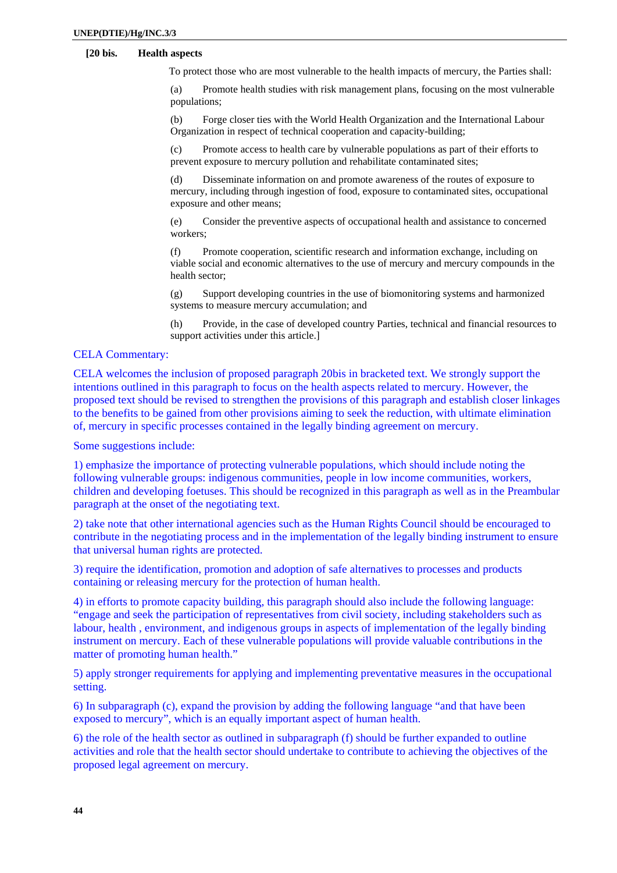# **[20 bis. Health aspects**

To protect those who are most vulnerable to the health impacts of mercury, the Parties shall:

(a) Promote health studies with risk management plans, focusing on the most vulnerable populations;

(b) Forge closer ties with the World Health Organization and the International Labour Organization in respect of technical cooperation and capacity-building;

(c) Promote access to health care by vulnerable populations as part of their efforts to prevent exposure to mercury pollution and rehabilitate contaminated sites;

(d) Disseminate information on and promote awareness of the routes of exposure to mercury, including through ingestion of food, exposure to contaminated sites, occupational exposure and other means;

(e) Consider the preventive aspects of occupational health and assistance to concerned workers;

(f) Promote cooperation, scientific research and information exchange, including on viable social and economic alternatives to the use of mercury and mercury compounds in the health sector;

(g) Support developing countries in the use of biomonitoring systems and harmonized systems to measure mercury accumulation; and

(h) Provide, in the case of developed country Parties, technical and financial resources to support activities under this article.]

## CELA Commentary:

CELA welcomes the inclusion of proposed paragraph 20bis in bracketed text. We strongly support the intentions outlined in this paragraph to focus on the health aspects related to mercury. However, the proposed text should be revised to strengthen the provisions of this paragraph and establish closer linkages to the benefits to be gained from other provisions aiming to seek the reduction, with ultimate elimination of, mercury in specific processes contained in the legally binding agreement on mercury.

Some suggestions include:

1) emphasize the importance of protecting vulnerable populations, which should include noting the following vulnerable groups: indigenous communities, people in low income communities, workers, children and developing foetuses. This should be recognized in this paragraph as well as in the Preambular paragraph at the onset of the negotiating text.

2) take note that other international agencies such as the Human Rights Council should be encouraged to contribute in the negotiating process and in the implementation of the legally binding instrument to ensure that universal human rights are protected.

3) require the identification, promotion and adoption of safe alternatives to processes and products containing or releasing mercury for the protection of human health.

4) in efforts to promote capacity building, this paragraph should also include the following language: "engage and seek the participation of representatives from civil society, including stakeholders such as labour, health , environment, and indigenous groups in aspects of implementation of the legally binding instrument on mercury. Each of these vulnerable populations will provide valuable contributions in the matter of promoting human health."

5) apply stronger requirements for applying and implementing preventative measures in the occupational setting.

6) In subparagraph (c), expand the provision by adding the following language "and that have been exposed to mercury", which is an equally important aspect of human health.

6) the role of the health sector as outlined in subparagraph (f) should be further expanded to outline activities and role that the health sector should undertake to contribute to achieving the objectives of the proposed legal agreement on mercury.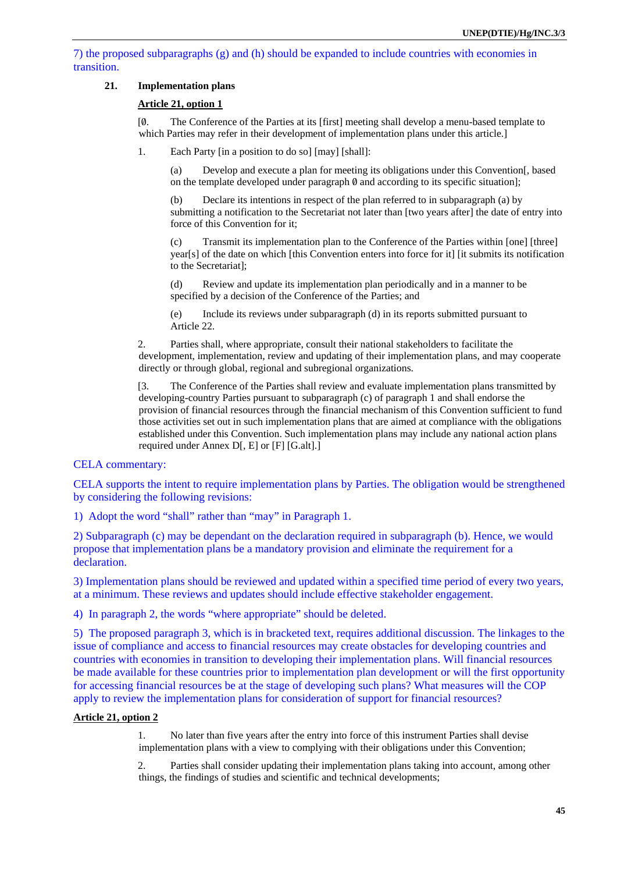7) the proposed subparagraphs (g) and (h) should be expanded to include countries with economies in transition.

# **21. Implementation plans**

### **Article 21, option 1**

[0/. The Conference of the Parties at its [first] meeting shall develop a menu-based template to which Parties may refer in their development of implementation plans under this article.]

1. Each Party [in a position to do so] [may] [shall]:

(a) Develop and execute a plan for meeting its obligations under this Convention[, based on the template developed under paragraph  $\emptyset$  and according to its specific situation];

(b) Declare its intentions in respect of the plan referred to in subparagraph (a) by submitting a notification to the Secretariat not later than [two years after] the date of entry into force of this Convention for it;

(c) Transmit its implementation plan to the Conference of the Parties within [one] [three] year[s] of the date on which [this Convention enters into force for it] [it submits its notification to the Secretariat];

(d) Review and update its implementation plan periodically and in a manner to be specified by a decision of the Conference of the Parties; and

(e) Include its reviews under subparagraph (d) in its reports submitted pursuant to Article 22.

2. Parties shall, where appropriate, consult their national stakeholders to facilitate the development, implementation, review and updating of their implementation plans, and may cooperate directly or through global, regional and subregional organizations.

[3. The Conference of the Parties shall review and evaluate implementation plans transmitted by developing-country Parties pursuant to subparagraph (c) of paragraph 1 and shall endorse the provision of financial resources through the financial mechanism of this Convention sufficient to fund those activities set out in such implementation plans that are aimed at compliance with the obligations established under this Convention. Such implementation plans may include any national action plans required under Annex D[, E] or [F] [G.alt].]

## CELA commentary:

CELA supports the intent to require implementation plans by Parties. The obligation would be strengthened by considering the following revisions:

1) Adopt the word "shall" rather than "may" in Paragraph 1.

2) Subparagraph (c) may be dependant on the declaration required in subparagraph (b). Hence, we would propose that implementation plans be a mandatory provision and eliminate the requirement for a declaration.

3) Implementation plans should be reviewed and updated within a specified time period of every two years, at a minimum. These reviews and updates should include effective stakeholder engagement.

4) In paragraph 2, the words "where appropriate" should be deleted.

5) The proposed paragraph 3, which is in bracketed text, requires additional discussion. The linkages to the issue of compliance and access to financial resources may create obstacles for developing countries and countries with economies in transition to developing their implementation plans. Will financial resources be made available for these countries prior to implementation plan development or will the first opportunity for accessing financial resources be at the stage of developing such plans? What measures will the COP apply to review the implementation plans for consideration of support for financial resources?

### **Article 21, option 2**

1. No later than five years after the entry into force of this instrument Parties shall devise implementation plans with a view to complying with their obligations under this Convention;

2. Parties shall consider updating their implementation plans taking into account, among other things, the findings of studies and scientific and technical developments;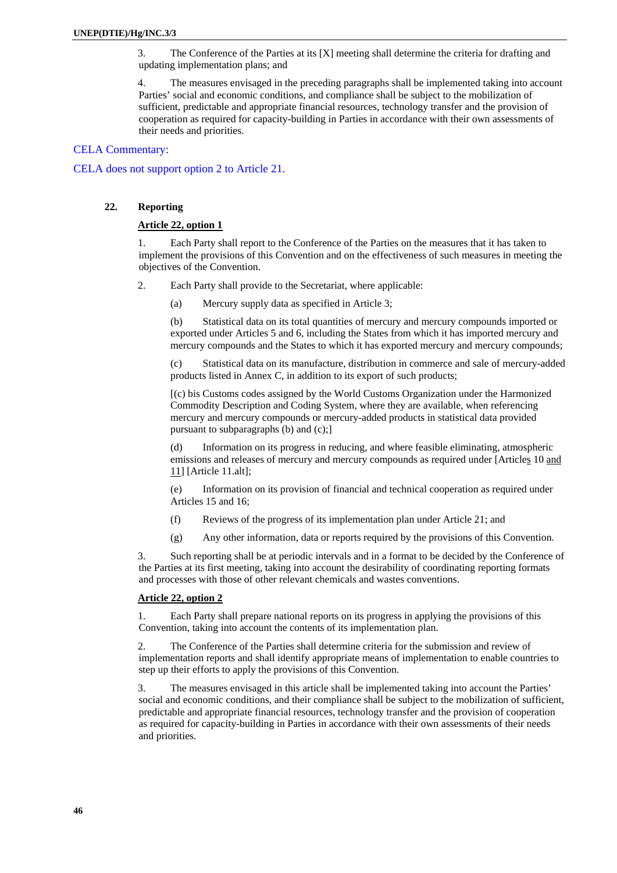3. The Conference of the Parties at its [X] meeting shall determine the criteria for drafting and updating implementation plans; and

4. The measures envisaged in the preceding paragraphs shall be implemented taking into account Parties' social and economic conditions, and compliance shall be subject to the mobilization of sufficient, predictable and appropriate financial resources, technology transfer and the provision of cooperation as required for capacity-building in Parties in accordance with their own assessments of their needs and priorities.

### CELA Commentary:

CELA does not support option 2 to Article 21.

### **22. Reporting**

## **Article 22, option 1**

1. Each Party shall report to the Conference of the Parties on the measures that it has taken to implement the provisions of this Convention and on the effectiveness of such measures in meeting the objectives of the Convention.

- 2. Each Party shall provide to the Secretariat, where applicable:
	- (a) Mercury supply data as specified in Article 3;

(b) Statistical data on its total quantities of mercury and mercury compounds imported or exported under Articles 5 and 6, including the States from which it has imported mercury and mercury compounds and the States to which it has exported mercury and mercury compounds;

(c) Statistical data on its manufacture, distribution in commerce and sale of mercury-added products listed in Annex C, in addition to its export of such products;

[(c) bis Customs codes assigned by the World Customs Organization under the Harmonized Commodity Description and Coding System, where they are available, when referencing mercury and mercury compounds or mercury-added products in statistical data provided pursuant to subparagraphs (b) and (c);]

(d) Information on its progress in reducing, and where feasible eliminating, atmospheric emissions and releases of mercury and mercury compounds as required under [Articles 10 and 11] [Article 11.alt];

(e) Information on its provision of financial and technical cooperation as required under Articles 15 and 16;

- (f) Reviews of the progress of its implementation plan under Article 21; and
- (g) Any other information, data or reports required by the provisions of this Convention.

3. Such reporting shall be at periodic intervals and in a format to be decided by the Conference of the Parties at its first meeting, taking into account the desirability of coordinating reporting formats and processes with those of other relevant chemicals and wastes conventions.

### **Article 22, option 2**

1. Each Party shall prepare national reports on its progress in applying the provisions of this Convention, taking into account the contents of its implementation plan.

2. The Conference of the Parties shall determine criteria for the submission and review of implementation reports and shall identify appropriate means of implementation to enable countries to step up their efforts to apply the provisions of this Convention.

3. The measures envisaged in this article shall be implemented taking into account the Parties' social and economic conditions, and their compliance shall be subject to the mobilization of sufficient, predictable and appropriate financial resources, technology transfer and the provision of cooperation as required for capacity-building in Parties in accordance with their own assessments of their needs and priorities.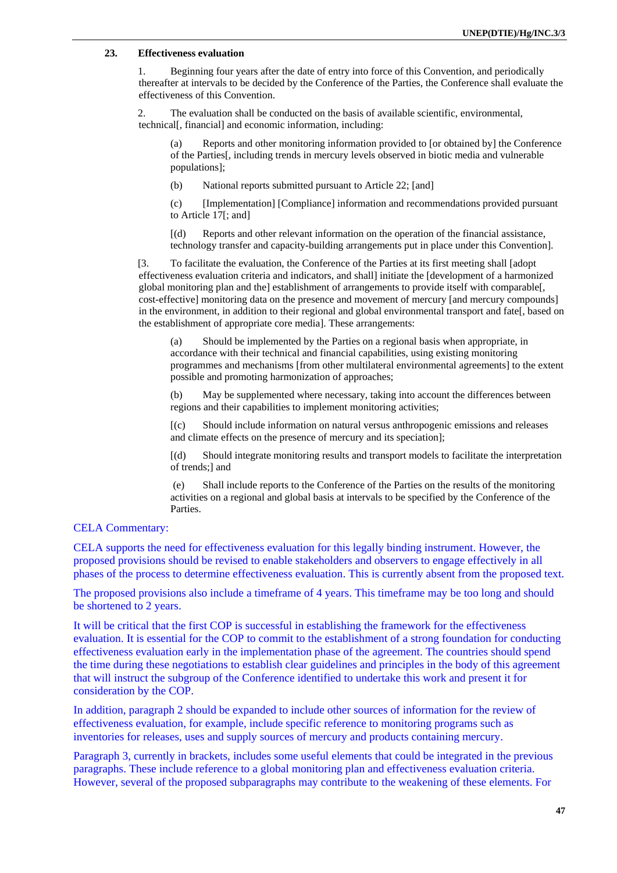### **23. Effectiveness evaluation**

1. Beginning four years after the date of entry into force of this Convention, and periodically thereafter at intervals to be decided by the Conference of the Parties, the Conference shall evaluate the effectiveness of this Convention.

2. The evaluation shall be conducted on the basis of available scientific, environmental, technical[, financial] and economic information, including:

(a) Reports and other monitoring information provided to [or obtained by] the Conference of the Parties[, including trends in mercury levels observed in biotic media and vulnerable populations];

(b) National reports submitted pursuant to Article 22; [and]

(c) [Implementation] [Compliance] information and recommendations provided pursuant to Article 17[; and]

[(d) Reports and other relevant information on the operation of the financial assistance, technology transfer and capacity-building arrangements put in place under this Convention].

[3. To facilitate the evaluation, the Conference of the Parties at its first meeting shall [adopt effectiveness evaluation criteria and indicators, and shall] initiate the [development of a harmonized global monitoring plan and the] establishment of arrangements to provide itself with comparable[, cost-effective] monitoring data on the presence and movement of mercury [and mercury compounds] in the environment, in addition to their regional and global environmental transport and fate[, based on the establishment of appropriate core media]. These arrangements:

(a) Should be implemented by the Parties on a regional basis when appropriate, in accordance with their technical and financial capabilities, using existing monitoring programmes and mechanisms [from other multilateral environmental agreements] to the extent possible and promoting harmonization of approaches;

(b) May be supplemented where necessary, taking into account the differences between regions and their capabilities to implement monitoring activities;

[(c) Should include information on natural versus anthropogenic emissions and releases and climate effects on the presence of mercury and its speciation];

[(d) Should integrate monitoring results and transport models to facilitate the interpretation of trends;] and

 (e) Shall include reports to the Conference of the Parties on the results of the monitoring activities on a regional and global basis at intervals to be specified by the Conference of the Parties.

# CELA Commentary:

CELA supports the need for effectiveness evaluation for this legally binding instrument. However, the proposed provisions should be revised to enable stakeholders and observers to engage effectively in all phases of the process to determine effectiveness evaluation. This is currently absent from the proposed text.

The proposed provisions also include a timeframe of 4 years. This timeframe may be too long and should be shortened to 2 years.

It will be critical that the first COP is successful in establishing the framework for the effectiveness evaluation. It is essential for the COP to commit to the establishment of a strong foundation for conducting effectiveness evaluation early in the implementation phase of the agreement. The countries should spend the time during these negotiations to establish clear guidelines and principles in the body of this agreement that will instruct the subgroup of the Conference identified to undertake this work and present it for consideration by the COP.

In addition, paragraph 2 should be expanded to include other sources of information for the review of effectiveness evaluation, for example, include specific reference to monitoring programs such as inventories for releases, uses and supply sources of mercury and products containing mercury.

Paragraph 3, currently in brackets, includes some useful elements that could be integrated in the previous paragraphs. These include reference to a global monitoring plan and effectiveness evaluation criteria. However, several of the proposed subparagraphs may contribute to the weakening of these elements. For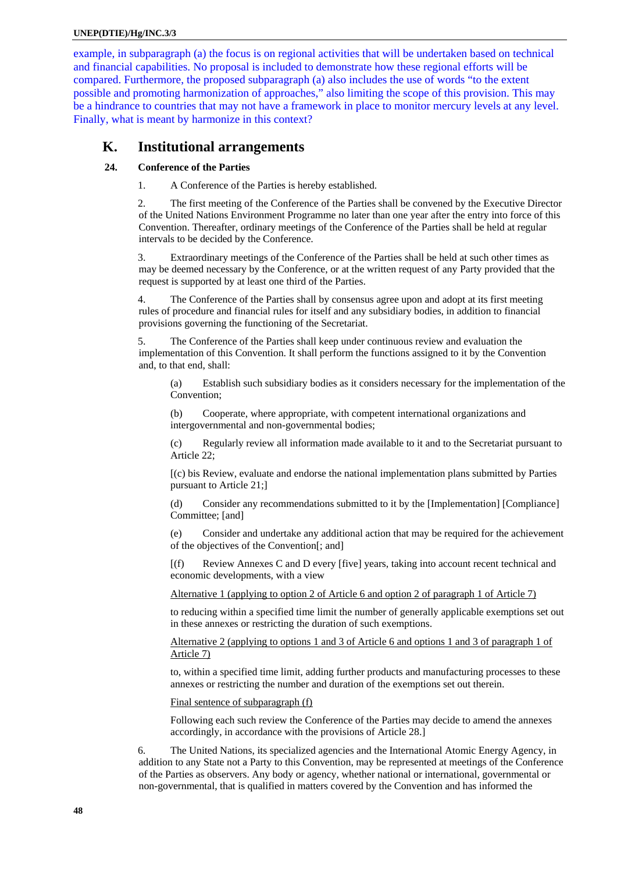### **UNEP(DTIE)/Hg/INC.3/3**

example, in subparagraph (a) the focus is on regional activities that will be undertaken based on technical and financial capabilities. No proposal is included to demonstrate how these regional efforts will be compared. Furthermore, the proposed subparagraph (a) also includes the use of words "to the extent possible and promoting harmonization of approaches," also limiting the scope of this provision. This may be a hindrance to countries that may not have a framework in place to monitor mercury levels at any level. Finally, what is meant by harmonize in this context?

# **K. Institutional arrangements**

# **24. Conference of the Parties**

1. A Conference of the Parties is hereby established.

2. The first meeting of the Conference of the Parties shall be convened by the Executive Director of the United Nations Environment Programme no later than one year after the entry into force of this Convention. Thereafter, ordinary meetings of the Conference of the Parties shall be held at regular intervals to be decided by the Conference.

3. Extraordinary meetings of the Conference of the Parties shall be held at such other times as may be deemed necessary by the Conference, or at the written request of any Party provided that the request is supported by at least one third of the Parties.

4. The Conference of the Parties shall by consensus agree upon and adopt at its first meeting rules of procedure and financial rules for itself and any subsidiary bodies, in addition to financial provisions governing the functioning of the Secretariat.

5. The Conference of the Parties shall keep under continuous review and evaluation the implementation of this Convention. It shall perform the functions assigned to it by the Convention and, to that end, shall:

(a) Establish such subsidiary bodies as it considers necessary for the implementation of the Convention;

(b) Cooperate, where appropriate, with competent international organizations and intergovernmental and non-governmental bodies;

(c) Regularly review all information made available to it and to the Secretariat pursuant to Article 22;

[(c) bis Review, evaluate and endorse the national implementation plans submitted by Parties pursuant to Article 21;]

(d) Consider any recommendations submitted to it by the [Implementation] [Compliance] Committee; [and]

(e) Consider and undertake any additional action that may be required for the achievement of the objectives of the Convention[; and]

[(f) Review Annexes C and D every [five] years, taking into account recent technical and economic developments, with a view

Alternative 1 (applying to option 2 of Article 6 and option 2 of paragraph 1 of Article 7)

to reducing within a specified time limit the number of generally applicable exemptions set out in these annexes or restricting the duration of such exemptions.

Alternative 2 (applying to options 1 and 3 of Article 6 and options 1 and 3 of paragraph 1 of Article 7)

to, within a specified time limit, adding further products and manufacturing processes to these annexes or restricting the number and duration of the exemptions set out therein.

Final sentence of subparagraph (f)

Following each such review the Conference of the Parties may decide to amend the annexes accordingly, in accordance with the provisions of Article 28.]

6. The United Nations, its specialized agencies and the International Atomic Energy Agency, in addition to any State not a Party to this Convention, may be represented at meetings of the Conference of the Parties as observers. Any body or agency, whether national or international, governmental or non-governmental, that is qualified in matters covered by the Convention and has informed the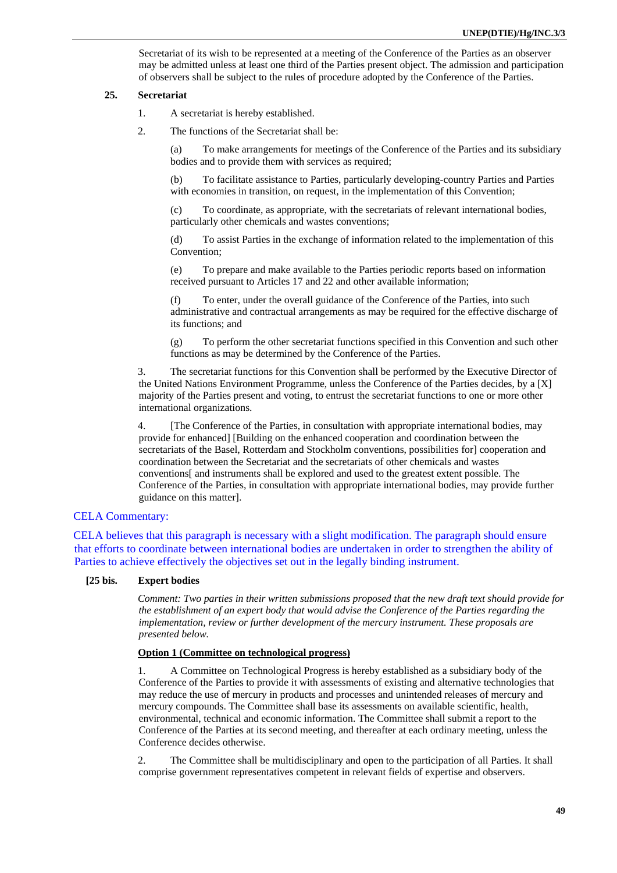Secretariat of its wish to be represented at a meeting of the Conference of the Parties as an observer may be admitted unless at least one third of the Parties present object. The admission and participation of observers shall be subject to the rules of procedure adopted by the Conference of the Parties.

### **25. Secretariat**

- 1. A secretariat is hereby established.
- 2. The functions of the Secretariat shall be:

(a) To make arrangements for meetings of the Conference of the Parties and its subsidiary bodies and to provide them with services as required;

(b) To facilitate assistance to Parties, particularly developing-country Parties and Parties with economies in transition, on request, in the implementation of this Convention;

(c) To coordinate, as appropriate, with the secretariats of relevant international bodies, particularly other chemicals and wastes conventions;

(d) To assist Parties in the exchange of information related to the implementation of this Convention;

(e) To prepare and make available to the Parties periodic reports based on information received pursuant to Articles 17 and 22 and other available information;

(f) To enter, under the overall guidance of the Conference of the Parties, into such administrative and contractual arrangements as may be required for the effective discharge of its functions; and

(g) To perform the other secretariat functions specified in this Convention and such other functions as may be determined by the Conference of the Parties.

3. The secretariat functions for this Convention shall be performed by the Executive Director of the United Nations Environment Programme, unless the Conference of the Parties decides, by a [X] majority of the Parties present and voting, to entrust the secretariat functions to one or more other international organizations.

4. [The Conference of the Parties, in consultation with appropriate international bodies, may provide for enhanced] [Building on the enhanced cooperation and coordination between the secretariats of the Basel, Rotterdam and Stockholm conventions, possibilities for cooperation and coordination between the Secretariat and the secretariats of other chemicals and wastes conventions[ and instruments shall be explored and used to the greatest extent possible. The Conference of the Parties, in consultation with appropriate international bodies, may provide further guidance on this matter].

# CELA Commentary:

CELA believes that this paragraph is necessary with a slight modification. The paragraph should ensure that efforts to coordinate between international bodies are undertaken in order to strengthen the ability of Parties to achieve effectively the objectives set out in the legally binding instrument.

### **[25 bis. Expert bodies**

*Comment: Two parties in their written submissions proposed that the new draft text should provide for the establishment of an expert body that would advise the Conference of the Parties regarding the implementation, review or further development of the mercury instrument. These proposals are presented below.* 

### **Option 1 (Committee on technological progress)**

1. A Committee on Technological Progress is hereby established as a subsidiary body of the Conference of the Parties to provide it with assessments of existing and alternative technologies that may reduce the use of mercury in products and processes and unintended releases of mercury and mercury compounds. The Committee shall base its assessments on available scientific, health, environmental, technical and economic information. The Committee shall submit a report to the Conference of the Parties at its second meeting, and thereafter at each ordinary meeting, unless the Conference decides otherwise.

2. The Committee shall be multidisciplinary and open to the participation of all Parties. It shall comprise government representatives competent in relevant fields of expertise and observers.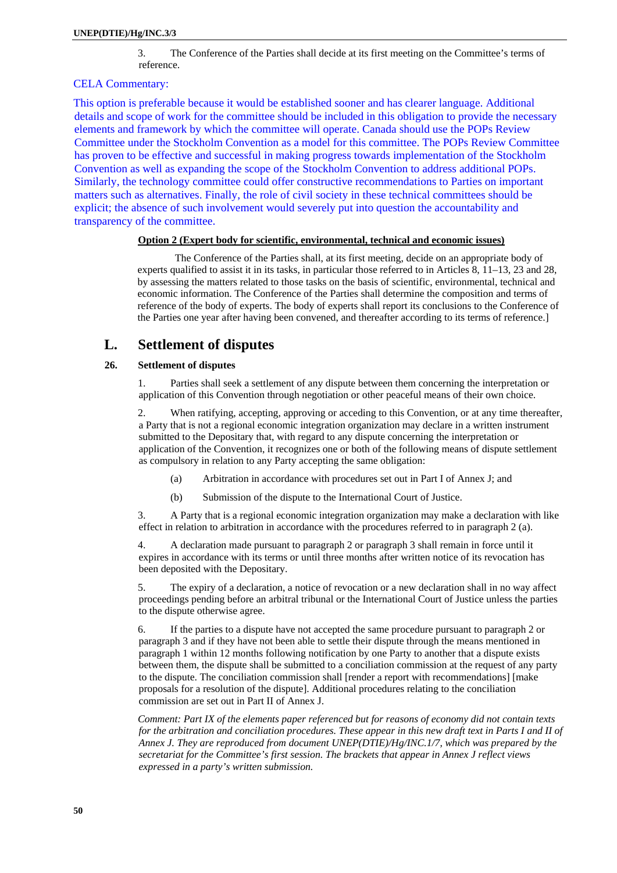3. The Conference of the Parties shall decide at its first meeting on the Committee's terms of reference.

## CELA Commentary:

This option is preferable because it would be established sooner and has clearer language. Additional details and scope of work for the committee should be included in this obligation to provide the necessary elements and framework by which the committee will operate. Canada should use the POPs Review Committee under the Stockholm Convention as a model for this committee. The POPs Review Committee has proven to be effective and successful in making progress towards implementation of the Stockholm Convention as well as expanding the scope of the Stockholm Convention to address additional POPs. Similarly, the technology committee could offer constructive recommendations to Parties on important matters such as alternatives. Finally, the role of civil society in these technical committees should be explicit; the absence of such involvement would severely put into question the accountability and transparency of the committee.

## **Option 2 (Expert body for scientific, environmental, technical and economic issues)**

The Conference of the Parties shall, at its first meeting, decide on an appropriate body of experts qualified to assist it in its tasks, in particular those referred to in Articles 8, 11–13, 23 and 28, by assessing the matters related to those tasks on the basis of scientific, environmental, technical and economic information. The Conference of the Parties shall determine the composition and terms of reference of the body of experts. The body of experts shall report its conclusions to the Conference of the Parties one year after having been convened, and thereafter according to its terms of reference.]

# **L. Settlement of disputes**

### **26. Settlement of disputes**

1. Parties shall seek a settlement of any dispute between them concerning the interpretation or application of this Convention through negotiation or other peaceful means of their own choice.

2. When ratifying, accepting, approving or acceding to this Convention, or at any time thereafter, a Party that is not a regional economic integration organization may declare in a written instrument submitted to the Depositary that, with regard to any dispute concerning the interpretation or application of the Convention, it recognizes one or both of the following means of dispute settlement as compulsory in relation to any Party accepting the same obligation:

- (a) Arbitration in accordance with procedures set out in Part I of Annex J; and
- (b) Submission of the dispute to the International Court of Justice.

3. A Party that is a regional economic integration organization may make a declaration with like effect in relation to arbitration in accordance with the procedures referred to in paragraph 2 (a).

4. A declaration made pursuant to paragraph 2 or paragraph 3 shall remain in force until it expires in accordance with its terms or until three months after written notice of its revocation has been deposited with the Depositary.

5. The expiry of a declaration, a notice of revocation or a new declaration shall in no way affect proceedings pending before an arbitral tribunal or the International Court of Justice unless the parties to the dispute otherwise agree.

6. If the parties to a dispute have not accepted the same procedure pursuant to paragraph 2 or paragraph 3 and if they have not been able to settle their dispute through the means mentioned in paragraph 1 within 12 months following notification by one Party to another that a dispute exists between them, the dispute shall be submitted to a conciliation commission at the request of any party to the dispute. The conciliation commission shall [render a report with recommendations] [make proposals for a resolution of the dispute]. Additional procedures relating to the conciliation commission are set out in Part II of Annex J.

*Comment: Part IX of the elements paper referenced but for reasons of economy did not contain texts for the arbitration and conciliation procedures. These appear in this new draft text in Parts I and II of Annex J. They are reproduced from document UNEP(DTIE)/Hg/INC.1/7, which was prepared by the secretariat for the Committee's first session. The brackets that appear in Annex J reflect views expressed in a party's written submission.*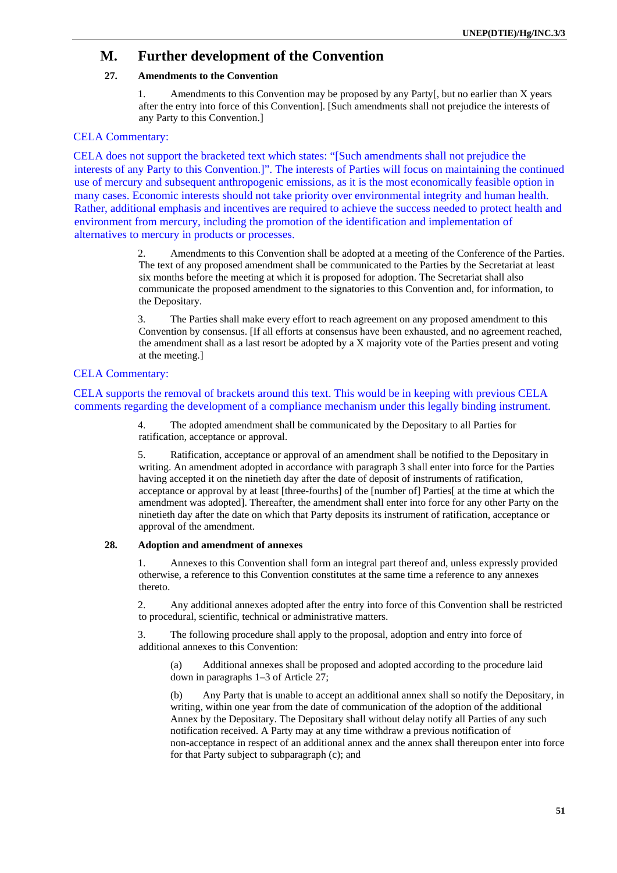# **M. Further development of the Convention**

# **27. Amendments to the Convention**

1. Amendments to this Convention may be proposed by any Party[, but no earlier than X years after the entry into force of this Convention]. [Such amendments shall not prejudice the interests of any Party to this Convention.]

## CELA Commentary:

CELA does not support the bracketed text which states: "[Such amendments shall not prejudice the interests of any Party to this Convention.]". The interests of Parties will focus on maintaining the continued use of mercury and subsequent anthropogenic emissions, as it is the most economically feasible option in many cases. Economic interests should not take priority over environmental integrity and human health. Rather, additional emphasis and incentives are required to achieve the success needed to protect health and environment from mercury, including the promotion of the identification and implementation of alternatives to mercury in products or processes.

> 2. Amendments to this Convention shall be adopted at a meeting of the Conference of the Parties. The text of any proposed amendment shall be communicated to the Parties by the Secretariat at least six months before the meeting at which it is proposed for adoption. The Secretariat shall also communicate the proposed amendment to the signatories to this Convention and, for information, to the Depositary.

> 3. The Parties shall make every effort to reach agreement on any proposed amendment to this Convention by consensus. [If all efforts at consensus have been exhausted, and no agreement reached, the amendment shall as a last resort be adopted by a X majority vote of the Parties present and voting at the meeting.]

## CELA Commentary:

## CELA supports the removal of brackets around this text. This would be in keeping with previous CELA comments regarding the development of a compliance mechanism under this legally binding instrument.

4. The adopted amendment shall be communicated by the Depositary to all Parties for ratification, acceptance or approval.

5. Ratification, acceptance or approval of an amendment shall be notified to the Depositary in writing. An amendment adopted in accordance with paragraph 3 shall enter into force for the Parties having accepted it on the ninetieth day after the date of deposit of instruments of ratification, acceptance or approval by at least [three-fourths] of the [number of] Parties[ at the time at which the amendment was adopted]. Thereafter, the amendment shall enter into force for any other Party on the ninetieth day after the date on which that Party deposits its instrument of ratification, acceptance or approval of the amendment.

#### **28. Adoption and amendment of annexes**

1. Annexes to this Convention shall form an integral part thereof and, unless expressly provided otherwise, a reference to this Convention constitutes at the same time a reference to any annexes thereto.

2. Any additional annexes adopted after the entry into force of this Convention shall be restricted to procedural, scientific, technical or administrative matters.

3. The following procedure shall apply to the proposal, adoption and entry into force of additional annexes to this Convention:

(a) Additional annexes shall be proposed and adopted according to the procedure laid down in paragraphs 1–3 of Article 27;

(b) Any Party that is unable to accept an additional annex shall so notify the Depositary, in writing, within one year from the date of communication of the adoption of the additional Annex by the Depositary. The Depositary shall without delay notify all Parties of any such notification received. A Party may at any time withdraw a previous notification of non-acceptance in respect of an additional annex and the annex shall thereupon enter into force for that Party subject to subparagraph (c); and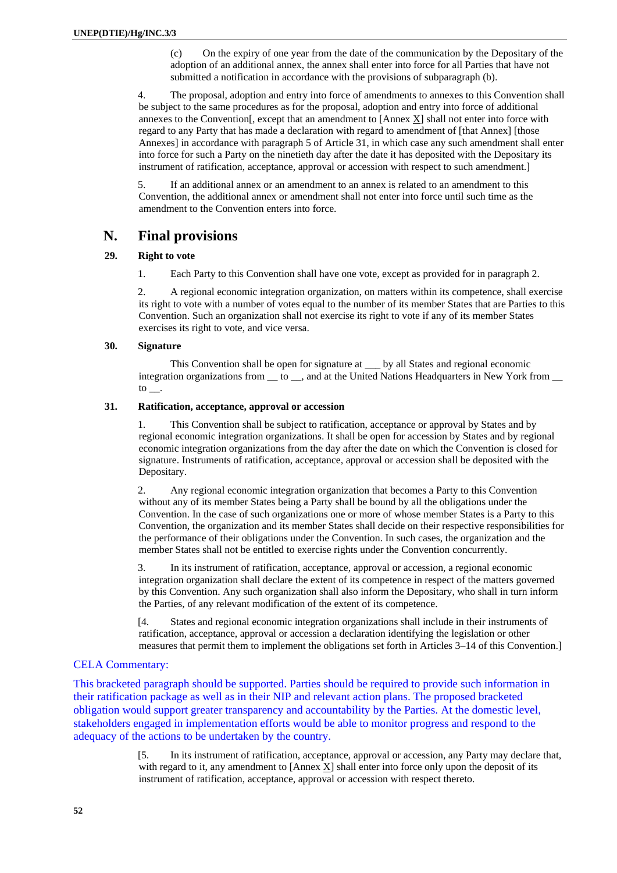(c) On the expiry of one year from the date of the communication by the Depositary of the adoption of an additional annex, the annex shall enter into force for all Parties that have not submitted a notification in accordance with the provisions of subparagraph (b).

4. The proposal, adoption and entry into force of amendments to annexes to this Convention shall be subject to the same procedures as for the proposal, adoption and entry into force of additional annexes to the Convention[, except that an amendment to [Annex X] shall not enter into force with regard to any Party that has made a declaration with regard to amendment of [that Annex] [those Annexes] in accordance with paragraph 5 of Article 31, in which case any such amendment shall enter into force for such a Party on the ninetieth day after the date it has deposited with the Depositary its instrument of ratification, acceptance, approval or accession with respect to such amendment.]

5. If an additional annex or an amendment to an annex is related to an amendment to this Convention, the additional annex or amendment shall not enter into force until such time as the amendment to the Convention enters into force.

# **N. Final provisions**

# **29. Right to vote**

1. Each Party to this Convention shall have one vote, except as provided for in paragraph 2.

2. A regional economic integration organization, on matters within its competence, shall exercise its right to vote with a number of votes equal to the number of its member States that are Parties to this Convention. Such an organization shall not exercise its right to vote if any of its member States exercises its right to vote, and vice versa.

## **30. Signature**

 This Convention shall be open for signature at \_\_\_ by all States and regional economic integration organizations from  $\_\_$  to  $\_\_$ , and at the United Nations Headquarters in New York from  $\_\_$  $\frac{1}{\sqrt{2}}$ 

## **31. Ratification, acceptance, approval or accession**

1. This Convention shall be subject to ratification, acceptance or approval by States and by regional economic integration organizations. It shall be open for accession by States and by regional economic integration organizations from the day after the date on which the Convention is closed for signature. Instruments of ratification, acceptance, approval or accession shall be deposited with the Depositary.

2. Any regional economic integration organization that becomes a Party to this Convention without any of its member States being a Party shall be bound by all the obligations under the Convention. In the case of such organizations one or more of whose member States is a Party to this Convention, the organization and its member States shall decide on their respective responsibilities for the performance of their obligations under the Convention. In such cases, the organization and the member States shall not be entitled to exercise rights under the Convention concurrently.

3. In its instrument of ratification, acceptance, approval or accession, a regional economic integration organization shall declare the extent of its competence in respect of the matters governed by this Convention. Any such organization shall also inform the Depositary, who shall in turn inform the Parties, of any relevant modification of the extent of its competence.

[4. States and regional economic integration organizations shall include in their instruments of ratification, acceptance, approval or accession a declaration identifying the legislation or other measures that permit them to implement the obligations set forth in Articles 3–14 of this Convention.]

# CELA Commentary:

This bracketed paragraph should be supported. Parties should be required to provide such information in their ratification package as well as in their NIP and relevant action plans. The proposed bracketed obligation would support greater transparency and accountability by the Parties. At the domestic level, stakeholders engaged in implementation efforts would be able to monitor progress and respond to the adequacy of the actions to be undertaken by the country.

> [5. In its instrument of ratification, acceptance, approval or accession, any Party may declare that, with regard to it, any amendment to  $[Annex] X]$  shall enter into force only upon the deposit of its instrument of ratification, acceptance, approval or accession with respect thereto.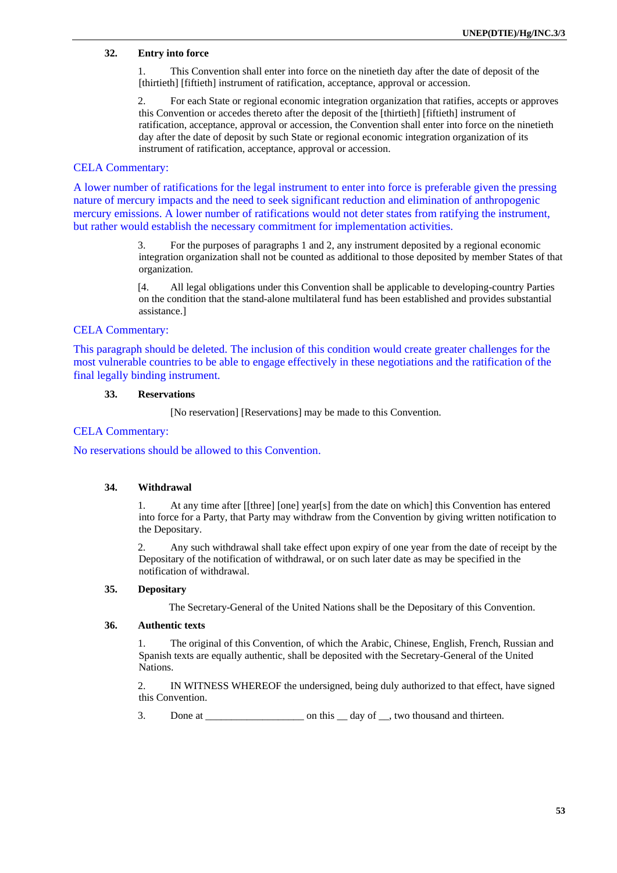## **32. Entry into force**

1. This Convention shall enter into force on the ninetieth day after the date of deposit of the [thirtieth] [fiftieth] instrument of ratification, acceptance, approval or accession.

2. For each State or regional economic integration organization that ratifies, accepts or approves this Convention or accedes thereto after the deposit of the [thirtieth] [fiftieth] instrument of ratification, acceptance, approval or accession, the Convention shall enter into force on the ninetieth day after the date of deposit by such State or regional economic integration organization of its instrument of ratification, acceptance, approval or accession.

## CELA Commentary:

A lower number of ratifications for the legal instrument to enter into force is preferable given the pressing nature of mercury impacts and the need to seek significant reduction and elimination of anthropogenic mercury emissions. A lower number of ratifications would not deter states from ratifying the instrument, but rather would establish the necessary commitment for implementation activities.

> 3. For the purposes of paragraphs 1 and 2, any instrument deposited by a regional economic integration organization shall not be counted as additional to those deposited by member States of that organization.

[4. All legal obligations under this Convention shall be applicable to developing-country Parties on the condition that the stand-alone multilateral fund has been established and provides substantial assistance.]

# CELA Commentary:

This paragraph should be deleted. The inclusion of this condition would create greater challenges for the most vulnerable countries to be able to engage effectively in these negotiations and the ratification of the final legally binding instrument.

### **33. Reservations**

[No reservation] [Reservations] may be made to this Convention.

### CELA Commentary:

No reservations should be allowed to this Convention.

### **34. Withdrawal**

1. At any time after [[three] [one] year[s] from the date on which] this Convention has entered into force for a Party, that Party may withdraw from the Convention by giving written notification to the Depositary.

2. Any such withdrawal shall take effect upon expiry of one year from the date of receipt by the Depositary of the notification of withdrawal, or on such later date as may be specified in the notification of withdrawal.

### **35. Depositary**

The Secretary-General of the United Nations shall be the Depositary of this Convention.

### **36. Authentic texts**

1. The original of this Convention, of which the Arabic, Chinese, English, French, Russian and Spanish texts are equally authentic, shall be deposited with the Secretary-General of the United Nations.

2. IN WITNESS WHEREOF the undersigned, being duly authorized to that effect, have signed this Convention.

3. Done at \_\_\_\_\_\_\_\_\_\_\_\_\_\_\_\_\_\_\_ on this \_\_ day of \_\_, two thousand and thirteen.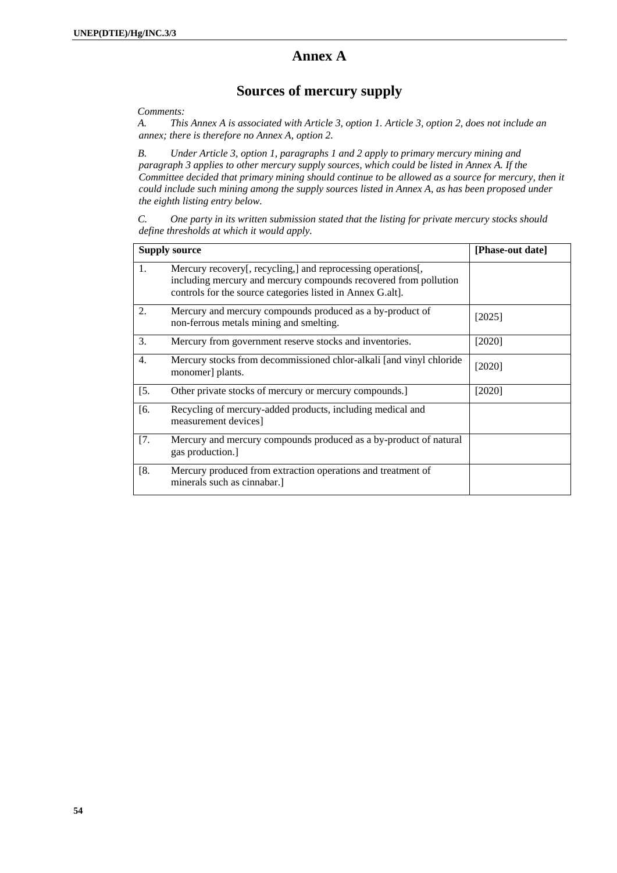# **Annex A**

# **Sources of mercury supply**

*Comments:* 

*A. This Annex A is associated with Article 3, option 1. Article 3, option 2, does not include an annex; there is therefore no Annex A, option 2.* 

*B. Under Article 3, option 1, paragraphs 1 and 2 apply to primary mercury mining and paragraph 3 applies to other mercury supply sources, which could be listed in Annex A. If the Committee decided that primary mining should continue to be allowed as a source for mercury, then it could include such mining among the supply sources listed in Annex A, as has been proposed under the eighth listing entry below.* 

*C. One party in its written submission stated that the listing for private mercury stocks should define thresholds at which it would apply.* 

| <b>Supply source</b> |                                                                                                                                                                                                | [Phase-out date] |
|----------------------|------------------------------------------------------------------------------------------------------------------------------------------------------------------------------------------------|------------------|
| 1.                   | Mercury recovery[, recycling,] and reprocessing operations[,<br>including mercury and mercury compounds recovered from pollution<br>controls for the source categories listed in Annex G.alt]. |                  |
| 2.                   | Mercury and mercury compounds produced as a by-product of<br>non-ferrous metals mining and smelting.                                                                                           | [2025]           |
| 3.                   | Mercury from government reserve stocks and inventories.                                                                                                                                        | [2020]           |
| $\overline{4}$ .     | Mercury stocks from decommissioned chlor-alkali [and vinyl chloride<br>monomer] plants.                                                                                                        | [2020]           |
| [5.                  | Other private stocks of mercury or mercury compounds.]                                                                                                                                         | [2020]           |
| [6.                  | Recycling of mercury-added products, including medical and<br>measurement devices]                                                                                                             |                  |
| $\sqrt{7}$ .         | Mercury and mercury compounds produced as a by-product of natural<br>gas production.]                                                                                                          |                  |
| [8.                  | Mercury produced from extraction operations and treatment of<br>minerals such as cinnabar.                                                                                                     |                  |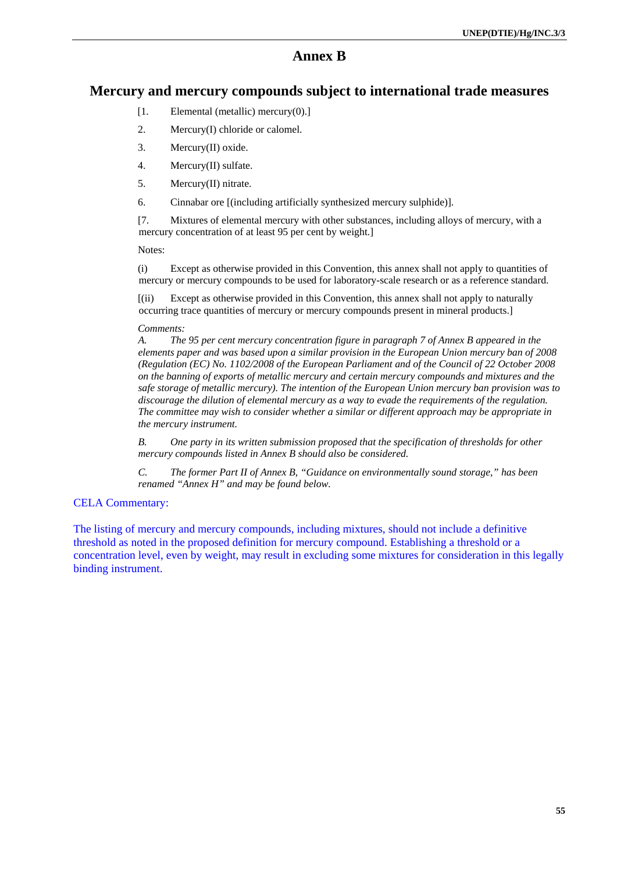# **Annex B**

# **Mercury and mercury compounds subject to international trade measures**

- [1. Elemental (metallic) mercury(0).]
- 2. Mercury(I) chloride or calomel.
- 3. Mercury(II) oxide.
- 4. Mercury(II) sulfate.
- 5. Mercury(II) nitrate.
- 6. Cinnabar ore [(including artificially synthesized mercury sulphide)].

[7. Mixtures of elemental mercury with other substances, including alloys of mercury, with a mercury concentration of at least 95 per cent by weight.]

Notes:

(i) Except as otherwise provided in this Convention, this annex shall not apply to quantities of mercury or mercury compounds to be used for laboratory-scale research or as a reference standard.

[(ii) Except as otherwise provided in this Convention, this annex shall not apply to naturally occurring trace quantities of mercury or mercury compounds present in mineral products.]

### *Comments:*

*A. The 95 per cent mercury concentration figure in paragraph 7 of Annex B appeared in the elements paper and was based upon a similar provision in the European Union mercury ban of 2008 (Regulation (EC) No. 1102/2008 of the European Parliament and of the Council of 22 October 2008 on the banning of exports of metallic mercury and certain mercury compounds and mixtures and the safe storage of metallic mercury). The intention of the European Union mercury ban provision was to discourage the dilution of elemental mercury as a way to evade the requirements of the regulation. The committee may wish to consider whether a similar or different approach may be appropriate in the mercury instrument.* 

*B. One party in its written submission proposed that the specification of thresholds for other mercury compounds listed in Annex B should also be considered.* 

*C. The former Part II of Annex B, "Guidance on environmentally sound storage," has been renamed "Annex H" and may be found below.* 

## CELA Commentary:

The listing of mercury and mercury compounds, including mixtures, should not include a definitive threshold as noted in the proposed definition for mercury compound. Establishing a threshold or a concentration level, even by weight, may result in excluding some mixtures for consideration in this legally binding instrument.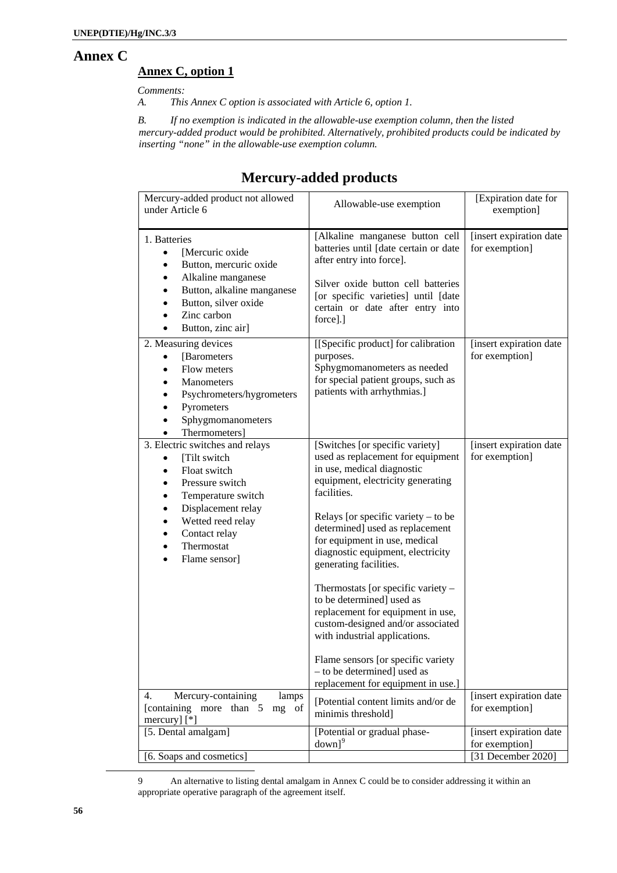# **Annex C**

# **Annex C, option 1**

*Comments:* 

*A. This Annex C option is associated with Article 6, option 1.* 

*B. If no exemption is indicated in the allowable-use exemption column, then the listed mercury-added product would be prohibited. Alternatively, prohibited products could be indicated by inserting "none" in the allowable-use exemption column.* 

# **Mercury-added products**

| Mercury-added product not allowed<br>under Article 6                                                                                                                                                                                                      | Allowable-use exemption                                                                                                                                                                                                                                                                                                                                                                                                                                                                                                                                                                                                     | [Expiration date for<br>exemption]                              |
|-----------------------------------------------------------------------------------------------------------------------------------------------------------------------------------------------------------------------------------------------------------|-----------------------------------------------------------------------------------------------------------------------------------------------------------------------------------------------------------------------------------------------------------------------------------------------------------------------------------------------------------------------------------------------------------------------------------------------------------------------------------------------------------------------------------------------------------------------------------------------------------------------------|-----------------------------------------------------------------|
| 1. Batteries<br>[Mercuric oxide<br>$\bullet$<br>Button, mercuric oxide<br>Alkaline manganese<br>٠<br>Button, alkaline manganese<br>٠<br>Button, silver oxide<br>Zinc carbon<br>Button, zinc air]                                                          | [Alkaline manganese button cell<br>batteries until [date certain or date<br>after entry into force].<br>Silver oxide button cell batteries<br>[or specific varieties] until [date<br>certain or date after entry into<br>force].]                                                                                                                                                                                                                                                                                                                                                                                           | [insert expiration date<br>for exemption]                       |
| 2. Measuring devices<br>[Barometers]<br>$\bullet$<br>Flow meters<br>$\bullet$<br>Manometers<br>Psychrometers/hygrometers<br>Pyrometers<br>Sphygmomanometers<br>Thermometers]                                                                              | [[Specific product] for calibration<br>purposes.<br>Sphygmomanometers as needed<br>for special patient groups, such as<br>patients with arrhythmias.]                                                                                                                                                                                                                                                                                                                                                                                                                                                                       | [insert expiration date<br>for exemption]                       |
| 3. Electric switches and relays<br>[Tilt switch<br>$\bullet$<br>Float switch<br>$\bullet$<br>Pressure switch<br>٠<br>Temperature switch<br>Displacement relay<br>Wetted reed relay<br>Contact relay<br>٠<br>Thermostat<br>٠<br>Flame sensor]<br>$\bullet$ | [Switches [or specific variety]<br>used as replacement for equipment<br>in use, medical diagnostic<br>equipment, electricity generating<br>facilities.<br>Relays [or specific variety $-$ to be<br>determined] used as replacement<br>for equipment in use, medical<br>diagnostic equipment, electricity<br>generating facilities.<br>Thermostats [or specific variety -<br>to be determined] used as<br>replacement for equipment in use,<br>custom-designed and/or associated<br>with industrial applications.<br>Flame sensors [or specific variety<br>- to be determined] used as<br>replacement for equipment in use.] | [insert expiration date<br>for exemption]                       |
| Mercury-containing<br>4.<br>lamps<br>[containing more than 5<br>mg of<br>mercury] $[$ <sup>*</sup> ]                                                                                                                                                      | [Potential content limits and/or de<br>minimis threshold]                                                                                                                                                                                                                                                                                                                                                                                                                                                                                                                                                                   | [insert expiration date<br>for exemption]                       |
| [5. Dental amalgam]                                                                                                                                                                                                                                       | [Potential or gradual phase-<br>down <sup>9</sup>                                                                                                                                                                                                                                                                                                                                                                                                                                                                                                                                                                           | [insert expiration date<br>for exemption]<br>[31 December 2020] |
| [6. Soaps and cosmetics]                                                                                                                                                                                                                                  |                                                                                                                                                                                                                                                                                                                                                                                                                                                                                                                                                                                                                             |                                                                 |

<sup>9</sup> An alternative to listing dental amalgam in Annex C could be to consider addressing it within an appropriate operative paragraph of the agreement itself.

<span id="page-55-0"></span> $\overline{a}$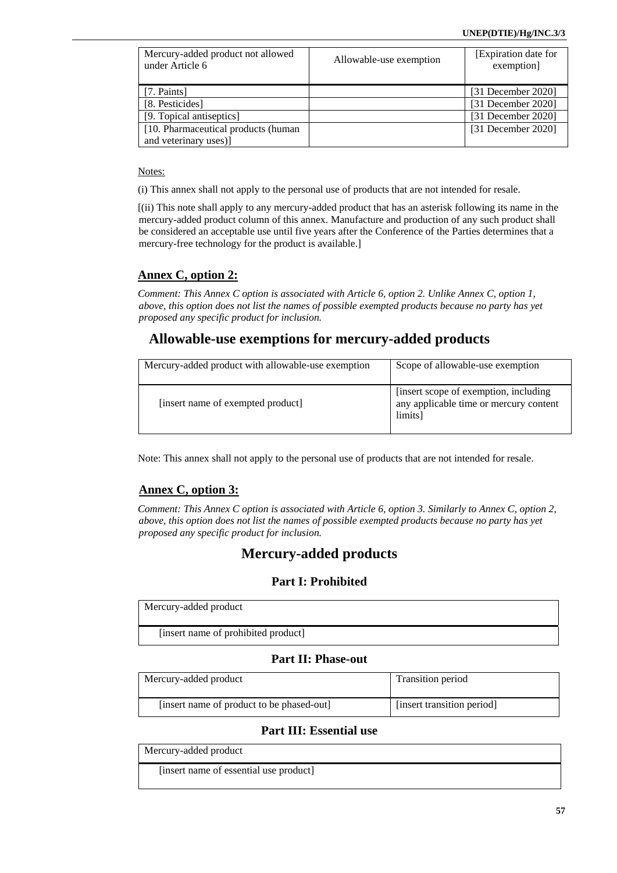| Mercury-added product not allowed<br>under Article 6 | Allowable-use exemption | [Expiration date for<br>exemption] |
|------------------------------------------------------|-------------------------|------------------------------------|
| [7. Paints]                                          |                         | $[31$ December 2020]               |
| [8. Pesticides]                                      |                         | [31 December 2020]                 |
| [9. Topical antiseptics]                             |                         | [31 December 2020]                 |
| [10. Pharmaceutical products (human                  |                         | $[31$ December 2020]               |
| and veterinary uses)]                                |                         |                                    |

Notes:

(i) This annex shall not apply to the personal use of products that are not intended for resale.

[(ii) This note shall apply to any mercury-added product that has an asterisk following its name in the mercury-added product column of this annex. Manufacture and production of any such product shall be considered an acceptable use until five years after the Conference of the Parties determines that a mercury-free technology for the product is available.]

# **Annex C, option 2:**

*Comment: This Annex C option is associated with Article 6, option 2. Unlike Annex C, option 1, above, this option does not list the names of possible exempted products because no party has yet proposed any specific product for inclusion.* 

# **Allowable-use exemptions for mercury-added products**

| Mercury-added product with allowable-use exemption | Scope of allowable-use exemption                                                            |
|----------------------------------------------------|---------------------------------------------------------------------------------------------|
| [insert name of exempted product]                  | [insert scope of exemption, including]<br>any applicable time or mercury content<br>limits] |

Note: This annex shall not apply to the personal use of products that are not intended for resale.

# **Annex C, option 3:**

*Comment: This Annex C option is associated with Article 6, option 3. Similarly to Annex C, option 2, above, this option does not list the names of possible exempted products because no party has yet proposed any specific product for inclusion.* 

# **Mercury-added products**

# **Part I: Prohibited**

Mercury-added product

[insert name of prohibited product]

# **Part II: Phase-out**

| Mercury-added product                     | Transition period          |
|-------------------------------------------|----------------------------|
| [insert name of product to be phased-out] | [insert transition period] |

# **Part III: Essential use**

Mercury-added product

[insert name of essential use product]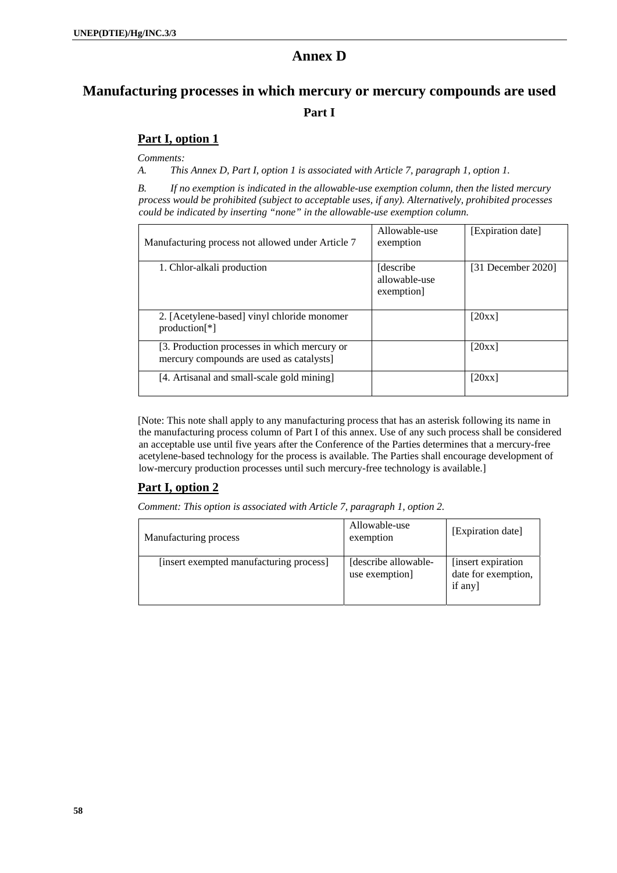# **Annex D**

# **Manufacturing processes in which mercury or mercury compounds are used Part I**

# **Part I, option 1**

*Comments:* 

*A. This Annex D, Part I, option 1 is associated with Article 7, paragraph 1, option 1.* 

*B. If no exemption is indicated in the allowable-use exemption column, then the listed mercury process would be prohibited (subject to acceptable uses, if any). Alternatively, prohibited processes could be indicated by inserting "none" in the allowable-use exemption column.* 

| Manufacturing process not allowed under Article 7                                        | Allowable-use<br>exemption                | [Expiration date]    |
|------------------------------------------------------------------------------------------|-------------------------------------------|----------------------|
| 1. Chlor-alkali production                                                               | [describe]<br>allowable-use<br>exemption] | $[31$ December 2020] |
| 2. [Acetylene-based] vinyl chloride monomer<br>$production[*]$                           |                                           | [20xx]               |
| [3. Production processes in which mercury or<br>mercury compounds are used as catalysts] |                                           | [20xx]               |
| [4. Artisanal and small-scale gold mining]                                               |                                           | [20xx]               |

[Note: This note shall apply to any manufacturing process that has an asterisk following its name in the manufacturing process column of Part I of this annex. Use of any such process shall be considered an acceptable use until five years after the Conference of the Parties determines that a mercury-free acetylene-based technology for the process is available. The Parties shall encourage development of low-mercury production processes until such mercury-free technology is available.]

# **Part I, option 2**

*Comment: This option is associated with Article 7, paragraph 1, option 2.* 

| Manufacturing process                   | Allowable-use<br>exemption             | [Expiration date]                                    |
|-----------------------------------------|----------------------------------------|------------------------------------------------------|
| [insert exempted manufacturing process] | [describe allowable-<br>use exemption] | [insert expiration]<br>date for exemption,<br>if any |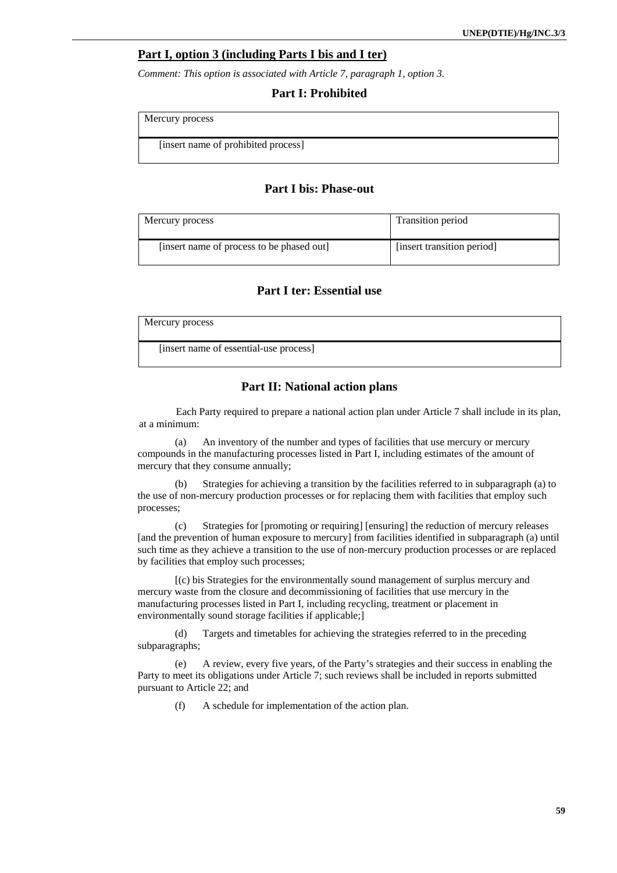## **Part I, option 3 (including Parts I bis and I ter)**

*Comment: This option is associated with Article 7, paragraph 1, option 3.* 

### **Part I: Prohibited**

Mercury process

[insert name of prohibited process]

# **Part I bis: Phase-out**

| Mercury process                           | Transition period          |
|-------------------------------------------|----------------------------|
| [insert name of process to be phased out] | [insert transition period] |

# **Part I ter: Essential use**

| Mercury process                        |  |
|----------------------------------------|--|
| [insert name of essential-use process] |  |

### **Part II: National action plans**

Each Party required to prepare a national action plan under Article 7 shall include in its plan, at a minimum:

(a) An inventory of the number and types of facilities that use mercury or mercury compounds in the manufacturing processes listed in Part I, including estimates of the amount of mercury that they consume annually;

(b) Strategies for achieving a transition by the facilities referred to in subparagraph (a) to the use of non-mercury production processes or for replacing them with facilities that employ such processes;

(c) Strategies for [promoting or requiring] [ensuring] the reduction of mercury releases [and the prevention of human exposure to mercury] from facilities identified in subparagraph (a) until such time as they achieve a transition to the use of non-mercury production processes or are replaced by facilities that employ such processes;

[(c) bis Strategies for the environmentally sound management of surplus mercury and mercury waste from the closure and decommissioning of facilities that use mercury in the manufacturing processes listed in Part I, including recycling, treatment or placement in environmentally sound storage facilities if applicable;]

(d) Targets and timetables for achieving the strategies referred to in the preceding subparagraphs;

(e) A review, every five years, of the Party's strategies and their success in enabling the Party to meet its obligations under Article 7; such reviews shall be included in reports submitted pursuant to Article 22; and

(f) A schedule for implementation of the action plan.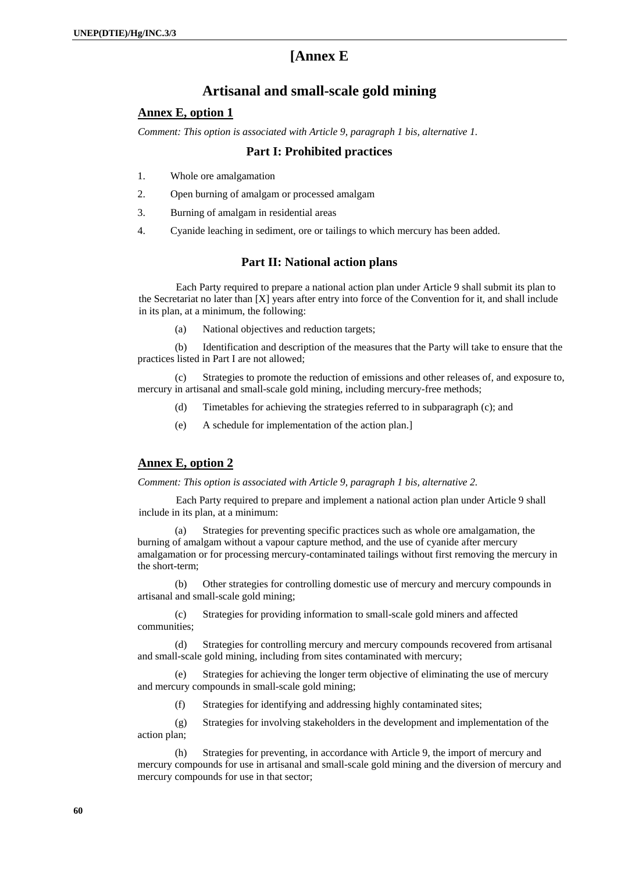# **[Annex E**

# **Artisanal and small-scale gold mining**

# **Annex E, option 1**

*Comment: This option is associated with Article 9, paragraph 1 bis, alternative 1.* 

## **Part I: Prohibited practices**

- 1. Whole ore amalgamation
- 2. Open burning of amalgam or processed amalgam
- 3. Burning of amalgam in residential areas
- 4. Cyanide leaching in sediment, ore or tailings to which mercury has been added.

## **Part II: National action plans**

Each Party required to prepare a national action plan under Article 9 shall submit its plan to the Secretariat no later than [X] years after entry into force of the Convention for it, and shall include in its plan, at a minimum, the following:

(a) National objectives and reduction targets;

(b) Identification and description of the measures that the Party will take to ensure that the practices listed in Part I are not allowed;

Strategies to promote the reduction of emissions and other releases of, and exposure to, mercury in artisanal and small-scale gold mining, including mercury-free methods;

- (d) Timetables for achieving the strategies referred to in subparagraph (c); and
- (e) A schedule for implementation of the action plan.]

# **Annex E, option 2**

*Comment: This option is associated with Article 9, paragraph 1 bis, alternative 2.* 

Each Party required to prepare and implement a national action plan under Article 9 shall include in its plan, at a minimum:

(a) Strategies for preventing specific practices such as whole ore amalgamation, the burning of amalgam without a vapour capture method, and the use of cyanide after mercury amalgamation or for processing mercury-contaminated tailings without first removing the mercury in the short-term;

(b) Other strategies for controlling domestic use of mercury and mercury compounds in artisanal and small-scale gold mining;

(c) Strategies for providing information to small-scale gold miners and affected communities;

(d) Strategies for controlling mercury and mercury compounds recovered from artisanal and small-scale gold mining, including from sites contaminated with mercury;

(e) Strategies for achieving the longer term objective of eliminating the use of mercury and mercury compounds in small-scale gold mining;

(f) Strategies for identifying and addressing highly contaminated sites;

(g) Strategies for involving stakeholders in the development and implementation of the action plan;

(h) Strategies for preventing, in accordance with Article 9, the import of mercury and mercury compounds for use in artisanal and small-scale gold mining and the diversion of mercury and mercury compounds for use in that sector;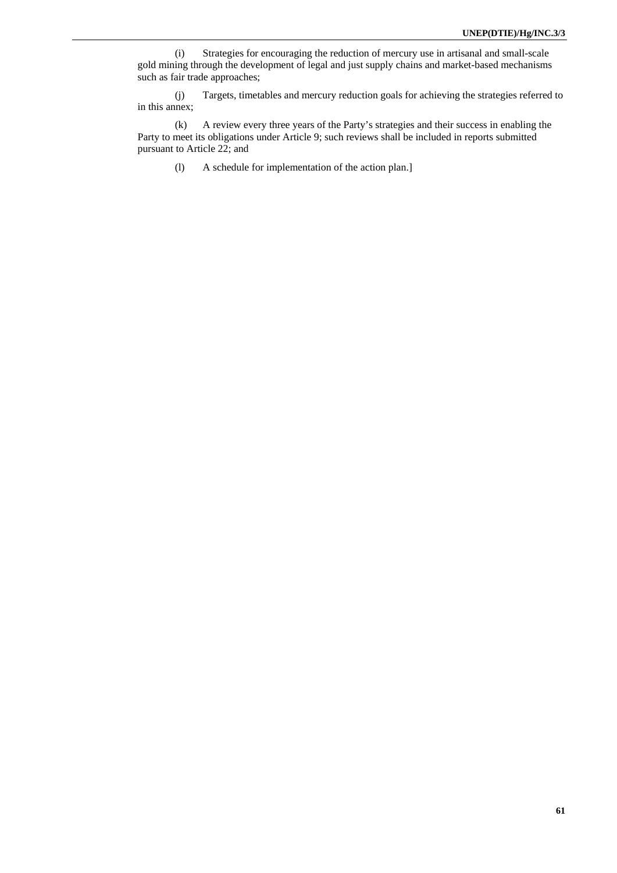(i) Strategies for encouraging the reduction of mercury use in artisanal and small-scale gold mining through the development of legal and just supply chains and market-based mechanisms such as fair trade approaches;

(j) Targets, timetables and mercury reduction goals for achieving the strategies referred to in this annex;

(k) A review every three years of the Party's strategies and their success in enabling the Party to meet its obligations under Article 9; such reviews shall be included in reports submitted pursuant to Article 22; and

(l) A schedule for implementation of the action plan.]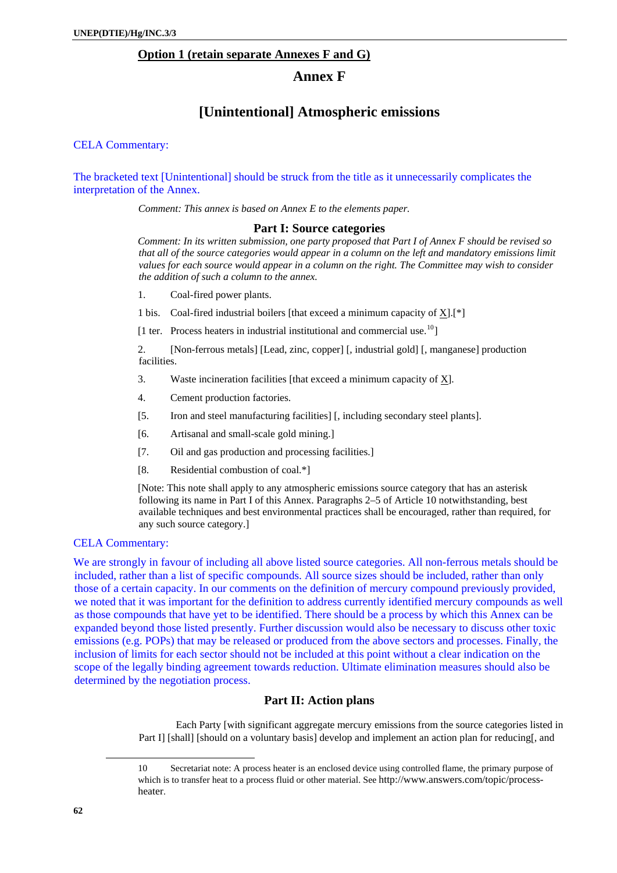## **Option 1 (retain separate Annexes F and G)**

# **Annex F**

# **[Unintentional] Atmospheric emissions**

CELA Commentary:

The bracketed text [Unintentional] should be struck from the title as it unnecessarily complicates the interpretation of the Annex.

*Comment: This annex is based on Annex E to the elements paper.*

### **Part I: Source categories**

*Comment: In its written submission, one party proposed that Part I of Annex F should be revised so that all of the source categories would appear in a column on the left and mandatory emissions limit values for each source would appear in a column on the right. The Committee may wish to consider the addition of such a column to the annex.* 

1. Coal-fired power plants.

1 bis. Coal-fired industrial boilers [that exceed a minimum capacity of X].[\*]

[1 ter. Process heaters in industrial institutional and commercial use.<sup>[10](#page-61-0)</sup>]

2. [Non-ferrous metals] [Lead, zinc, copper] [, industrial gold] [, manganese] production facilities.

- 3. Waste incineration facilities [that exceed a minimum capacity of X].
- 4. Cement production factories.
- [5. Iron and steel manufacturing facilities] [, including secondary steel plants].
- [6. Artisanal and small-scale gold mining.]
- [7. Oil and gas production and processing facilities.]
- [8. Residential combustion of coal.\*]

[Note: This note shall apply to any atmospheric emissions source category that has an asterisk following its name in Part I of this Annex. Paragraphs 2–5 of Article 10 notwithstanding, best available techniques and best environmental practices shall be encouraged, rather than required, for any such source category.]

# CELA Commentary:

We are strongly in favour of including all above listed source categories. All non-ferrous metals should be included, rather than a list of specific compounds. All source sizes should be included, rather than only those of a certain capacity. In our comments on the definition of mercury compound previously provided, we noted that it was important for the definition to address currently identified mercury compounds as well as those compounds that have yet to be identified. There should be a process by which this Annex can be expanded beyond those listed presently. Further discussion would also be necessary to discuss other toxic emissions (e.g. POPs) that may be released or produced from the above sectors and processes. Finally, the inclusion of limits for each sector should not be included at this point without a clear indication on the scope of the legally binding agreement towards reduction. Ultimate elimination measures should also be determined by the negotiation process.

### **Part II: Action plans**

Each Party [with significant aggregate mercury emissions from the source categories listed in Part I] [shall] [should on a voluntary basis] develop and implement an action plan for reducing[, and

<span id="page-61-0"></span> $\overline{a}$ 

<sup>10</sup> Secretariat note: A process heater is an enclosed device using controlled flame, the primary purpose of which is to transfer heat to a process fluid or other material. See http://www.answers.com/topic/processheater.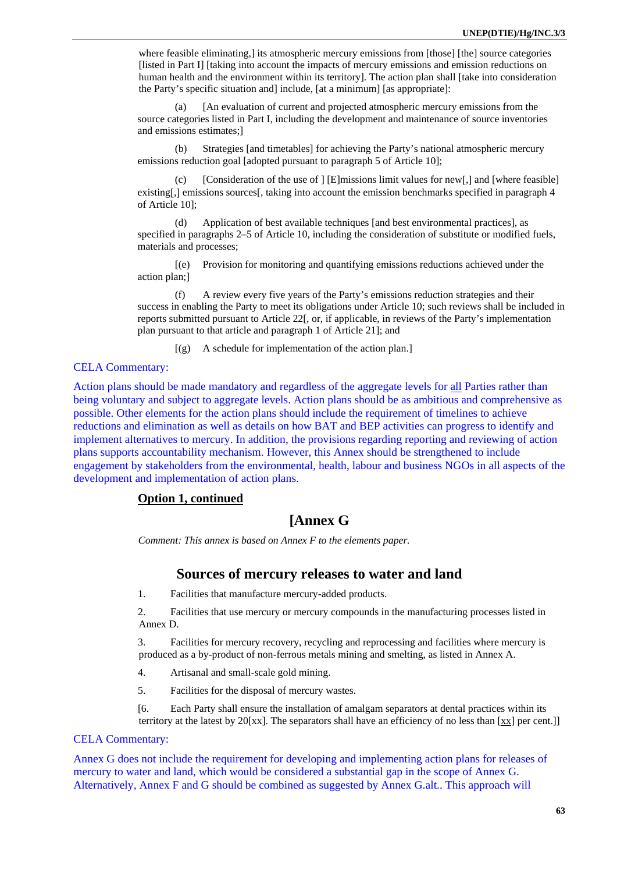where feasible eliminating, its atmospheric mercury emissions from [those] [the] source categories [listed in Part I] [taking into account the impacts of mercury emissions and emission reductions on human health and the environment within its territory]. The action plan shall [take into consideration the Party's specific situation and] include, [at a minimum] [as appropriate]:

(a) [An evaluation of current and projected atmospheric mercury emissions from the source categories listed in Part I, including the development and maintenance of source inventories and emissions estimates;]

(b) Strategies [and timetables] for achieving the Party's national atmospheric mercury emissions reduction goal [adopted pursuant to paragraph 5 of Article 10];

(c) [Consideration of the use of  $\left| \right|$  [E]missions limit values for new[,] and [where feasible] existing[,] emissions sources[, taking into account the emission benchmarks specified in paragraph 4 of Article 10];

(d) Application of best available techniques [and best environmental practices], as specified in paragraphs 2–5 of Article 10, including the consideration of substitute or modified fuels, materials and processes;

[(e) Provision for monitoring and quantifying emissions reductions achieved under the action plan;]

(f) A review every five years of the Party's emissions reduction strategies and their success in enabling the Party to meet its obligations under Article 10; such reviews shall be included in reports submitted pursuant to Article 22[, or, if applicable, in reviews of the Party's implementation plan pursuant to that article and paragraph 1 of Article 21]; and

 $[(g)$  A schedule for implementation of the action plan.]

# CELA Commentary:

Action plans should be made mandatory and regardless of the aggregate levels for all Parties rather than being voluntary and subject to aggregate levels. Action plans should be as ambitious and comprehensive as possible. Other elements for the action plans should include the requirement of timelines to achieve reductions and elimination as well as details on how BAT and BEP activities can progress to identify and implement alternatives to mercury. In addition, the provisions regarding reporting and reviewing of action plans supports accountability mechanism. However, this Annex should be strengthened to include engagement by stakeholders from the environmental, health, labour and business NGOs in all aspects of the development and implementation of action plans.

# **Option 1, continued**

# **[Annex G**

*Comment: This annex is based on Annex F to the elements paper.*

# **Sources of mercury releases to water and land**

1. Facilities that manufacture mercury-added products.

2. Facilities that use mercury or mercury compounds in the manufacturing processes listed in Annex D.

3. Facilities for mercury recovery, recycling and reprocessing and facilities where mercury is produced as a by-product of non-ferrous metals mining and smelting, as listed in Annex A.

4. Artisanal and small-scale gold mining.

5. Facilities for the disposal of mercury wastes.

[6. Each Party shall ensure the installation of amalgam separators at dental practices within its territory at the latest by 20[xx]. The separators shall have an efficiency of no less than [xx] per cent.]]

## CELA Commentary:

Annex G does not include the requirement for developing and implementing action plans for releases of mercury to water and land, which would be considered a substantial gap in the scope of Annex G. Alternatively, Annex F and G should be combined as suggested by Annex G.alt.. This approach will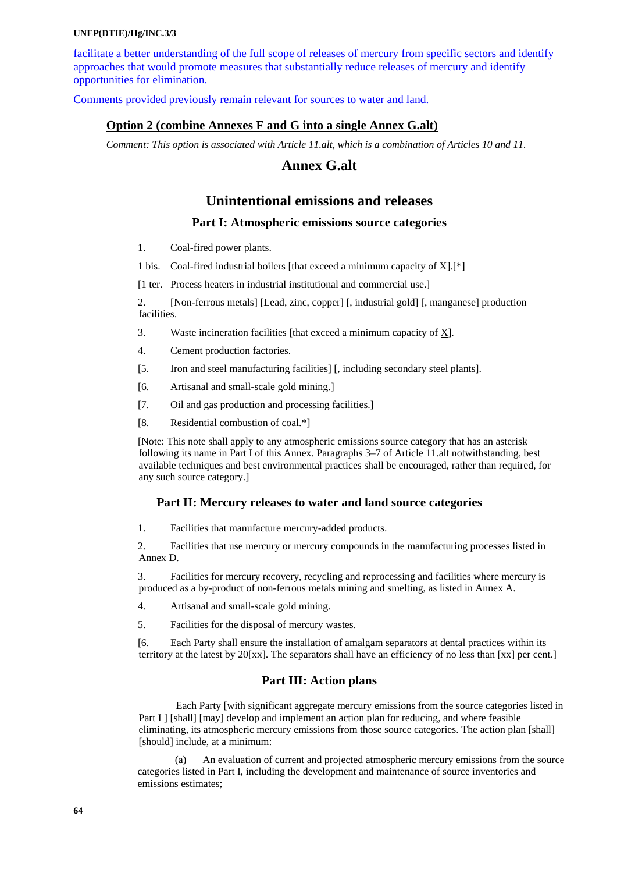facilitate a better understanding of the full scope of releases of mercury from specific sectors and identify approaches that would promote measures that substantially reduce releases of mercury and identify opportunities for elimination.

Comments provided previously remain relevant for sources to water and land.

## **Option 2 (combine Annexes F and G into a single Annex G.alt)**

*Comment: This option is associated with Article 11.alt, which is a combination of Articles 10 and 11.* 

# **Annex G.alt**

# **Unintentional emissions and releases**

## **Part I: Atmospheric emissions source categories**

1. Coal-fired power plants.

1 bis. Coal-fired industrial boilers [that exceed a minimum capacity of  $X$ ].[\*]

[1 ter. Process heaters in industrial institutional and commercial use.]

2. [Non-ferrous metals] [Lead, zinc, copper] [, industrial gold] [, manganese] production facilities.

- 3. Waste incineration facilities [that exceed a minimum capacity of X].
- 4. Cement production factories.
- [5. Iron and steel manufacturing facilities] [, including secondary steel plants].
- [6. Artisanal and small-scale gold mining.]
- [7. Oil and gas production and processing facilities.]
- [8. Residential combustion of coal.\*]

[Note: This note shall apply to any atmospheric emissions source category that has an asterisk following its name in Part I of this Annex. Paragraphs 3–7 of Article 11.alt notwithstanding, best available techniques and best environmental practices shall be encouraged, rather than required, for any such source category.]

### **Part II: Mercury releases to water and land source categories**

1. Facilities that manufacture mercury-added products.

2. Facilities that use mercury or mercury compounds in the manufacturing processes listed in Annex D.

3. Facilities for mercury recovery, recycling and reprocessing and facilities where mercury is produced as a by-product of non-ferrous metals mining and smelting, as listed in Annex A.

- 4. Artisanal and small-scale gold mining.
- 5. Facilities for the disposal of mercury wastes.

[6. Each Party shall ensure the installation of amalgam separators at dental practices within its territory at the latest by 20[xx]. The separators shall have an efficiency of no less than [xx] per cent.]

### **Part III: Action plans**

Each Party [with significant aggregate mercury emissions from the source categories listed in Part I ] [shall] [may] develop and implement an action plan for reducing, and where feasible eliminating, its atmospheric mercury emissions from those source categories. The action plan [shall] [should] include, at a minimum:

(a) An evaluation of current and projected atmospheric mercury emissions from the source categories listed in Part I, including the development and maintenance of source inventories and emissions estimates;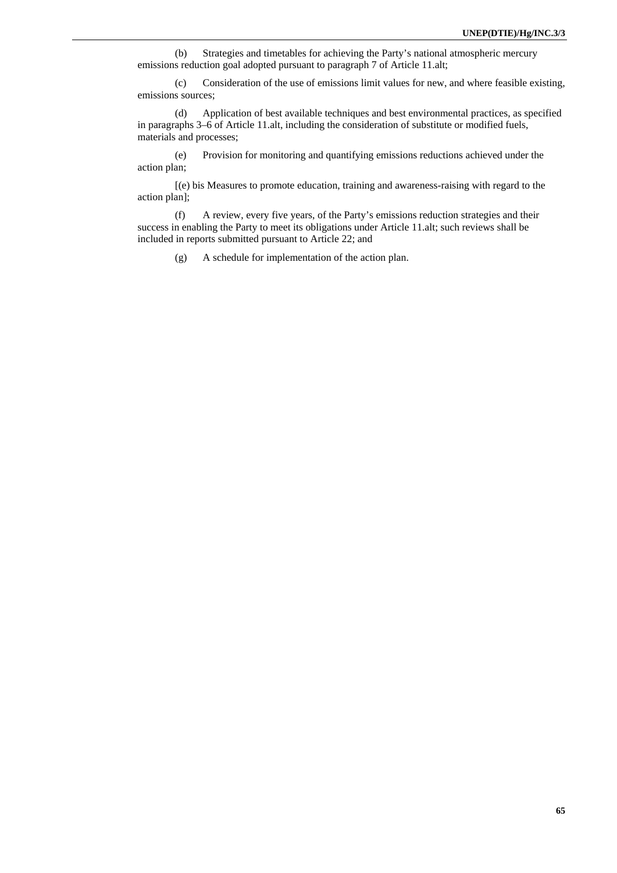(b) Strategies and timetables for achieving the Party's national atmospheric mercury emissions reduction goal adopted pursuant to paragraph 7 of Article 11.alt;

(c) Consideration of the use of emissions limit values for new, and where feasible existing, emissions sources;

(d) Application of best available techniques and best environmental practices, as specified in paragraphs 3–6 of Article 11.alt, including the consideration of substitute or modified fuels, materials and processes;

(e) Provision for monitoring and quantifying emissions reductions achieved under the action plan;

[(e) bis Measures to promote education, training and awareness-raising with regard to the action plan];

(f) A review, every five years, of the Party's emissions reduction strategies and their success in enabling the Party to meet its obligations under Article 11.alt; such reviews shall be included in reports submitted pursuant to Article 22; and

(g) A schedule for implementation of the action plan.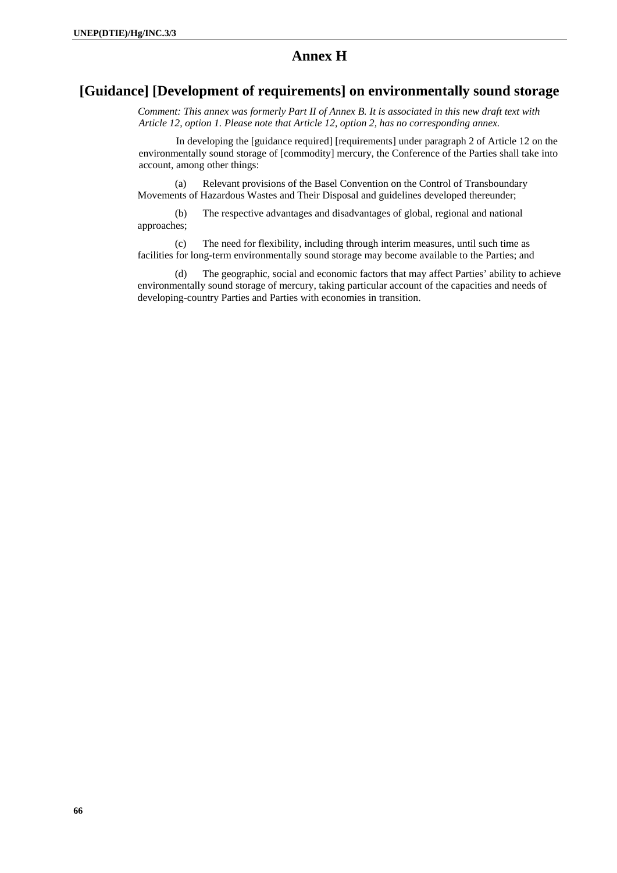# **Annex H**

# **[Guidance] [Development of requirements] on environmentally sound storage**

*Comment: This annex was formerly Part II of Annex B. It is associated in this new draft text with Article 12, option 1. Please note that Article 12, option 2, has no corresponding annex.* 

In developing the [guidance required] [requirements] under paragraph 2 of Article 12 on the environmentally sound storage of [commodity] mercury, the Conference of the Parties shall take into account, among other things:

(a) Relevant provisions of the Basel Convention on the Control of Transboundary Movements of Hazardous Wastes and Their Disposal and guidelines developed thereunder;

(b) The respective advantages and disadvantages of global, regional and national approaches;

(c) The need for flexibility, including through interim measures, until such time as facilities for long-term environmentally sound storage may become available to the Parties; and

(d) The geographic, social and economic factors that may affect Parties' ability to achieve environmentally sound storage of mercury, taking particular account of the capacities and needs of developing-country Parties and Parties with economies in transition.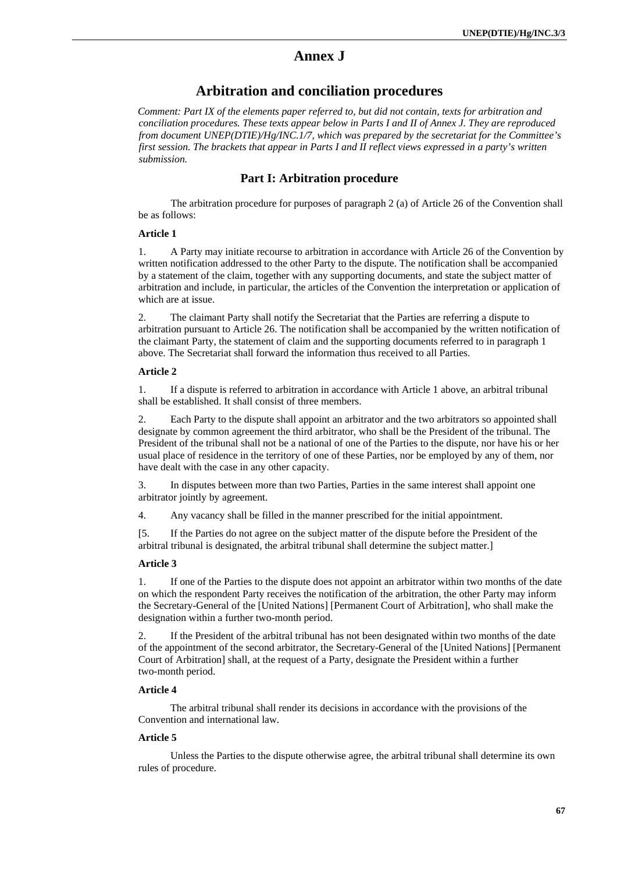# **Annex J**

# **Arbitration and conciliation procedures**

*Comment: Part IX of the elements paper referred to, but did not contain, texts for arbitration and conciliation procedures. These texts appear below in Parts I and II of Annex J. They are reproduced from document UNEP(DTIE)/Hg/INC.1/7, which was prepared by the secretariat for the Committee's first session. The brackets that appear in Parts I and II reflect views expressed in a party's written submission.* 

# **Part I: Arbitration procedure**

The arbitration procedure for purposes of paragraph 2 (a) of Article 26 of the Convention shall be as follows:

## **Article 1**

1. A Party may initiate recourse to arbitration in accordance with Article 26 of the Convention by written notification addressed to the other Party to the dispute. The notification shall be accompanied by a statement of the claim, together with any supporting documents, and state the subject matter of arbitration and include, in particular, the articles of the Convention the interpretation or application of which are at issue.

2. The claimant Party shall notify the Secretariat that the Parties are referring a dispute to arbitration pursuant to Article 26. The notification shall be accompanied by the written notification of the claimant Party, the statement of claim and the supporting documents referred to in paragraph 1 above. The Secretariat shall forward the information thus received to all Parties.

### **Article 2**

1. If a dispute is referred to arbitration in accordance with Article 1 above, an arbitral tribunal shall be established. It shall consist of three members.

2. Each Party to the dispute shall appoint an arbitrator and the two arbitrators so appointed shall designate by common agreement the third arbitrator, who shall be the President of the tribunal. The President of the tribunal shall not be a national of one of the Parties to the dispute, nor have his or her usual place of residence in the territory of one of these Parties, nor be employed by any of them, nor have dealt with the case in any other capacity.

3. In disputes between more than two Parties, Parties in the same interest shall appoint one arbitrator jointly by agreement.

4. Any vacancy shall be filled in the manner prescribed for the initial appointment.

[5. If the Parties do not agree on the subject matter of the dispute before the President of the arbitral tribunal is designated, the arbitral tribunal shall determine the subject matter.]

#### **Article 3**

1. If one of the Parties to the dispute does not appoint an arbitrator within two months of the date on which the respondent Party receives the notification of the arbitration, the other Party may inform the Secretary-General of the [United Nations] [Permanent Court of Arbitration], who shall make the designation within a further two-month period.

2. If the President of the arbitral tribunal has not been designated within two months of the date of the appointment of the second arbitrator, the Secretary-General of the [United Nations] [Permanent Court of Arbitration] shall, at the request of a Party, designate the President within a further two-month period.

### **Article 4**

 The arbitral tribunal shall render its decisions in accordance with the provisions of the Convention and international law.

### **Article 5**

 Unless the Parties to the dispute otherwise agree, the arbitral tribunal shall determine its own rules of procedure.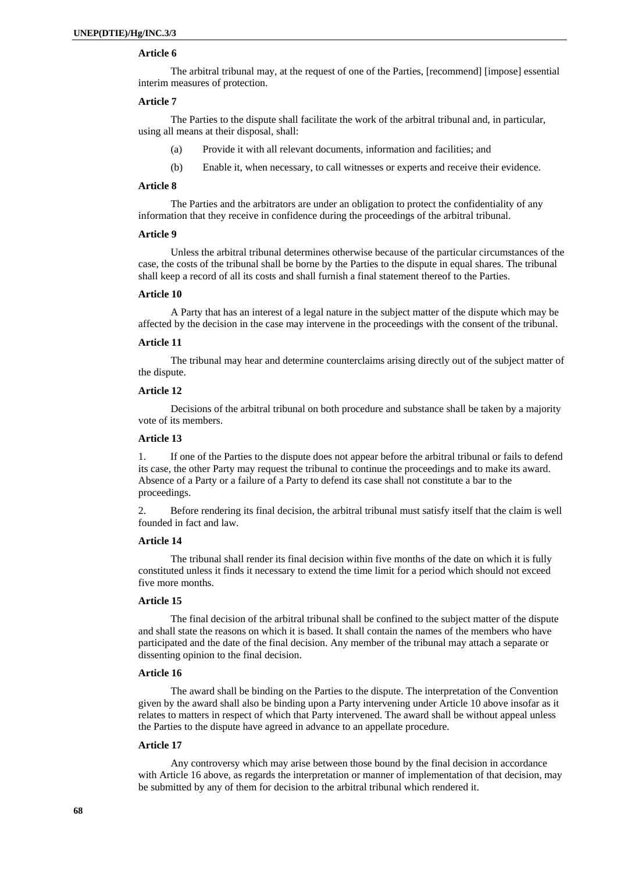# **Article 6**

The arbitral tribunal may, at the request of one of the Parties, [recommend] [impose] essential interim measures of protection.

### **Article 7**

The Parties to the dispute shall facilitate the work of the arbitral tribunal and, in particular, using all means at their disposal, shall:

- (a) Provide it with all relevant documents, information and facilities; and
- (b) Enable it, when necessary, to call witnesses or experts and receive their evidence.

### **Article 8**

The Parties and the arbitrators are under an obligation to protect the confidentiality of any information that they receive in confidence during the proceedings of the arbitral tribunal.

### **Article 9**

Unless the arbitral tribunal determines otherwise because of the particular circumstances of the case, the costs of the tribunal shall be borne by the Parties to the dispute in equal shares. The tribunal shall keep a record of all its costs and shall furnish a final statement thereof to the Parties.

### **Article 10**

A Party that has an interest of a legal nature in the subject matter of the dispute which may be affected by the decision in the case may intervene in the proceedings with the consent of the tribunal.

#### **Article 11**

The tribunal may hear and determine counterclaims arising directly out of the subject matter of the dispute.

### **Article 12**

Decisions of the arbitral tribunal on both procedure and substance shall be taken by a majority vote of its members.

### **Article 13**

1. If one of the Parties to the dispute does not appear before the arbitral tribunal or fails to defend its case, the other Party may request the tribunal to continue the proceedings and to make its award. Absence of a Party or a failure of a Party to defend its case shall not constitute a bar to the proceedings.

2. Before rendering its final decision, the arbitral tribunal must satisfy itself that the claim is well founded in fact and law.

### **Article 14**

The tribunal shall render its final decision within five months of the date on which it is fully constituted unless it finds it necessary to extend the time limit for a period which should not exceed five more months.

### **Article 15**

The final decision of the arbitral tribunal shall be confined to the subject matter of the dispute and shall state the reasons on which it is based. It shall contain the names of the members who have participated and the date of the final decision. Any member of the tribunal may attach a separate or dissenting opinion to the final decision.

### **Article 16**

The award shall be binding on the Parties to the dispute. The interpretation of the Convention given by the award shall also be binding upon a Party intervening under Article 10 above insofar as it relates to matters in respect of which that Party intervened. The award shall be without appeal unless the Parties to the dispute have agreed in advance to an appellate procedure.

### **Article 17**

Any controversy which may arise between those bound by the final decision in accordance with Article 16 above, as regards the interpretation or manner of implementation of that decision, may be submitted by any of them for decision to the arbitral tribunal which rendered it.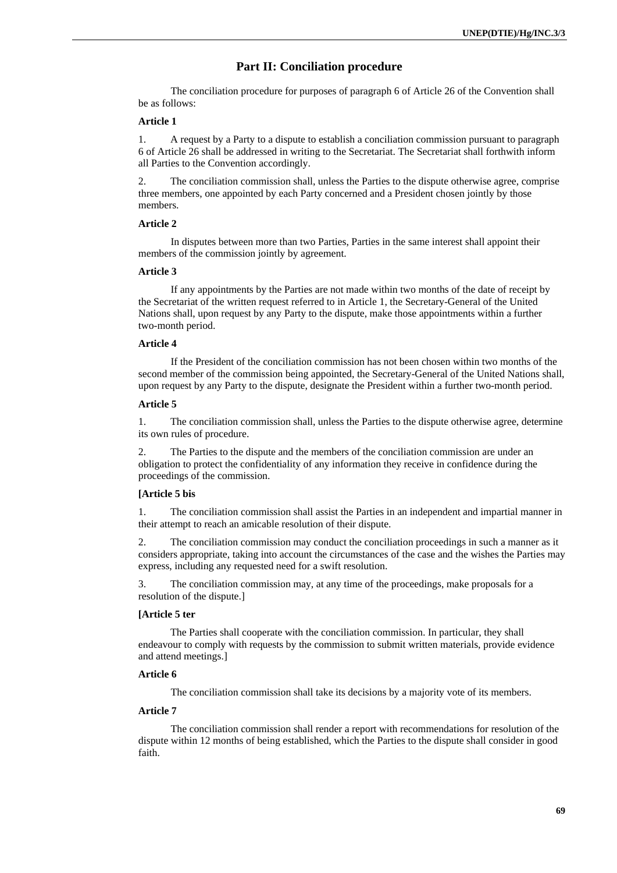# **Part II: Conciliation procedure**

The conciliation procedure for purposes of paragraph 6 of Article 26 of the Convention shall be as follows:

#### **Article 1**

1. A request by a Party to a dispute to establish a conciliation commission pursuant to paragraph 6 of Article 26 shall be addressed in writing to the Secretariat. The Secretariat shall forthwith inform all Parties to the Convention accordingly.

2. The conciliation commission shall, unless the Parties to the dispute otherwise agree, comprise three members, one appointed by each Party concerned and a President chosen jointly by those members.

### **Article 2**

In disputes between more than two Parties, Parties in the same interest shall appoint their members of the commission jointly by agreement.

### **Article 3**

If any appointments by the Parties are not made within two months of the date of receipt by the Secretariat of the written request referred to in Article 1, the Secretary-General of the United Nations shall, upon request by any Party to the dispute, make those appointments within a further two-month period.

### **Article 4**

If the President of the conciliation commission has not been chosen within two months of the second member of the commission being appointed, the Secretary-General of the United Nations shall, upon request by any Party to the dispute, designate the President within a further two-month period.

### **Article 5**

1. The conciliation commission shall, unless the Parties to the dispute otherwise agree, determine its own rules of procedure.

2. The Parties to the dispute and the members of the conciliation commission are under an obligation to protect the confidentiality of any information they receive in confidence during the proceedings of the commission.

### **[Article 5 bis**

1. The conciliation commission shall assist the Parties in an independent and impartial manner in their attempt to reach an amicable resolution of their dispute.

2. The conciliation commission may conduct the conciliation proceedings in such a manner as it considers appropriate, taking into account the circumstances of the case and the wishes the Parties may express, including any requested need for a swift resolution.

3. The conciliation commission may, at any time of the proceedings, make proposals for a resolution of the dispute.]

### **[Article 5 ter**

 The Parties shall cooperate with the conciliation commission. In particular, they shall endeavour to comply with requests by the commission to submit written materials, provide evidence and attend meetings.]

### **Article 6**

The conciliation commission shall take its decisions by a majority vote of its members.

# **Article 7**

The conciliation commission shall render a report with recommendations for resolution of the dispute within 12 months of being established, which the Parties to the dispute shall consider in good faith.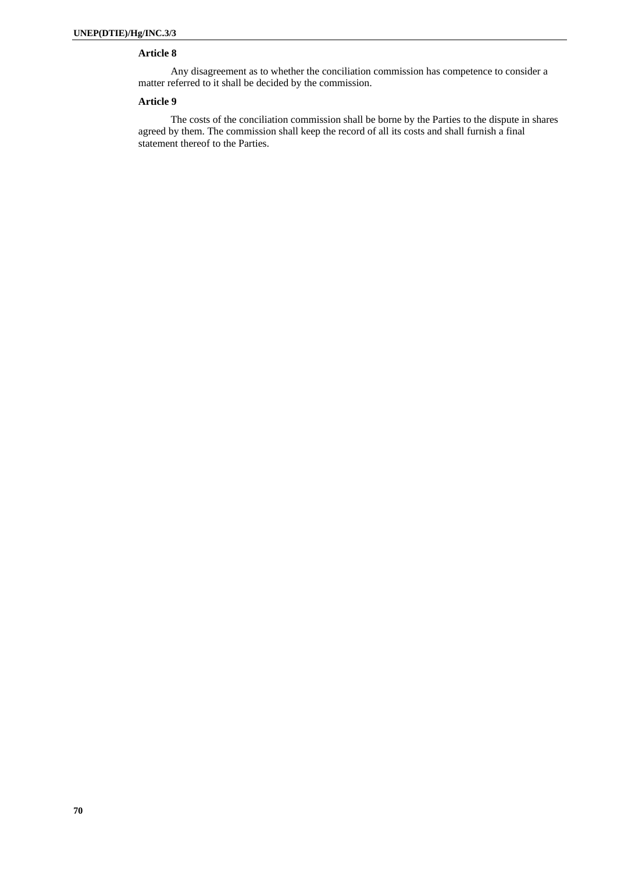# **Article 8**

Any disagreement as to whether the conciliation commission has competence to consider a matter referred to it shall be decided by the commission.

### **Article 9**

The costs of the conciliation commission shall be borne by the Parties to the dispute in shares agreed by them. The commission shall keep the record of all its costs and shall furnish a final statement thereof to the Parties.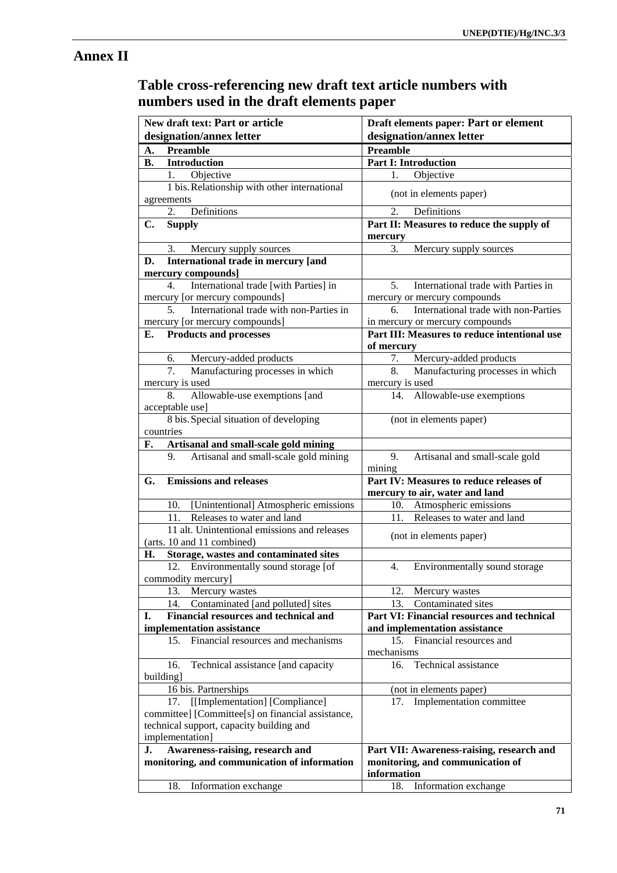# **Annex II**

# **Table cross-referencing new draft text article numbers with numbers used in the draft elements paper**

| New draft text: Part or article                                                | Draft elements paper: Part or element                             |  |
|--------------------------------------------------------------------------------|-------------------------------------------------------------------|--|
| designation/annex letter                                                       | designation/annex letter                                          |  |
| <b>Preamble</b><br>A.                                                          | <b>Preamble</b>                                                   |  |
| Introduction<br>В.                                                             | <b>Part I: Introduction</b>                                       |  |
| Objective<br>1.                                                                | Objective<br>1.                                                   |  |
| 1 bis. Relationship with other international                                   | (not in elements paper)                                           |  |
| agreements                                                                     |                                                                   |  |
| 2.<br>Definitions<br>C.                                                        | 2.<br>Definitions<br>Part II: Measures to reduce the supply of    |  |
| <b>Supply</b>                                                                  | mercury                                                           |  |
| Mercury supply sources<br>3.                                                   | 3.<br>Mercury supply sources                                      |  |
| International trade in mercury [and<br>D.                                      |                                                                   |  |
| mercury compounds]                                                             |                                                                   |  |
| 4. International trade [with Parties] in                                       | International trade with Parties in<br>5 <sub>1</sub>             |  |
| mercury [or mercury compounds]                                                 | mercury or mercury compounds                                      |  |
| International trade with non-Parties in<br>5 <sub>1</sub>                      | International trade with non-Parties<br>б.                        |  |
| mercury [or mercury compounds]                                                 | in mercury or mercury compounds                                   |  |
| <b>Products and processes</b><br>Е.                                            | Part III: Measures to reduce intentional use                      |  |
| 6.                                                                             | of mercury<br>Mercury-added products                              |  |
| Mercury-added products<br>Manufacturing processes in which<br>7.               | 7.<br>8.<br>Manufacturing processes in which                      |  |
| mercury is used                                                                | mercury is used                                                   |  |
| Allowable-use exemptions [and<br>8.                                            | Allowable-use exemptions<br>14.                                   |  |
| acceptable use]                                                                |                                                                   |  |
| 8 bis. Special situation of developing                                         | (not in elements paper)                                           |  |
| countries                                                                      |                                                                   |  |
| Artisanal and small-scale gold mining<br>F.                                    |                                                                   |  |
| Artisanal and small-scale gold mining<br>9.                                    | Artisanal and small-scale gold<br>9.                              |  |
|                                                                                | mining                                                            |  |
| <b>Emissions and releases</b><br>G.                                            | Part IV: Measures to reduce releases of                           |  |
|                                                                                | mercury to air, water and land                                    |  |
| [Unintentional] Atmospheric emissions<br>10.<br>11. Releases to water and land | Atmospheric emissions<br>10.<br>Releases to water and land<br>11. |  |
| 11 alt. Unintentional emissions and releases                                   |                                                                   |  |
| (arts. 10 and 11 combined)                                                     | (not in elements paper)                                           |  |
| Storage, wastes and contaminated sites<br>Н.                                   |                                                                   |  |
| 12. Environmentally sound storage [of                                          | 4.<br>Environmentally sound storage                               |  |
| commodity mercury]                                                             |                                                                   |  |
| 13.<br>Mercury wastes                                                          | 12.<br>Mercury wastes                                             |  |
| Contaminated [and polluted] sites<br>14.                                       | Contaminated sites<br>13.                                         |  |
| Financial resources and technical and<br>Ι.                                    | Part VI: Financial resources and technical                        |  |
| implementation assistance                                                      | and implementation assistance                                     |  |
| 15.<br>Financial resources and mechanisms                                      | 15. Financial resources and                                       |  |
|                                                                                | mechanisms                                                        |  |
| Technical assistance [and capacity<br>16.<br>building]                         | 16. Technical assistance                                          |  |
| 16 bis. Partnerships                                                           | (not in elements paper)                                           |  |
| [[Implementation] [Compliance]<br>17.                                          | 17. Implementation committee                                      |  |
| committee] [Committee[s] on financial assistance,                              |                                                                   |  |
| technical support, capacity building and                                       |                                                                   |  |
| implementation]                                                                |                                                                   |  |
| Awareness-raising, research and<br>J.                                          | Part VII: Awareness-raising, research and                         |  |
| monitoring, and communication of information                                   | monitoring, and communication of                                  |  |
|                                                                                | information                                                       |  |
| Information exchange<br>18.                                                    | Information exchange<br>18.                                       |  |